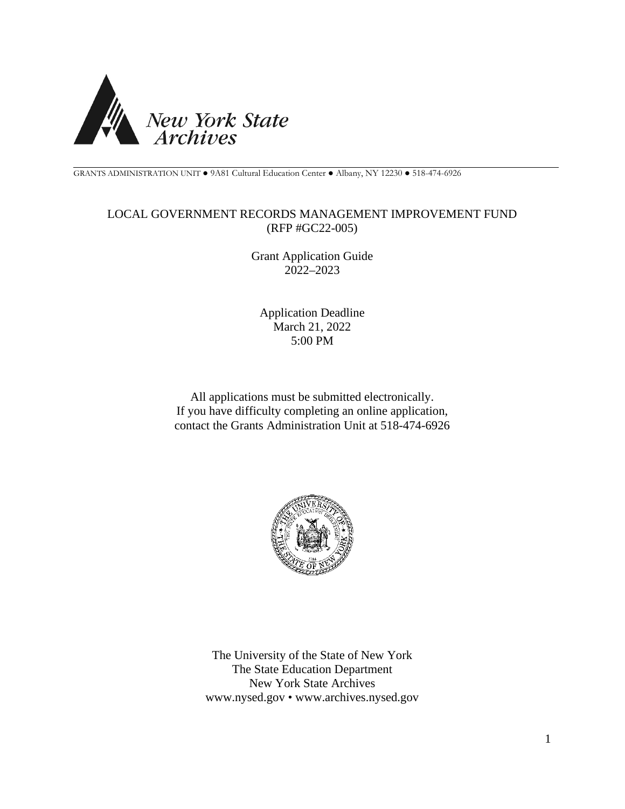

GRANTS ADMINISTRATION UNIT ● 9A81 Cultural Education Center ● Albany, NY 12230 ● 518-474-6926

#### LOCAL GOVERNMENT RECORDS MANAGEMENT IMPROVEMENT FUND (RFP #GC22-005)

Grant Application Guide 2022–2023

Application Deadline March 21, 2022 5:00 PM

All applications must be submitted electronically. If you have difficulty completing an online application, contact the Grants Administration Unit at 518-474-6926



The University of the State of New York The State Education Department New York State Archives www.nysed.gov • www.archives.nysed.gov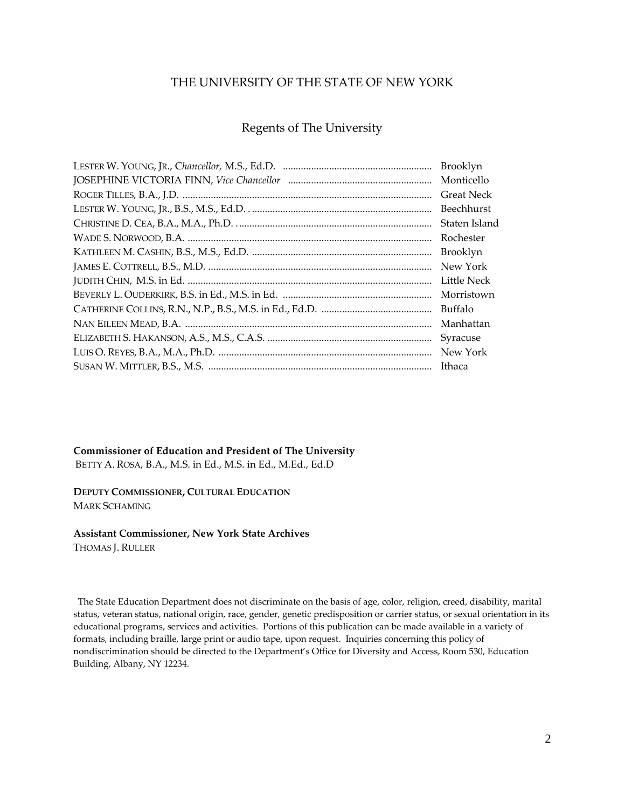#### THE UNIVERSITY OF THE STATE OF NEW YORK

#### Regents of The University

| <b>Brooklyn</b>   |
|-------------------|
| Monticello        |
| <b>Great Neck</b> |
| Beechhurst        |
| Staten Island     |
| Rochester         |
| <b>Brooklyn</b>   |
| New York          |
| Little Neck       |
| Morristown        |
| Buffalo           |
| Manhattan         |
| Syracuse          |
| New York          |
| Ithaca            |
|                   |

**Commissioner of Education and President of The University**

BETTY A. ROSA, B.A., M.S. in Ed., M.S. in Ed., M.Ed., Ed.D

#### **DEPUTY COMMISSIONER, CULTURAL EDUCATION** MARK SCHAMING

**Assistant Commissioner, New York State Archives**

THOMAS J. RULLER

 The State Education Department does not discriminate on the basis of age, color, religion, creed, disability, marital status, veteran status, national origin, race, gender, genetic predisposition or carrier status, or sexual orientation in its educational programs, services and activities. Portions of this publication can be made available in a variety of formats, including braille, large print or audio tape, upon request. Inquiries concerning this policy of nondiscrimination should be directed to the Department's Office for Diversity and Access, Room 530, Education Building, Albany, NY 12234.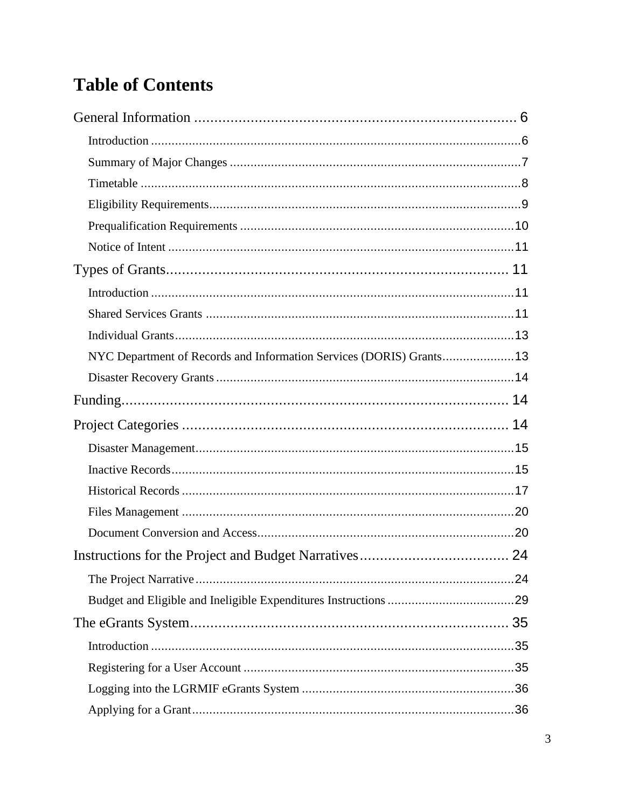# **Table of Contents**

| NYC Department of Records and Information Services (DORIS) Grants13 |  |
|---------------------------------------------------------------------|--|
|                                                                     |  |
|                                                                     |  |
|                                                                     |  |
|                                                                     |  |
|                                                                     |  |
|                                                                     |  |
|                                                                     |  |
|                                                                     |  |
|                                                                     |  |
|                                                                     |  |
|                                                                     |  |
|                                                                     |  |
|                                                                     |  |
|                                                                     |  |
|                                                                     |  |
|                                                                     |  |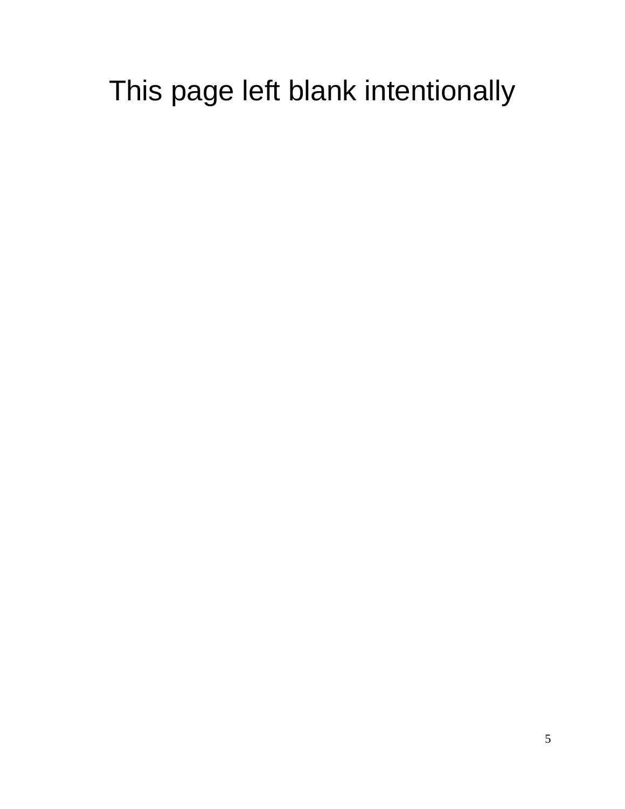# This page left blank intentionally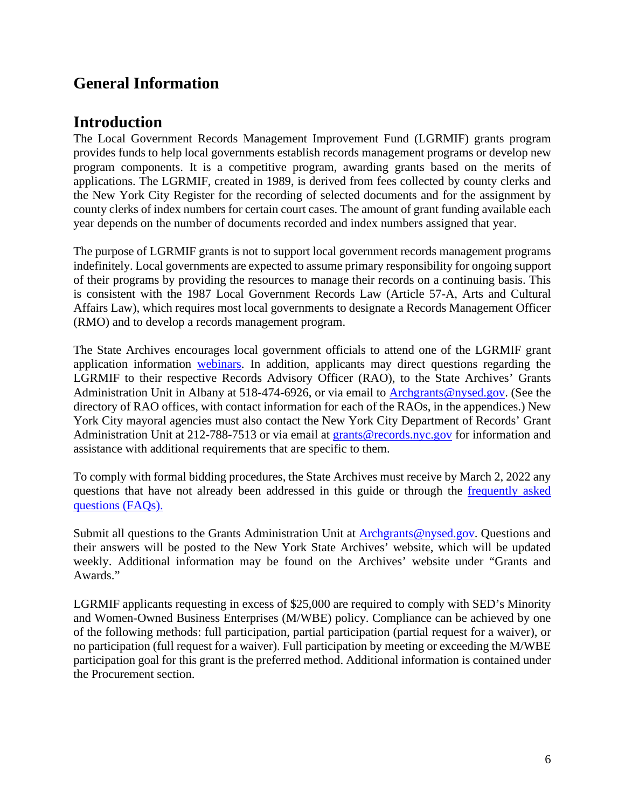### <span id="page-5-0"></span>**General Information**

### <span id="page-5-1"></span>**Introduction**

The Local Government Records Management Improvement Fund (LGRMIF) grants program provides funds to help local governments establish records management programs or develop new program components. It is a competitive program, awarding grants based on the merits of applications. The LGRMIF, created in 1989, is derived from fees collected by county clerks and the New York City Register for the recording of selected documents and for the assignment by county clerks of index numbers for certain court cases. The amount of grant funding available each year depends on the number of documents recorded and index numbers assigned that year.

The purpose of LGRMIF grants is not to support local government records management programs indefinitely. Local governments are expected to assume primary responsibility for ongoing support of their programs by providing the resources to manage their records on a continuing basis. This is consistent with the 1987 Local Government Records Law (Article 57-A, Arts and Cultural Affairs Law), which requires most local governments to designate a Records Management Officer (RMO) and to develop a records management program.

The State Archives encourages local government officials to attend one of the LGRMIF grant application information [webinars.](http://www.archives.nysed.gov/workshops/webinars?field_workshop_category_tid=697&field_intended_audience_tid=All) In addition, applicants may direct questions regarding the LGRMIF to their respective Records Advisory Officer (RAO), to the State Archives' Grants Administration Unit in Albany at 518-474-6926, or via email to [Archgrants@nysed.gov.](mailto:archgrants@nysed.gov) (See the directory of RAO offices, with contact information for each of the RAOs, in the appendices.) New York City mayoral agencies must also contact the New York City Department of Records' Grant Administration Unit at 212-788-7513 or via email at [grants@records.nyc.gov](mailto:grants@records.nyc.gov) for information and assistance with additional requirements that are specific to them.

To comply with formal bidding procedures, the State Archives must receive by March 2, 2022 any questions that have not already been addressed in this guide or through the [frequently asked](http://www.archives.nysed.gov/grants/local-government-records-management-improvement-fund)  [questions \(FAQs\).](http://www.archives.nysed.gov/grants/local-government-records-management-improvement-fund)

Submit all questions to the Grants Administration Unit at [Archgrants@nysed.gov.](mailto:archgrants@mail.nysed.gov) Questions and their answers will be posted to the New York State Archives' website, which will be updated weekly. Additional information may be found on the Archives' website under "Grants and Awards."

LGRMIF applicants requesting in excess of \$25,000 are required to comply with SED's Minority and Women-Owned Business Enterprises (M/WBE) policy. Compliance can be achieved by one of the following methods: full participation, partial participation (partial request for a waiver), or no participation (full request for a waiver). Full participation by meeting or exceeding the M/WBE participation goal for this grant is the preferred method. Additional information is contained under the Procurement section.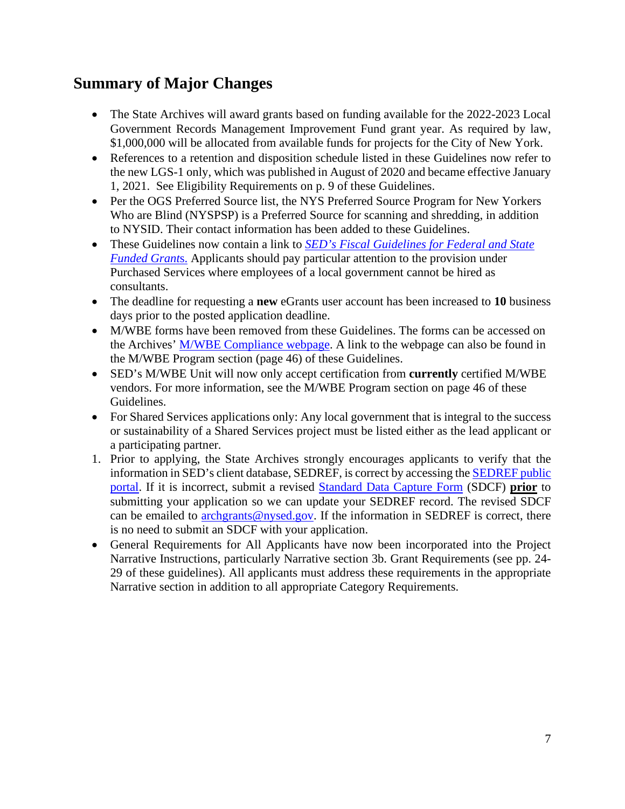### <span id="page-6-0"></span>**Summary of Major Changes**

- The State Archives will award grants based on funding available for the 2022-2023 Local Government Records Management Improvement Fund grant year. As required by law, \$1,000,000 will be allocated from available funds for projects for the City of New York.
- References to a retention and disposition schedule listed in these Guidelines now refer to the new LGS-1 only, which was published in August of 2020 and became effective January 1, 2021. See Eligibility Requirements on p. 9 of these Guidelines.
- Per the OGS Preferred Source list, the NYS Preferred Source Program for New Yorkers Who are Blind (NYSPSP) is a Preferred Source for scanning and shredding, in addition to NYSID. Their contact information has been added to these Guidelines.
- These Guidelines now contain a link to *[SED's Fiscal Guidelines for Federal and State](http://www.oms.nysed.gov/cafe/guidance/guidelines.html)  [Funded Grant](http://www.oms.nysed.gov/cafe/guidance/guidelines.html)*s. Applicants should pay particular attention to the provision under Purchased Services where employees of a local government cannot be hired as consultants.
- The deadline for requesting a **new** eGrants user account has been increased to **10** business days prior to the posted application deadline.
- M/WBE forms have been removed from these Guidelines. The forms can be accessed on the Archives' [M/WBE Compliance webpage.](http://www.archives.nysed.gov/grants/grants_lgrmif_mwbe_compliance.shtml) A link to the webpage can also be found in the M/WBE Program section (page 46) of these Guidelines.
- SED's M/WBE Unit will now only accept certification from **currently** certified M/WBE vendors. For more information, see the [M/WBE Program](#page-45-0) section on page 46 of these Guidelines.
- For Shared Services applications only: Any local government that is integral to the success or sustainability of a Shared Services project must be listed either as the lead applicant or a participating partner.
- 1. Prior to applying, the State Archives strongly encourages applicants to verify that the information in SED's client database, SEDREF, is correct by accessing the [SEDREF public](https://portal.nysed.gov/pls/sedrefpublic/SED.sed_inst_qry_vw$.startup)  [portal.](https://portal.nysed.gov/pls/sedrefpublic/SED.sed_inst_qry_vw$.startup) If it is incorrect, submit a revised [Standard Data Capture Form](http://www.archives.nysed.gov/common/archives/files/grants_lgrmif_standard_data_capture_form.pdf) (SDCF) **prior** to submitting your application so we can update your SEDREF record. The revised SDCF can be emailed to **archgrants@nysed.gov**. If the information in SEDREF is correct, there is no need to submit an SDCF with your application.
- General Requirements for All Applicants have now been incorporated into the Project Narrative Instructions, particularly Narrative section 3b. Grant Requirements (see pp. 24- 29 of these guidelines). All applicants must address these requirements in the appropriate Narrative section in addition to all appropriate Category Requirements.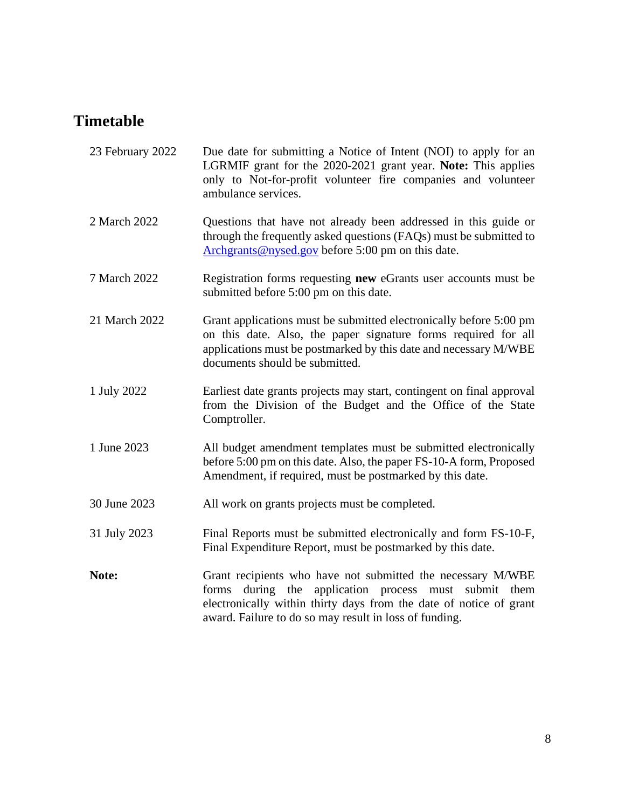### <span id="page-7-0"></span>**Timetable**

- 23 February 2022 Due date for submitting a Notice of Intent (NOI) to apply for an LGRMIF grant for the 2020-2021 grant year. **Note:** This applies only to Not-for-profit volunteer fire companies and volunteer ambulance services.
- 2 March 2022 Cuestions that have not already been addressed in this guide or through the frequently asked questions (FAQs) must be submitted to [Archgrants@nysed.gov](mailto:archgrants@mail.nysed.gov) before 5:00 pm on this date.
- 7 March 2022 Registration forms requesting **new** eGrants user accounts must be submitted before 5:00 pm on this date.
- 21 March 2022 Grant applications must be submitted electronically before 5:00 pm on this date. Also, the paper signature forms required for all applications must be postmarked by this date and necessary M/WBE documents should be submitted.
- 1 July 2022 Earliest date grants projects may start, contingent on final approval from the Division of the Budget and the Office of the State Comptroller.
- 1 June 2023 All budget amendment templates must be submitted electronically before 5:00 pm on this date. Also, the paper FS-10-A form, Proposed Amendment, if required, must be postmarked by this date.
- 30 June 2023 All work on grants projects must be completed.
- 31 July 2023 Final Reports must be submitted electronically and form FS-10-F, Final Expenditure Report, must be postmarked by this date.
- **Note:** Grant recipients who have not submitted the necessary M/WBE forms during the application process must submit them electronically within thirty days from the date of notice of grant award. Failure to do so may result in loss of funding.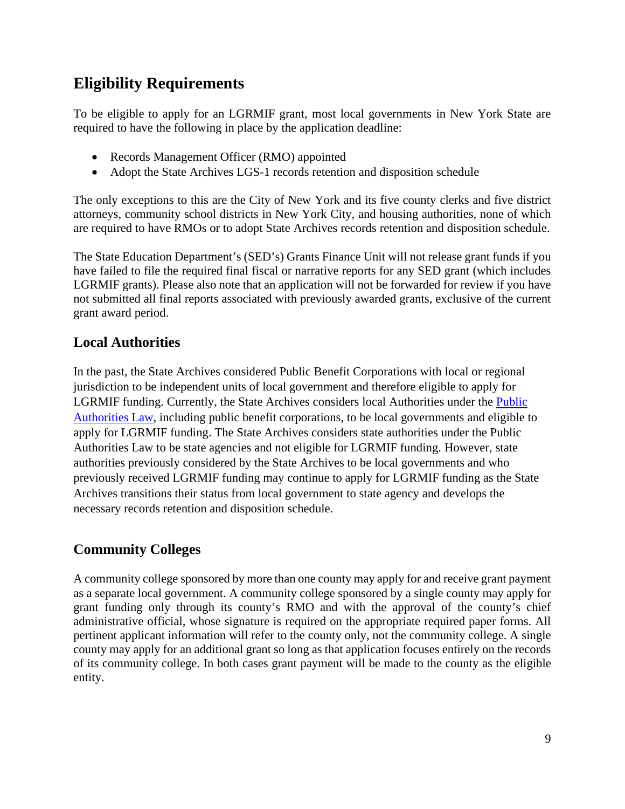### <span id="page-8-0"></span>**Eligibility Requirements**

To be eligible to apply for an LGRMIF grant, most local governments in New York State are required to have the following in place by the application deadline:

- Records Management Officer (RMO) appointed
- Adopt the State Archives LGS-1 records retention and disposition schedule

The only exceptions to this are the City of New York and its five county clerks and five district attorneys, community school districts in New York City, and housing authorities, none of which are required to have RMOs or to adopt State Archives records retention and disposition schedule.

The State Education Department's (SED's) Grants Finance Unit will not release grant funds if you have failed to file the required final fiscal or narrative reports for any SED grant (which includes LGRMIF grants). Please also note that an application will not be forwarded for review if you have not submitted all final reports associated with previously awarded grants, exclusive of the current grant award period.

### **Local Authorities**

In the past, the State Archives considered Public Benefit Corporations with local or regional jurisdiction to be independent units of local government and therefore eligible to apply for LGRMIF funding. Currently, the State Archives considers local Authorities under the [Public](https://www.abo.ny.gov/abo/PAL%20Article1_Sec2800.pdf)  [Authorities Law,](https://www.abo.ny.gov/abo/PAL%20Article1_Sec2800.pdf) including public benefit corporations, to be local governments and eligible to apply for LGRMIF funding. The State Archives considers state authorities under the Public Authorities Law to be state agencies and not eligible for LGRMIF funding. However, state authorities previously considered by the State Archives to be local governments and who previously received LGRMIF funding may continue to apply for LGRMIF funding as the State Archives transitions their status from local government to state agency and develops the necessary records retention and disposition schedule.

### **Community Colleges**

A community college sponsored by more than one county may apply for and receive grant payment as a separate local government. A community college sponsored by a single county may apply for grant funding only through its county's RMO and with the approval of the county's chief administrative official, whose signature is required on the appropriate required paper forms. All pertinent applicant information will refer to the county only, not the community college. A single county may apply for an additional grant so long as that application focuses entirely on the records of its community college. In both cases grant payment will be made to the county as the eligible entity.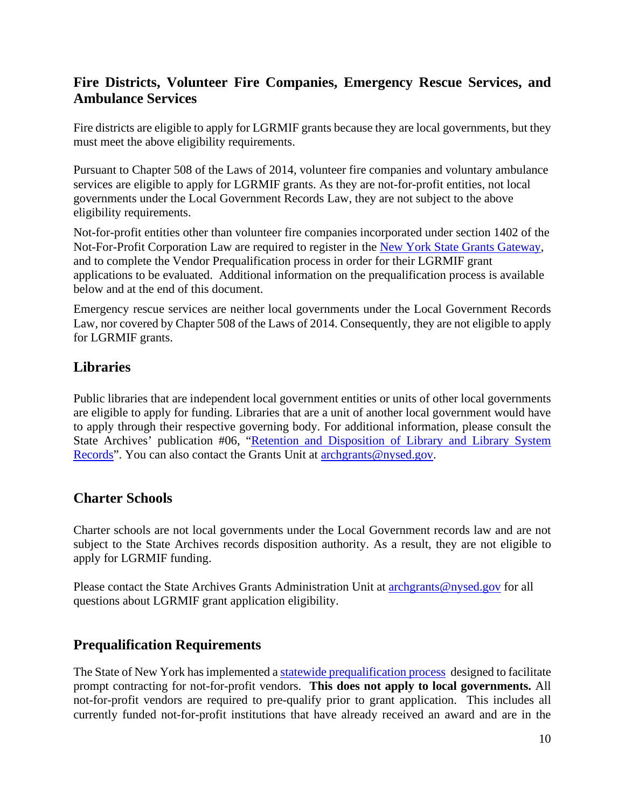### **Fire Districts, Volunteer Fire Companies, Emergency Rescue Services, and Ambulance Services**

Fire districts are eligible to apply for LGRMIF grants because they are local governments, but they must meet the above eligibility requirements.

Pursuant to Chapter 508 of the Laws of 2014, volunteer fire companies and voluntary ambulance services are eligible to apply for LGRMIF grants. As they are not-for-profit entities, not local governments under the Local Government Records Law, they are not subject to the above eligibility requirements.

Not-for-profit entities other than volunteer fire companies incorporated under section 1402 of the Not-For-Profit Corporation Law are required to register in the [New York State](https://grantsmanagement.ny.gov/) Grants Gateway, and to complete the Vendor Prequalification process in order for their LGRMIF grant applications to be evaluated. Additional information on the prequalification process is available below and at the end of this document.

Emergency rescue services are neither local governments under the Local Government Records Law, nor covered by Chapter 508 of the Laws of 2014. Consequently, they are not eligible to apply for LGRMIF grants.

### **Libraries**

Public libraries that are independent local government entities or units of other local governments are eligible to apply for funding. Libraries that are a unit of another local government would have to apply through their respective governing body. For additional information, please consult the State Archives' publication #06, ["Retention and Disposition of Library and Library System](http://www.archives.nysed.gov/common/archives/files/mr_pub6_0.pdf)  [Records"](http://www.archives.nysed.gov/common/archives/files/mr_pub6_0.pdf). You can also contact the Grants Unit at [archgrants@nysed.gov.](mailto:archgrants@nysed.gov)

### **Charter Schools**

Charter schools are not local governments under the Local Government records law and are not subject to the State Archives records disposition authority. As a result, they are not eligible to apply for LGRMIF funding.

Please contact the State Archives Grants Administration Unit at [archgrants@nysed.gov](mailto:archgrants@nysed.gov) for all questions about LGRMIF grant application eligibility.

### <span id="page-9-0"></span>**Prequalification Requirements**

The State of New York has implemented a *statewide prequalification process* designed to facilitate prompt contracting for not-for-profit vendors. **This does not apply to local governments.** All not-for-profit vendors are required to pre-qualify prior to grant application. This includes all currently funded not-for-profit institutions that have already received an award and are in the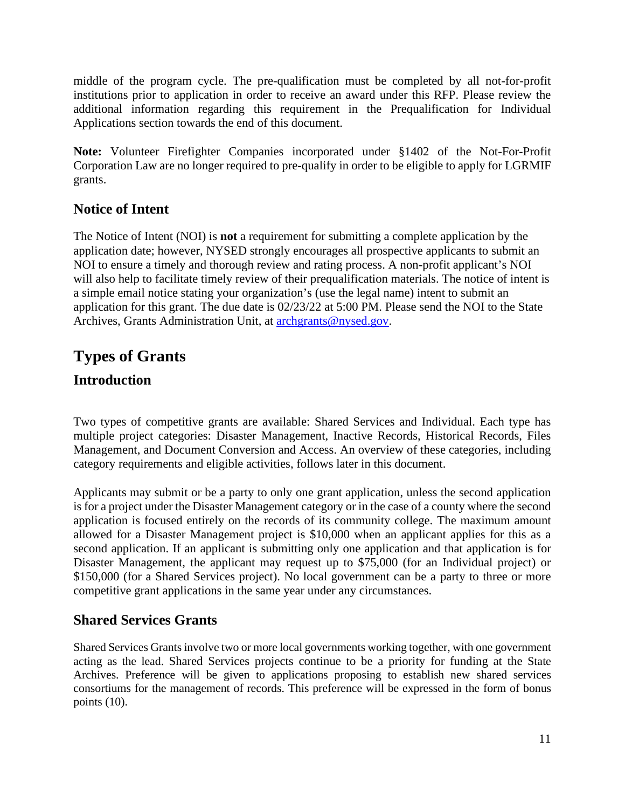middle of the program cycle. The pre-qualification must be completed by all not-for-profit institutions prior to application in order to receive an award under this RFP. Please review the additional information regarding this requirement in the Prequalification for Individual Applications section towards the end of this document.

**Note:** Volunteer Firefighter Companies incorporated under §1402 of the Not-For-Profit Corporation Law are no longer required to pre-qualify in order to be eligible to apply for LGRMIF grants.

### <span id="page-10-0"></span>**Notice of Intent**

The Notice of Intent (NOI) is **not** a requirement for submitting a complete application by the application date; however, NYSED strongly encourages all prospective applicants to submit an NOI to ensure a timely and thorough review and rating process. A non-profit applicant's NOI will also help to facilitate timely review of their prequalification materials. The notice of intent is a simple email notice stating your organization's (use the legal name) intent to submit an application for this grant. The due date is 02/23/22 at 5:00 PM. Please send the NOI to the State Archives, Grants Administration Unit, at [archgrants@nysed.gov.](mailto:archgrants@nysed.gov)

### <span id="page-10-1"></span>**Types of Grants**

### <span id="page-10-2"></span>**Introduction**

Two types of competitive grants are available: Shared Services and Individual. Each type has multiple project categories: Disaster Management, Inactive Records, Historical Records, Files Management, and Document Conversion and Access. An overview of these categories, including category requirements and eligible activities, follows later in this document.

Applicants may submit or be a party to only one grant application, unless the second application is for a project under the Disaster Management category or in the case of a county where the second application is focused entirely on the records of its community college. The maximum amount allowed for a Disaster Management project is \$10,000 when an applicant applies for this as a second application. If an applicant is submitting only one application and that application is for Disaster Management, the applicant may request up to \$75,000 (for an Individual project) or \$150,000 (for a Shared Services project). No local government can be a party to three or more competitive grant applications in the same year under any circumstances.

### <span id="page-10-3"></span>**Shared Services Grants**

Shared Services Grants involve two or more local governments working together, with one government acting as the lead. Shared Services projects continue to be a priority for funding at the State Archives. Preference will be given to applications proposing to establish new shared services consortiums for the management of records. This preference will be expressed in the form of bonus points (10).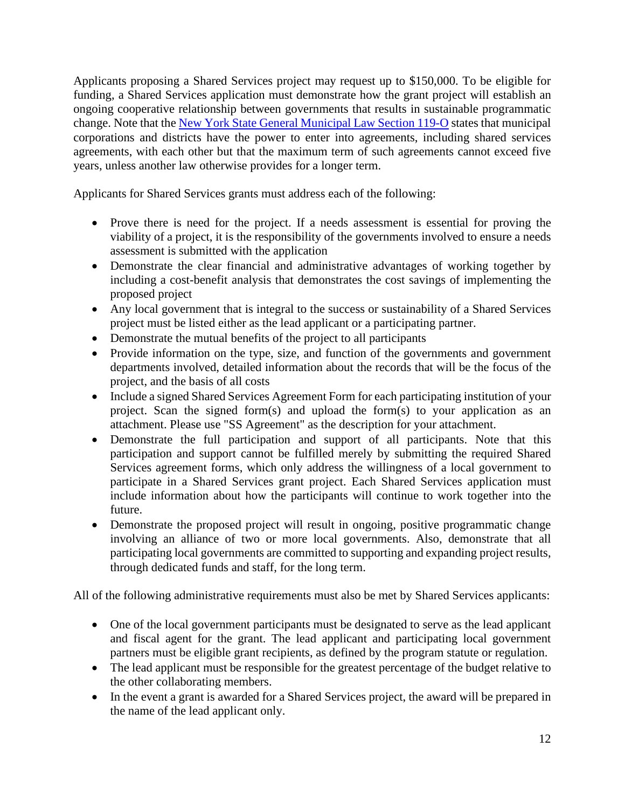Applicants proposing a Shared Services project may request up to \$150,000. To be eligible for funding, a Shared Services application must demonstrate how the grant project will establish an ongoing cooperative relationship between governments that results in sustainable programmatic change. Note that the [New York State General Municipal Law Section 119-O](https://newyork.public.law/laws/n.y._general_municipal_law_section_119-o) states that municipal corporations and districts have the power to enter into agreements, including shared services agreements, with each other but that the maximum term of such agreements cannot exceed five years, unless another law otherwise provides for a longer term.

Applicants for Shared Services grants must address each of the following:

- Prove there is need for the project. If a needs assessment is essential for proving the viability of a project, it is the responsibility of the governments involved to ensure a needs assessment is submitted with the application
- Demonstrate the clear financial and administrative advantages of working together by including a cost-benefit analysis that demonstrates the cost savings of implementing the proposed project
- Any local government that is integral to the success or sustainability of a Shared Services project must be listed either as the lead applicant or a participating partner.
- Demonstrate the mutual benefits of the project to all participants
- Provide information on the type, size, and function of the governments and government departments involved, detailed information about the records that will be the focus of the project, and the basis of all costs
- Include a signed Shared Services Agreement Form for each participating institution of your project. Scan the signed form(s) and upload the form(s) to your application as an attachment. Please use "SS Agreement" as the description for your attachment.
- Demonstrate the full participation and support of all participants. Note that this participation and support cannot be fulfilled merely by submitting the required Shared Services agreement forms, which only address the willingness of a local government to participate in a Shared Services grant project. Each Shared Services application must include information about how the participants will continue to work together into the future.
- Demonstrate the proposed project will result in ongoing, positive programmatic change involving an alliance of two or more local governments. Also, demonstrate that all participating local governments are committed to supporting and expanding project results, through dedicated funds and staff, for the long term.

All of the following administrative requirements must also be met by Shared Services applicants:

- One of the local government participants must be designated to serve as the lead applicant and fiscal agent for the grant. The lead applicant and participating local government partners must be eligible grant recipients, as defined by the program statute or regulation.
- The lead applicant must be responsible for the greatest percentage of the budget relative to the other collaborating members.
- In the event a grant is awarded for a Shared Services project, the award will be prepared in the name of the lead applicant only.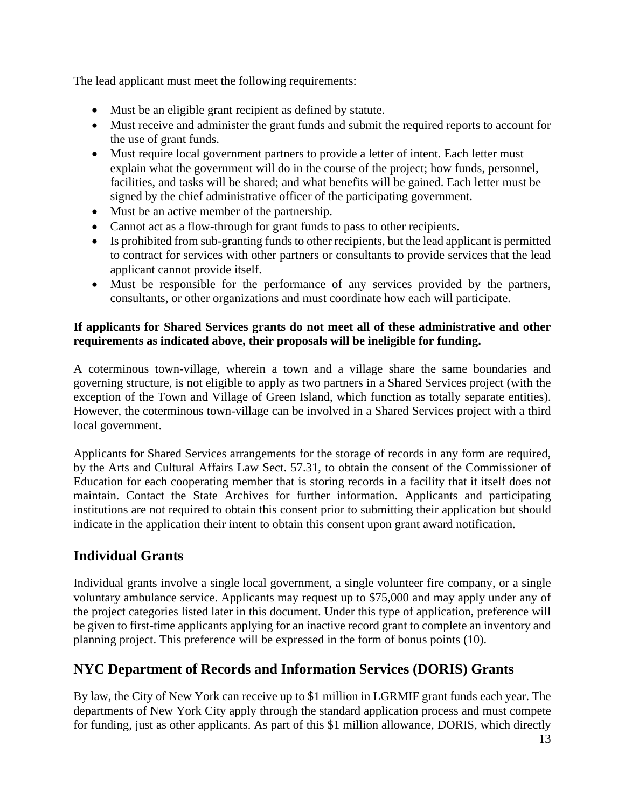The lead applicant must meet the following requirements:

- Must be an eligible grant recipient as defined by statute.
- Must receive and administer the grant funds and submit the required reports to account for the use of grant funds.
- Must require local government partners to provide a letter of intent. Each letter must explain what the government will do in the course of the project; how funds, personnel, facilities, and tasks will be shared; and what benefits will be gained. Each letter must be signed by the chief administrative officer of the participating government.
- Must be an active member of the partnership.
- Cannot act as a flow-through for grant funds to pass to other recipients.
- Is prohibited from sub-granting funds to other recipients, but the lead applicant is permitted to contract for services with other partners or consultants to provide services that the lead applicant cannot provide itself.
- Must be responsible for the performance of any services provided by the partners, consultants, or other organizations and must coordinate how each will participate.

#### **If applicants for Shared Services grants do not meet all of these administrative and other requirements as indicated above, their proposals will be ineligible for funding.**

A coterminous town-village, wherein a town and a village share the same boundaries and governing structure, is not eligible to apply as two partners in a Shared Services project (with the exception of the Town and Village of Green Island, which function as totally separate entities). However, the coterminous town-village can be involved in a Shared Services project with a third local government.

Applicants for Shared Services arrangements for the storage of records in any form are required, by the Arts and Cultural Affairs Law Sect. 57.31, to obtain the consent of the Commissioner of Education for each cooperating member that is storing records in a facility that it itself does not maintain. Contact the State Archives for further information. Applicants and participating institutions are not required to obtain this consent prior to submitting their application but should indicate in the application their intent to obtain this consent upon grant award notification.

### <span id="page-12-0"></span>**Individual Grants**

Individual grants involve a single local government, a single volunteer fire company, or a single voluntary ambulance service. Applicants may request up to \$75,000 and may apply under any of the project categories listed later in this document. Under this type of application, preference will be given to first-time applicants applying for an inactive record grant to complete an inventory and planning project. This preference will be expressed in the form of bonus points (10).

### <span id="page-12-1"></span>**NYC Department of Records and Information Services (DORIS) Grants**

By law, the City of New York can receive up to \$1 million in LGRMIF grant funds each year. The departments of New York City apply through the standard application process and must compete for funding, just as other applicants. As part of this \$1 million allowance, DORIS, which directly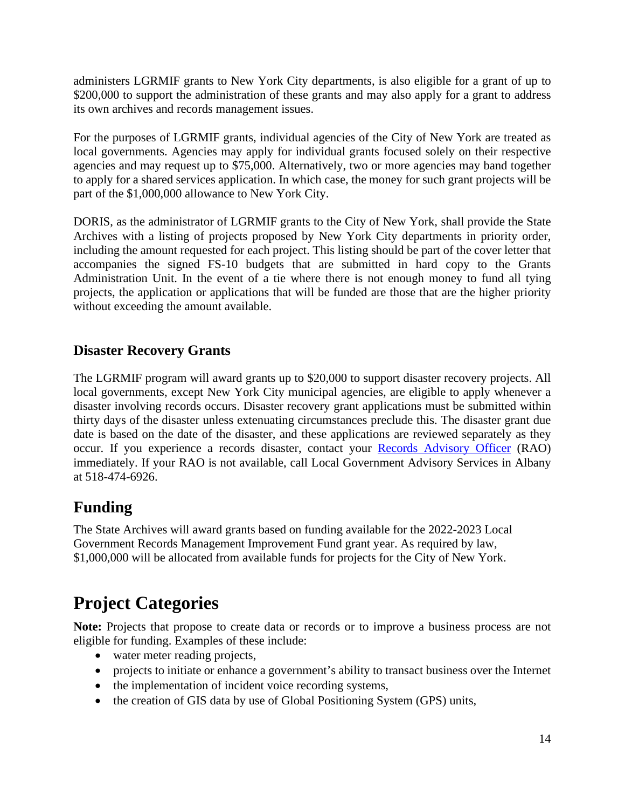administers LGRMIF grants to New York City departments, is also eligible for a grant of up to \$200,000 to support the administration of these grants and may also apply for a grant to address its own archives and records management issues.

For the purposes of LGRMIF grants, individual agencies of the City of New York are treated as local governments. Agencies may apply for individual grants focused solely on their respective agencies and may request up to \$75,000. Alternatively, two or more agencies may band together to apply for a shared services application. In which case, the money for such grant projects will be part of the \$1,000,000 allowance to New York City.

DORIS, as the administrator of LGRMIF grants to the City of New York, shall provide the State Archives with a listing of projects proposed by New York City departments in priority order, including the amount requested for each project. This listing should be part of the cover letter that accompanies the signed FS-10 budgets that are submitted in hard copy to the Grants Administration Unit. In the event of a tie where there is not enough money to fund all tying projects, the application or applications that will be funded are those that are the higher priority without exceeding the amount available.

### <span id="page-13-0"></span>**Disaster Recovery Grants**

The LGRMIF program will award grants up to \$20,000 to support disaster recovery projects. All local governments, except New York City municipal agencies, are eligible to apply whenever a disaster involving records occurs. Disaster recovery grant applications must be submitted within thirty days of the disaster unless extenuating circumstances preclude this. The disaster grant due date is based on the date of the disaster, and these applications are reviewed separately as they occur. If you experience a records disaster, contact your **Records [Advisory Officer](http://www.archives.nysed.gov/about/about-contact-local-government-advisory-services)** (RAO) immediately. If your RAO is not available, call Local Government Advisory Services in Albany at 518-474-6926.

### <span id="page-13-1"></span>**Funding**

The State Archives will award grants based on funding available for the 2022-2023 Local Government Records Management Improvement Fund grant year. As required by law, \$1,000,000 will be allocated from available funds for projects for the City of New York.

# <span id="page-13-2"></span>**Project Categories**

**Note:** Projects that propose to create data or records or to improve a business process are not eligible for funding. Examples of these include:

- water meter reading projects,
- projects to initiate or enhance a government's ability to transact business over the Internet
- the implementation of incident voice recording systems,
- the creation of GIS data by use of Global Positioning System (GPS) units,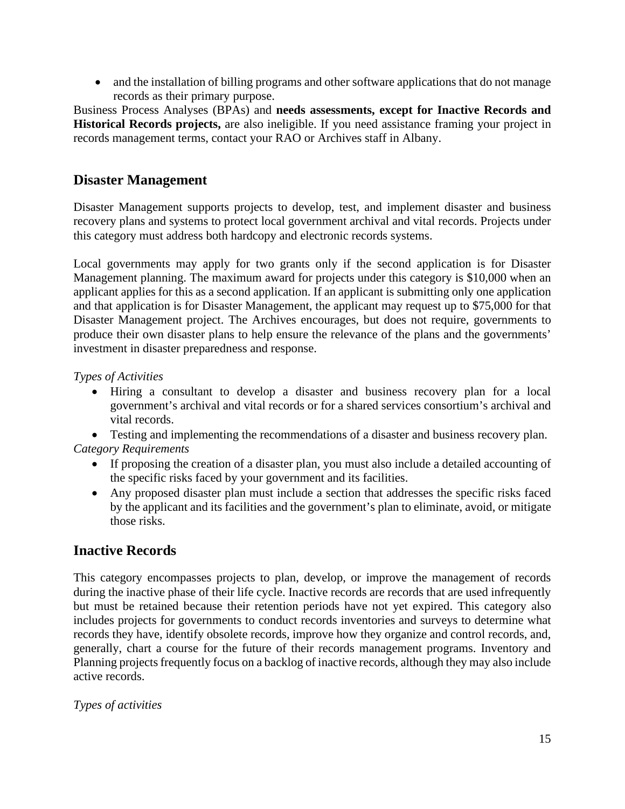• and the installation of billing programs and other software applications that do not manage records as their primary purpose.

Business Process Analyses (BPAs) and **needs assessments, except for Inactive Records and Historical Records projects,** are also ineligible. If you need assistance framing your project in records management terms, contact your RAO or Archives staff in Albany.

### <span id="page-14-0"></span>**Disaster Management**

Disaster Management supports projects to develop, test, and implement disaster and business recovery plans and systems to protect local government archival and vital records. Projects under this category must address both hardcopy and electronic records systems.

Local governments may apply for two grants only if the second application is for Disaster Management planning. The maximum award for projects under this category is \$10,000 when an applicant applies for this as a second application. If an applicant is submitting only one application and that application is for Disaster Management, the applicant may request up to \$75,000 for that Disaster Management project. The Archives encourages, but does not require, governments to produce their own disaster plans to help ensure the relevance of the plans and the governments' investment in disaster preparedness and response.

*Types of Activities*

- Hiring a consultant to develop a disaster and business recovery plan for a local government's archival and vital records or for a shared services consortium's archival and vital records.
- Testing and implementing the recommendations of a disaster and business recovery plan. *Category Requirements* 
	- If proposing the creation of a disaster plan, you must also include a detailed accounting of the specific risks faced by your government and its facilities.
	- Any proposed disaster plan must include a section that addresses the specific risks faced by the applicant and its facilities and the government's plan to eliminate, avoid, or mitigate those risks.

### <span id="page-14-1"></span>**Inactive Records**

This category encompasses projects to plan, develop, or improve the management of records during the inactive phase of their life cycle. Inactive records are records that are used infrequently but must be retained because their retention periods have not yet expired. This category also includes projects for governments to conduct records inventories and surveys to determine what records they have, identify obsolete records, improve how they organize and control records, and, generally, chart a course for the future of their records management programs. Inventory and Planning projects frequently focus on a backlog of inactive records, although they may also include active records.

*Types of activities*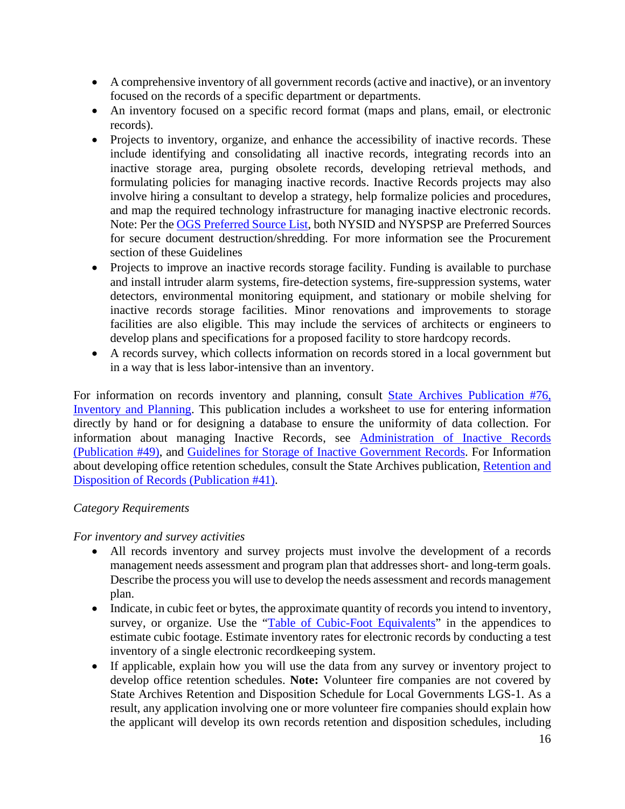- A comprehensive inventory of all government records (active and inactive), or an inventory focused on the records of a specific department or departments.
- An inventory focused on a specific record format (maps and plans, email, or electronic records).
- Projects to inventory, organize, and enhance the accessibility of inactive records. These include identifying and consolidating all inactive records, integrating records into an inactive storage area, purging obsolete records, developing retrieval methods, and formulating policies for managing inactive records. Inactive Records projects may also involve hiring a consultant to develop a strategy, help formalize policies and procedures, and map the required technology infrastructure for managing inactive electronic records. Note: Per the [OGS Preferred Source List,](https://ogs.ny.gov/procurement/preferred-sources) both NYSID and NYSPSP are Preferred Sources for secure document destruction/shredding. For more information see the [Procurement](#page-42-0) section of these Guidelines
- Projects to improve an inactive records storage facility. Funding is available to purchase and install intruder alarm systems, fire-detection systems, fire-suppression systems, water detectors, environmental monitoring equipment, and stationary or mobile shelving for inactive records storage facilities. Minor renovations and improvements to storage facilities are also eligible. This may include the services of architects or engineers to develop plans and specifications for a proposed facility to store hardcopy records.
- A records survey, which collects information on records stored in a local government but in a way that is less labor-intensive than an inventory.

For information on records inventory and planning, consult [State Archives Publication #76,](http://www.archives.nysed.gov/common/archives/files/mr_pub76.pdf)  [Inventory and Planning.](http://www.archives.nysed.gov/common/archives/files/mr_pub76.pdf) This publication includes a worksheet to use for entering information directly by hand or for designing a database to ensure the uniformity of data collection. For information about managing Inactive Records, see [Administration of Inactive Records](http://www.archives.nysed.gov/common/archives/files/mr_pub49.pdf) [\(Publication #49\),](http://www.archives.nysed.gov/common/archives/files/mr_pub49.pdf) and [Guidelines for Storage of Inactive Government Records.](http://www.archives.nysed.gov/common/archives/files/guidelines_storage_inactive_records_nov-2021.pdf) For Information about developing office retention schedules, consult the State Archives publication, [Retention and](http://www.archives.nysed.gov/common/archives/files/mr_pub41.pdf)  [Disposition of Records](http://www.archives.nysed.gov/common/archives/files/mr_pub41.pdf) (Publication #41).

#### *Category Requirements*

#### *For inventory and survey activities*

- All records inventory and survey projects must involve the development of a records management needs assessment and program plan that addresses short- and long-term goals. Describe the process you will use to develop the needs assessment and records management plan.
- Indicate, in cubic feet or bytes, the approximate quantity of records you intend to inventory, survey, or organize. Use the ["Table of Cubic-Foot](#page-65-0) Equivalents" in the appendices to estimate cubic footage. Estimate inventory rates for electronic records by conducting a test inventory of a single electronic recordkeeping system.
- If applicable, explain how you will use the data from any survey or inventory project to develop office retention schedules. **Note:** Volunteer fire companies are not covered by State Archives Retention and Disposition Schedule for Local Governments LGS-1. As a result, any application involving one or more volunteer fire companies should explain how the applicant will develop its own records retention and disposition schedules, including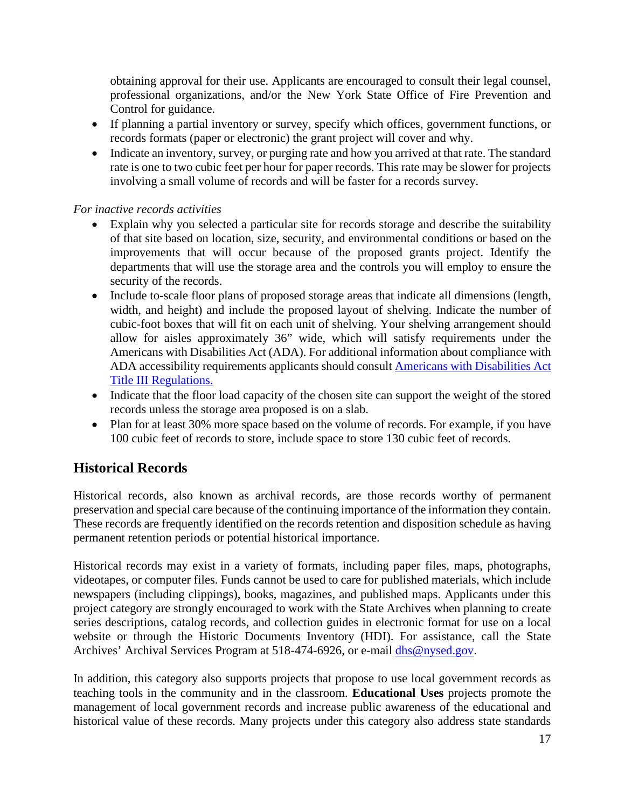obtaining approval for their use. Applicants are encouraged to consult their legal counsel, professional organizations, and/or the New York State Office of Fire Prevention and Control for guidance.

- If planning a partial inventory or survey, specify which offices, government functions, or records formats (paper or electronic) the grant project will cover and why.
- Indicate an inventory, survey, or purging rate and how you arrived at that rate. The standard rate is one to two cubic feet per hour for paper records. This rate may be slower for projects involving a small volume of records and will be faster for a records survey.

#### *For inactive records activities*

- Explain why you selected a particular site for records storage and describe the suitability of that site based on location, size, security, and environmental conditions or based on the improvements that will occur because of the proposed grants project. Identify the departments that will use the storage area and the controls you will employ to ensure the security of the records.
- Include to-scale floor plans of proposed storage areas that indicate all dimensions (length, width, and height) and include the proposed layout of shelving. Indicate the number of cubic-foot boxes that will fit on each unit of shelving. Your shelving arrangement should allow for aisles approximately 36" wide, which will satisfy requirements under the Americans with Disabilities Act (ADA). For additional information about compliance with ADA accessibility requirements applicants should consult Americans [with Disabilities Act](https://www.ada.gov/ada_title_III.htm)  [Title III Regulations.](https://www.ada.gov/ada_title_III.htm)
- Indicate that the floor load capacity of the chosen site can support the weight of the stored records unless the storage area proposed is on a slab.
- Plan for at least 30% more space based on the volume of records. For example, if you have 100 cubic feet of records to store, include space to store 130 cubic feet of records.

### <span id="page-16-0"></span>**Historical Records**

Historical records, also known as archival records, are those records worthy of permanent preservation and special care because of the continuing importance of the information they contain. These records are frequently identified on the records retention and disposition schedule as having permanent retention periods or potential historical importance.

Historical records may exist in a variety of formats, including paper files, maps, photographs, videotapes, or computer files. Funds cannot be used to care for published materials, which include newspapers (including clippings), books, magazines, and published maps. Applicants under this project category are strongly encouraged to work with the State Archives when planning to create series descriptions, catalog records, and collection guides in electronic format for use on a local website or through the Historic Documents Inventory (HDI). For assistance, call the State Archives' Archival Services Program at 518-474-6926, or e-mail [dhs@nysed.gov.](mailto:dhs@nysed.gov)

In addition, this category also supports projects that propose to use local government records as teaching tools in the community and in the classroom. **Educational Uses** projects promote the management of local government records and increase public awareness of the educational and historical value of these records. Many projects under this category also address state standards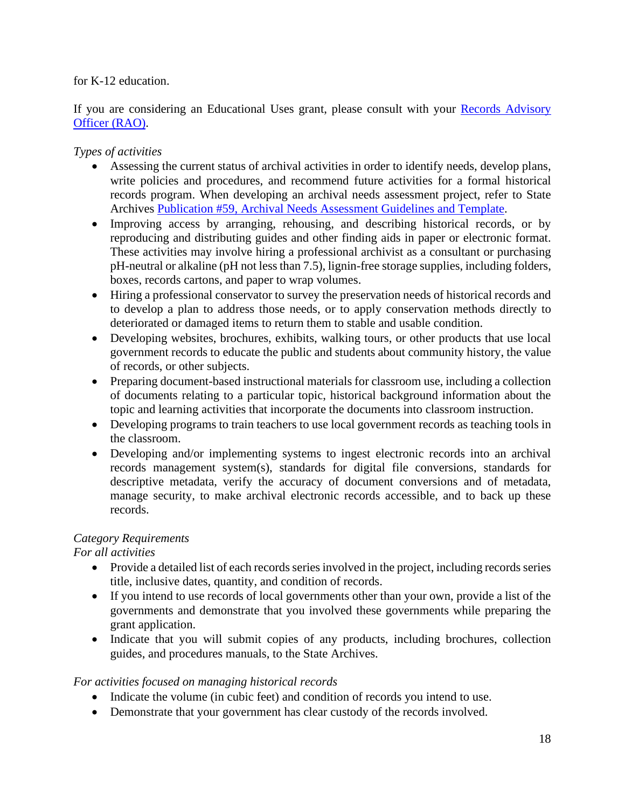#### for K-12 education.

If you are considering an Educational Uses grant, please consult with your Records Advisory [Officer \(RAO\).](http://www.archives.nysed.gov/about/about-contact-local-government-advisory-services)

#### *Types of activities*

- Assessing the current status of archival activities in order to identify needs, develop plans, write policies and procedures, and recommend future activities for a formal historical records program. When developing an archival needs assessment project, refer to State Archives [Publication #59, Archival Needs Assessment Guidelines and Template.](http://www.archives.nysed.gov/common/archives/files/mr_pub59.pdf)
- Improving access by arranging, rehousing, and describing historical records, or by reproducing and distributing guides and other finding aids in paper or electronic format. These activities may involve hiring a professional archivist as a consultant or purchasing pH-neutral or alkaline (pH not less than 7.5), lignin-free storage supplies, including folders, boxes, records cartons, and paper to wrap volumes.
- Hiring a professional conservator to survey the preservation needs of historical records and to develop a plan to address those needs, or to apply conservation methods directly to deteriorated or damaged items to return them to stable and usable condition.
- Developing websites, brochures, exhibits, walking tours, or other products that use local government records to educate the public and students about community history, the value of records, or other subjects.
- Preparing document-based instructional materials for classroom use, including a collection of documents relating to a particular topic, historical background information about the topic and learning activities that incorporate the documents into classroom instruction.
- Developing programs to train teachers to use local government records as teaching tools in the classroom.
- Developing and/or implementing systems to ingest electronic records into an archival records management system(s), standards for digital file conversions, standards for descriptive metadata, verify the accuracy of document conversions and of metadata, manage security, to make archival electronic records accessible, and to back up these records.

#### *Category Requirements*

*For all activities*

- Provide a detailed list of each records series involved in the project, including records series title, inclusive dates, quantity, and condition of records.
- If you intend to use records of local governments other than your own, provide a list of the governments and demonstrate that you involved these governments while preparing the grant application.
- Indicate that you will submit copies of any products, including brochures, collection guides, and procedures manuals, to the State Archives.

#### *For activities focused on managing historical records*

- Indicate the volume (in cubic feet) and condition of records you intend to use.
- Demonstrate that your government has clear custody of the records involved.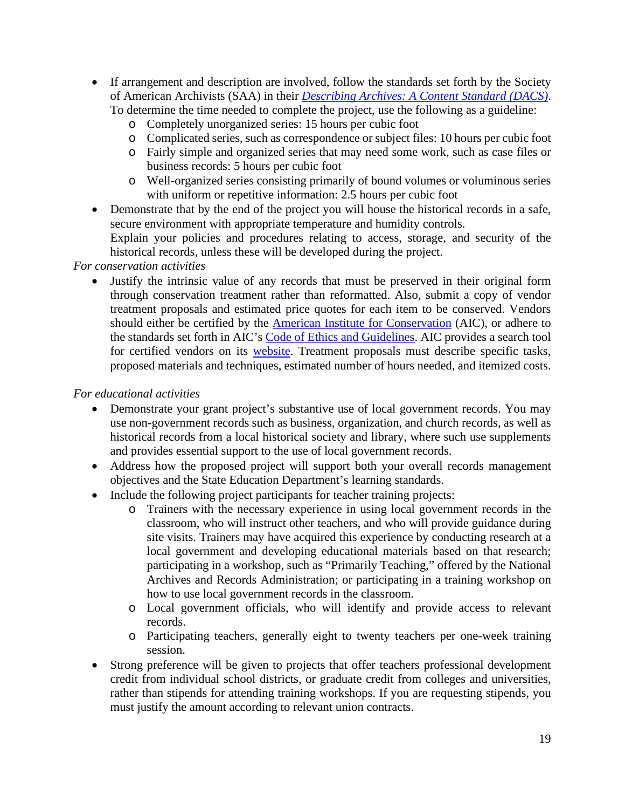- If arrangement and description are involved, follow the standards set forth by the Society of American Archivists (SAA) in their *[Describing Archives: A Content Standard \(DACS\)](https://saa-ts-dacs.github.io/)*. To determine the time needed to complete the project, use the following as a guideline:
	- o Completely unorganized series: 15 hours per cubic foot
	- o Complicated series, such as correspondence or subject files: 10 hours per cubic foot
	- o Fairly simple and organized series that may need some work, such as case files or business records: 5 hours per cubic foot
	- o Well-organized series consisting primarily of bound volumes or voluminous series with uniform or repetitive information: 2.5 hours per cubic foot
- Demonstrate that by the end of the project you will house the historical records in a safe, secure environment with appropriate temperature and humidity controls.

Explain your policies and procedures relating to access, storage, and security of the historical records, unless these will be developed during the project.

#### *For conservation activities*

• Justify the intrinsic value of any records that must be preserved in their original form through conservation treatment rather than reformatted. Also, submit a copy of vendor treatment proposals and estimated price quotes for each item to be conserved. Vendors should either be certified by the **American Institute for Conservation** (AIC), or adhere to the standards set forth in AIC's [Code of Ethics and Guidelines.](https://www.culturalheritage.org/about-conservation/code-of-ethics) AIC provides a search tool for certified vendors on its [website.](https://www.culturalheritage.org/about-conservation/find-a-conservator) Treatment proposals must describe specific tasks, proposed materials and techniques, estimated number of hours needed, and itemized costs.

#### *For educational activities*

- Demonstrate your grant project's substantive use of local government records. You may use non-government records such as business, organization, and church records, as well as historical records from a local historical society and library, where such use supplements and provides essential support to the use of local government records.
- Address how the proposed project will support both your overall records management objectives and the State Education Department's learning standards.
- Include the following project participants for teacher training projects:
	- o Trainers with the necessary experience in using local government records in the classroom, who will instruct other teachers, and who will provide guidance during site visits. Trainers may have acquired this experience by conducting research at a local government and developing educational materials based on that research; participating in a workshop, such as "Primarily Teaching," offered by the National Archives and Records Administration; or participating in a training workshop on how to use local government records in the classroom.
	- o Local government officials, who will identify and provide access to relevant records.
	- o Participating teachers, generally eight to twenty teachers per one-week training session.
- Strong preference will be given to projects that offer teachers professional development credit from individual school districts, or graduate credit from colleges and universities, rather than stipends for attending training workshops. If you are requesting stipends, you must justify the amount according to relevant union contracts.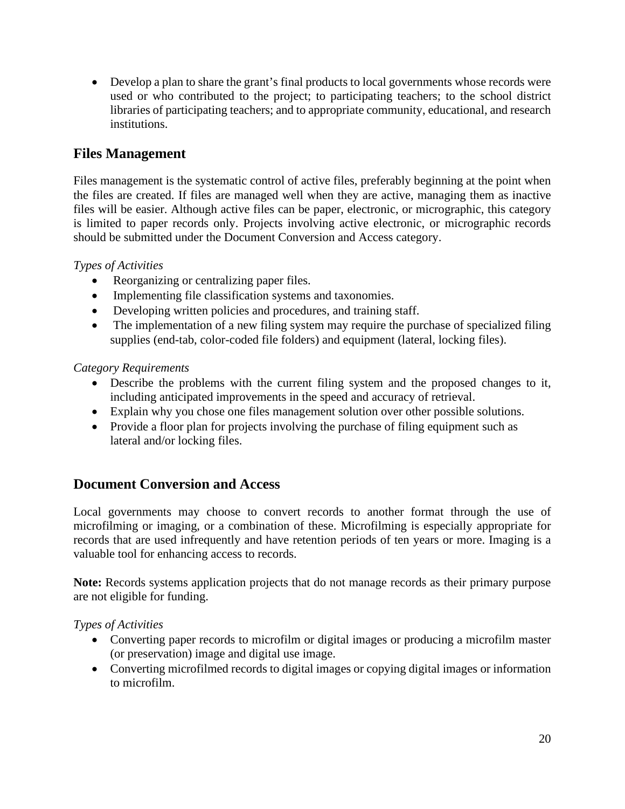• Develop a plan to share the grant's final products to local governments whose records were used or who contributed to the project; to participating teachers; to the school district libraries of participating teachers; and to appropriate community, educational, and research institutions.

### <span id="page-19-0"></span>**Files Management**

Files management is the systematic control of active files, preferably beginning at the point when the files are created. If files are managed well when they are active, managing them as inactive files will be easier. Although active files can be paper, electronic, or micrographic, this category is limited to paper records only. Projects involving active electronic, or micrographic records should be submitted under the Document Conversion and Access category.

#### *Types of Activities*

- Reorganizing or centralizing paper files.
- Implementing file classification systems and taxonomies.
- Developing written policies and procedures, and training staff.
- The implementation of a new filing system may require the purchase of specialized filing supplies (end-tab, color-coded file folders) and equipment (lateral, locking files).

#### *Category Requirements*

- Describe the problems with the current filing system and the proposed changes to it, including anticipated improvements in the speed and accuracy of retrieval.
- Explain why you chose one files management solution over other possible solutions.
- Provide a floor plan for projects involving the purchase of filing equipment such as lateral and/or locking files.

### <span id="page-19-1"></span>**Document Conversion and Access**

Local governments may choose to convert records to another format through the use of microfilming or imaging, or a combination of these. Microfilming is especially appropriate for records that are used infrequently and have retention periods of ten years or more. Imaging is a valuable tool for enhancing access to records.

**Note:** Records systems application projects that do not manage records as their primary purpose are not eligible for funding.

#### *Types of Activities*

- Converting paper records to microfilm or digital images or producing a microfilm master (or preservation) image and digital use image.
- Converting microfilmed records to digital images or copying digital images or information to microfilm.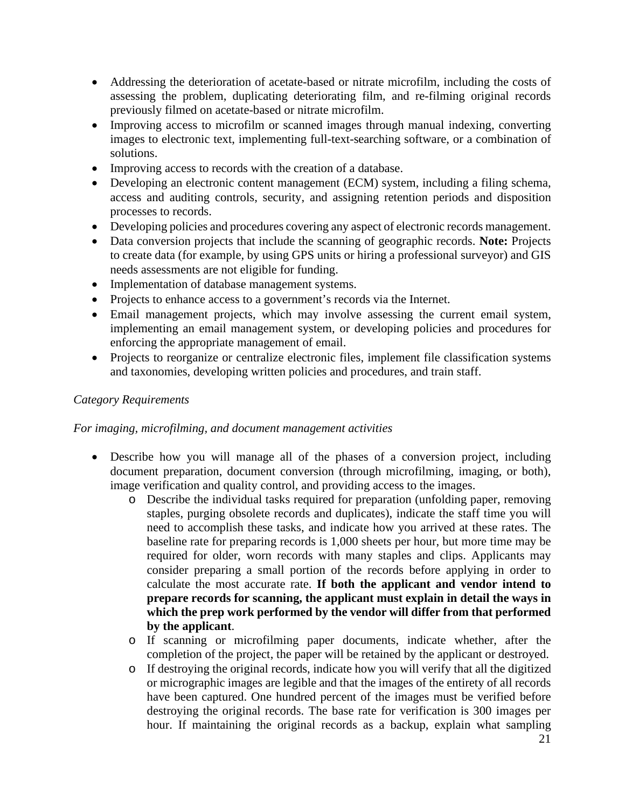- Addressing the deterioration of acetate-based or nitrate microfilm, including the costs of assessing the problem, duplicating deteriorating film, and re-filming original records previously filmed on acetate-based or nitrate microfilm.
- Improving access to microfilm or scanned images through manual indexing, converting images to electronic text, implementing full-text-searching software, or a combination of solutions.
- Improving access to records with the creation of a database.
- Developing an electronic content management (ECM) system, including a filing schema, access and auditing controls, security, and assigning retention periods and disposition processes to records.
- Developing policies and procedures covering any aspect of electronic records management.
- Data conversion projects that include the scanning of geographic records. **Note:** Projects to create data (for example, by using GPS units or hiring a professional surveyor) and GIS needs assessments are not eligible for funding.
- Implementation of database management systems.
- Projects to enhance access to a government's records via the Internet.
- Email management projects, which may involve assessing the current email system, implementing an email management system, or developing policies and procedures for enforcing the appropriate management of email.
- Projects to reorganize or centralize electronic files, implement file classification systems and taxonomies, developing written policies and procedures, and train staff.

#### *Category Requirements*

#### *For imaging, microfilming, and document management activities*

- Describe how you will manage all of the phases of a conversion project, including document preparation, document conversion (through microfilming, imaging, or both), image verification and quality control, and providing access to the images.
	- o Describe the individual tasks required for preparation (unfolding paper, removing staples, purging obsolete records and duplicates), indicate the staff time you will need to accomplish these tasks, and indicate how you arrived at these rates. The baseline rate for preparing records is 1,000 sheets per hour, but more time may be required for older, worn records with many staples and clips. Applicants may consider preparing a small portion of the records before applying in order to calculate the most accurate rate. **If both the applicant and vendor intend to prepare records for scanning, the applicant must explain in detail the ways in which the prep work performed by the vendor will differ from that performed by the applicant**.
	- o If scanning or microfilming paper documents, indicate whether, after the completion of the project, the paper will be retained by the applicant or destroyed.
	- o If destroying the original records, indicate how you will verify that all the digitized or micrographic images are legible and that the images of the entirety of all records have been captured. One hundred percent of the images must be verified before destroying the original records. The base rate for verification is 300 images per hour. If maintaining the original records as a backup, explain what sampling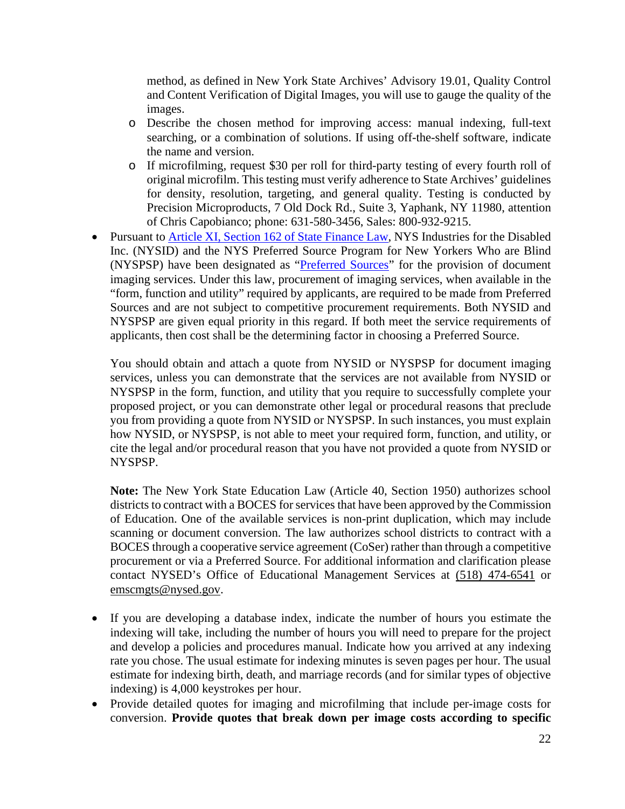method, as defined in New York State Archives' Advisory 19.01, Quality Control and Content Verification of Digital Images, you will use to gauge the quality of the images.

- o Describe the chosen method for improving access: manual indexing, full-text searching, or a combination of solutions. If using off-the-shelf software, indicate the name and version.
- o If microfilming, request \$30 per roll for third-party testing of every fourth roll of original microfilm. This testing must verify adherence to State Archives' guidelines for density, resolution, targeting, and general quality. Testing is conducted by Precision Microproducts, 7 Old Dock Rd., Suite 3, Yaphank, NY 11980, attention of Chris Capobianco; phone: 631-580-3456, Sales: 800-932-9215.
- Pursuant to [Article XI, Section 162 of State Finance Law,](https://www.nysenate.gov/legislation/laws/STF/162) NYS Industries for the Disabled Inc. (NYSID) and the NYS Preferred Source Program for New Yorkers Who are Blind (NYSPSP) have been designated as ["Preferred Sources"](https://ogs.ny.gov/procurement/nys-procurement-bulletin-preferred-source-guidelines) for the provision of document imaging services. Under this law, procurement of imaging services, when available in the "form, function and utility" required by applicants, are required to be made from Preferred Sources and are not subject to competitive procurement requirements. Both NYSID and NYSPSP are given equal priority in this regard. If both meet the service requirements of applicants, then cost shall be the determining factor in choosing a Preferred Source.

You should obtain and attach a quote from NYSID or NYSPSP for document imaging services, unless you can demonstrate that the services are not available from NYSID or NYSPSP in the form, function, and utility that you require to successfully complete your proposed project, or you can demonstrate other legal or procedural reasons that preclude you from providing a quote from NYSID or NYSPSP. In such instances, you must explain how NYSID, or NYSPSP, is not able to meet your required form, function, and utility, or cite the legal and/or procedural reason that you have not provided a quote from NYSID or NYSPSP.

**Note:** The New York State Education Law (Article 40, Section 1950) authorizes school districts to contract with a BOCES for services that have been approved by the Commission of Education. One of the available services is non-print duplication, which may include scanning or document conversion. The law authorizes school districts to contract with a BOCES through a cooperative service agreement (CoSer) rather than through a competitive procurement or via a Preferred Source. For additional information and clarification please contact NYSED's Office of Educational Management Services at (518) [474-6541](tel:%28518%29474-6541) or emscmgts@nysed.gov.

- If you are developing a database index, indicate the number of hours you estimate the indexing will take, including the number of hours you will need to prepare for the project and develop a policies and procedures manual. Indicate how you arrived at any indexing rate you chose. The usual estimate for indexing minutes is seven pages per hour. The usual estimate for indexing birth, death, and marriage records (and for similar types of objective indexing) is 4,000 keystrokes per hour.
- Provide detailed quotes for imaging and microfilming that include per-image costs for conversion. **Provide quotes that break down per image costs according to specific**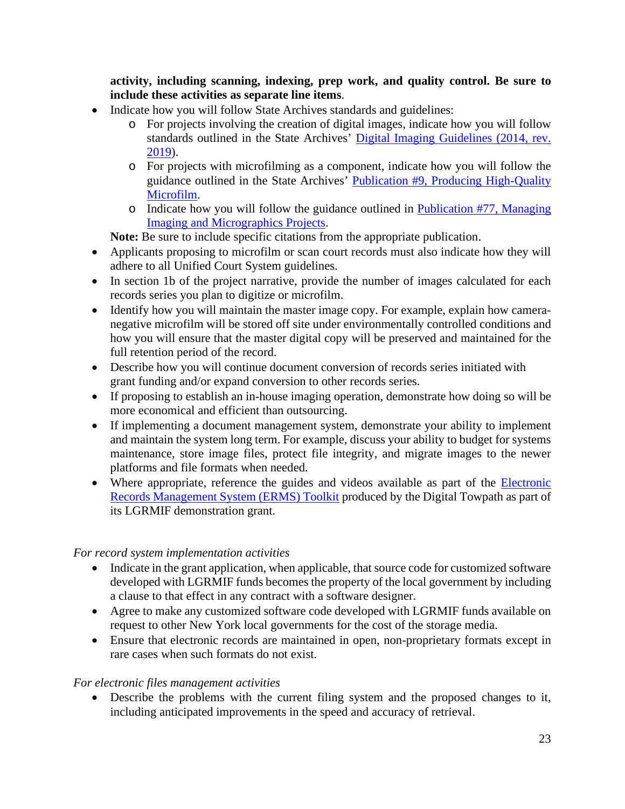**activity, including scanning, indexing, prep work, and quality control. Be sure to include these activities as separate line items**.

- Indicate how you will follow State Archives standards and guidelines:
	- o For projects involving the creation of digital images, indicate how you will follow standards outlined in the State Archives' [Digital Imaging Guidelines \(2014, rev.](http://www.archives.nysed.gov/common/archives/files/mr_erecords_imgguides.pdf)  [2019\)](http://www.archives.nysed.gov/common/archives/files/mr_erecords_imgguides.pdf).
	- o For projects with microfilming as a component, indicate how you will follow the guidance outlined in the State Archives' [Publication #9, Producing High-Quality](http://www.archives.nysed.gov/common/archives/files/mr_pub9.pdf)  [Microfilm.](http://www.archives.nysed.gov/common/archives/files/mr_pub9.pdf)
	- o Indicate how you will follow the guidance outlined in [Publication #77, Managing](http://www.archives.nysed.gov/common/archives/files/mr_pub77.pdf)  [Imaging and Micrographics Projects.](http://www.archives.nysed.gov/common/archives/files/mr_pub77.pdf)

**Note:** Be sure to include specific citations from the appropriate publication.

- Applicants proposing to microfilm or scan court records must also indicate how they will adhere to all Unified Court System guidelines.
- In section 1b of the project narrative, provide the number of images calculated for each records series you plan to digitize or microfilm.
- Identify how you will maintain the master image copy. For example, explain how cameranegative microfilm will be stored off site under environmentally controlled conditions and how you will ensure that the master digital copy will be preserved and maintained for the full retention period of the record.
- Describe how you will continue document conversion of records series initiated with grant funding and/or expand conversion to other records series.
- If proposing to establish an in-house imaging operation, demonstrate how doing so will be more economical and efficient than outsourcing.
- If implementing a document management system, demonstrate your ability to implement and maintain the system long term. For example, discuss your ability to budget for systems maintenance, store image files, protect file integrity, and migrate images to the newer platforms and file formats when needed.
- Where appropriate, reference the guides and videos available as part of the Electronic [Records Management System \(ERMS\) Toolkit](http://digitaltowpath.org/toolkit) produced by the Digital Towpath as part of its LGRMIF demonstration grant.

#### *For record system implementation activities*

- Indicate in the grant application, when applicable, that source code for customized software developed with LGRMIF funds becomes the property of the local government by including a clause to that effect in any contract with a software designer.
- Agree to make any customized software code developed with LGRMIF funds available on request to other New York local governments for the cost of the storage media.
- Ensure that electronic records are maintained in open, non-proprietary formats except in rare cases when such formats do not exist.

#### *For electronic files management activities*

• Describe the problems with the current filing system and the proposed changes to it, including anticipated improvements in the speed and accuracy of retrieval.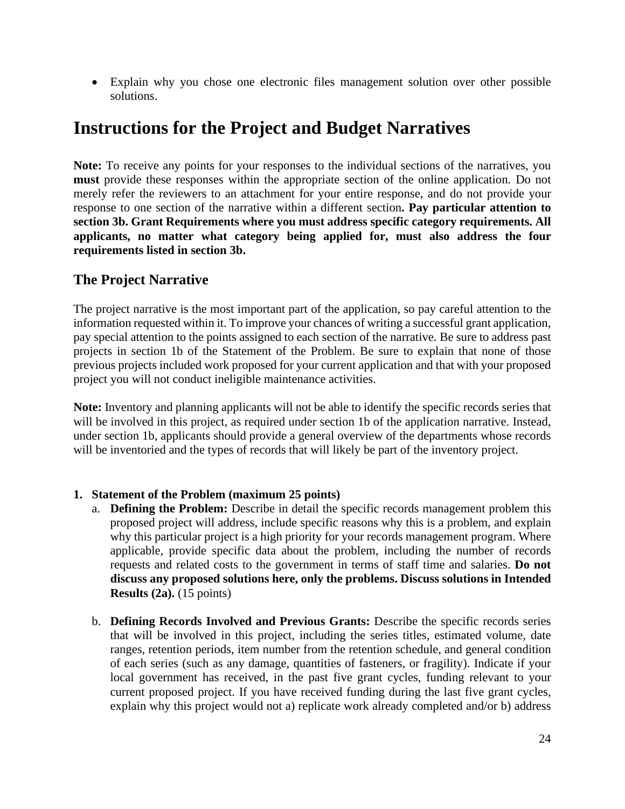• Explain why you chose one electronic files management solution over other possible solutions.

# <span id="page-23-0"></span>**Instructions for the Project and Budget Narratives**

**Note:** To receive any points for your responses to the individual sections of the narratives, you **must** provide these responses within the appropriate section of the online application. Do not merely refer the reviewers to an attachment for your entire response, and do not provide your response to one section of the narrative within a different section**. Pay particular attention to section 3b. Grant Requirements where you must address specific category requirements. All applicants, no matter what category being applied for, must also address the four requirements listed in section 3b.**

### <span id="page-23-1"></span>**The Project Narrative**

The project narrative is the most important part of the application, so pay careful attention to the information requested within it. To improve your chances of writing a successful grant application, pay special attention to the points assigned to each section of the narrative. Be sure to address past projects in section 1b of the Statement of the Problem. Be sure to explain that none of those previous projects included work proposed for your current application and that with your proposed project you will not conduct ineligible maintenance activities.

**Note:** Inventory and planning applicants will not be able to identify the specific records series that will be involved in this project, as required under section 1b of the application narrative. Instead, under section 1b, applicants should provide a general overview of the departments whose records will be inventoried and the types of records that will likely be part of the inventory project.

#### **1. Statement of the Problem (maximum 25 points)**

- a. **Defining the Problem:** Describe in detail the specific records management problem this proposed project will address, include specific reasons why this is a problem, and explain why this particular project is a high priority for your records management program. Where applicable, provide specific data about the problem, including the number of records requests and related costs to the government in terms of staff time and salaries. **Do not discuss any proposed solutions here, only the problems. Discuss solutions in Intended Results (2a).** (15 points)
- b. **Defining Records Involved and Previous Grants:** Describe the specific records series that will be involved in this project, including the series titles, estimated volume, date ranges, retention periods, item number from the retention schedule, and general condition of each series (such as any damage, quantities of fasteners, or fragility). Indicate if your local government has received, in the past five grant cycles, funding relevant to your current proposed project. If you have received funding during the last five grant cycles, explain why this project would not a) replicate work already completed and/or b) address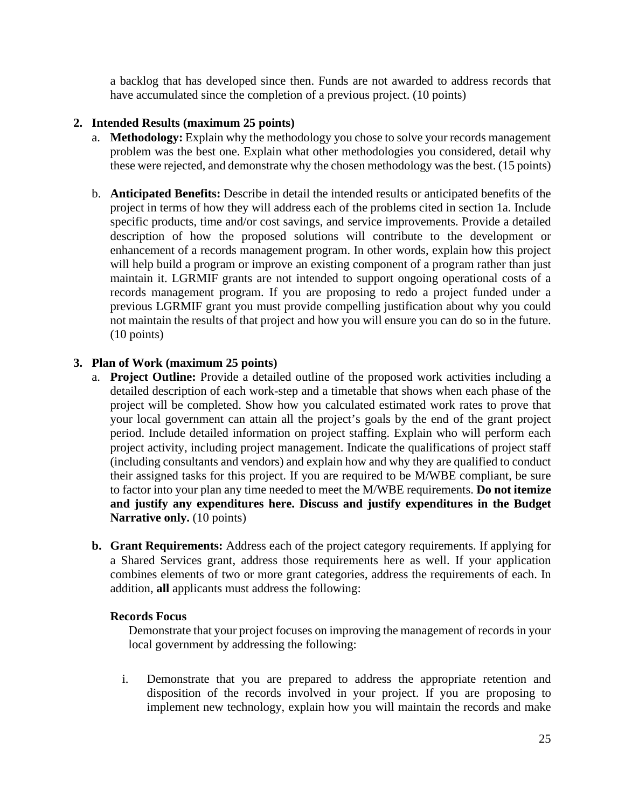a backlog that has developed since then. Funds are not awarded to address records that have accumulated since the completion of a previous project. (10 points)

#### **2. Intended Results (maximum 25 points)**

- a. **Methodology:** Explain why the methodology you chose to solve your records management problem was the best one. Explain what other methodologies you considered, detail why these were rejected, and demonstrate why the chosen methodology was the best. (15 points)
- b. **Anticipated Benefits:** Describe in detail the intended results or anticipated benefits of the project in terms of how they will address each of the problems cited in section 1a. Include specific products, time and/or cost savings, and service improvements. Provide a detailed description of how the proposed solutions will contribute to the development or enhancement of a records management program. In other words, explain how this project will help build a program or improve an existing component of a program rather than just maintain it. LGRMIF grants are not intended to support ongoing operational costs of a records management program. If you are proposing to redo a project funded under a previous LGRMIF grant you must provide compelling justification about why you could not maintain the results of that project and how you will ensure you can do so in the future. (10 points)

#### **3. Plan of Work (maximum 25 points)**

- a. **Project Outline:** Provide a detailed outline of the proposed work activities including a detailed description of each work-step and a timetable that shows when each phase of the project will be completed. Show how you calculated estimated work rates to prove that your local government can attain all the project's goals by the end of the grant project period. Include detailed information on project staffing. Explain who will perform each project activity, including project management. Indicate the qualifications of project staff (including consultants and vendors) and explain how and why they are qualified to conduct their assigned tasks for this project. If you are required to be M/WBE compliant, be sure to factor into your plan any time needed to meet the M/WBE requirements. **Do not itemize and justify any expenditures here. Discuss and justify expenditures in the Budget Narrative only.** (10 points)
- **b. Grant Requirements:** Address each of the project category requirements. If applying for a Shared Services grant, address those requirements here as well. If your application combines elements of two or more grant categories, address the requirements of each. In addition, **all** applicants must address the following:

#### **Records Focus**

Demonstrate that your project focuses on improving the management of records in your local government by addressing the following:

i. Demonstrate that you are prepared to address the appropriate retention and disposition of the records involved in your project. If you are proposing to implement new technology, explain how you will maintain the records and make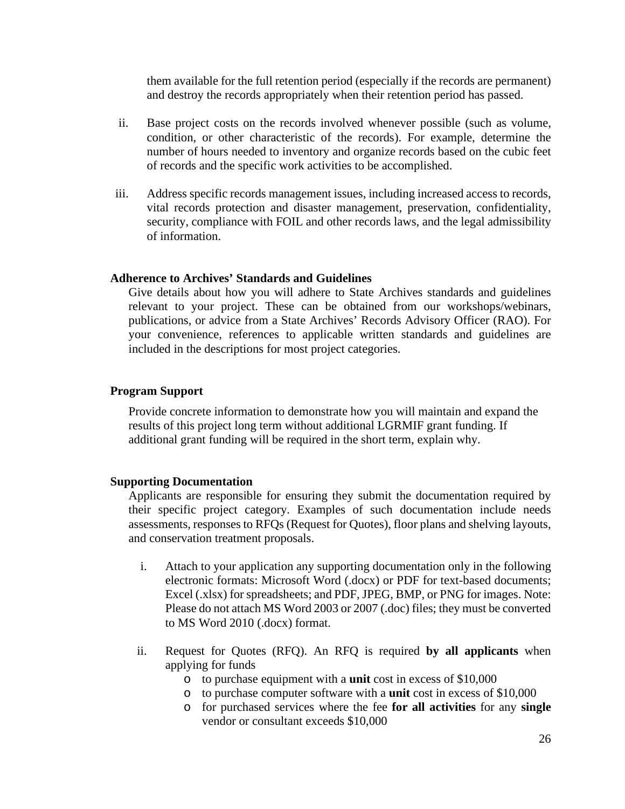them available for the full retention period (especially if the records are permanent) and destroy the records appropriately when their retention period has passed.

- ii. Base project costs on the records involved whenever possible (such as volume, condition, or other characteristic of the records). For example, determine the number of hours needed to inventory and organize records based on the cubic feet of records and the specific work activities to be accomplished.
- iii. Address specific records management issues, including increased access to records, vital records protection and disaster management, preservation, confidentiality, security, compliance with FOIL and other records laws, and the legal admissibility of information.

#### **Adherence to Archives' Standards and Guidelines**

Give details about how you will adhere to State Archives standards and guidelines relevant to your project. These can be obtained from our workshops/webinars, publications, or advice from a State Archives' Records Advisory Officer (RAO). For your convenience, references to applicable written standards and guidelines are included in the descriptions for most project categories.

#### **Program Support**

Provide concrete information to demonstrate how you will maintain and expand the results of this project long term without additional LGRMIF grant funding. If additional grant funding will be required in the short term, explain why.

#### **Supporting Documentation**

Applicants are responsible for ensuring they submit the documentation required by their specific project category. Examples of such documentation include needs assessments, responses to RFQs (Request for Quotes), floor plans and shelving layouts, and conservation treatment proposals.

- i. Attach to your application any supporting documentation only in the following electronic formats: Microsoft Word (.docx) or PDF for text-based documents; Excel (.xlsx) for spreadsheets; and PDF, JPEG, BMP, or PNG for images. Note: Please do not attach MS Word 2003 or 2007 (.doc) files; they must be converted to MS Word 2010 (.docx) format.
- ii. Request for Quotes (RFQ). An RFQ is required **by all applicants** when applying for funds
	- o to purchase equipment with a **unit** cost in excess of \$10,000
	- o to purchase computer software with a **unit** cost in excess of \$10,000
	- o for purchased services where the fee **for all activities** for any **single** vendor or consultant exceeds \$10,000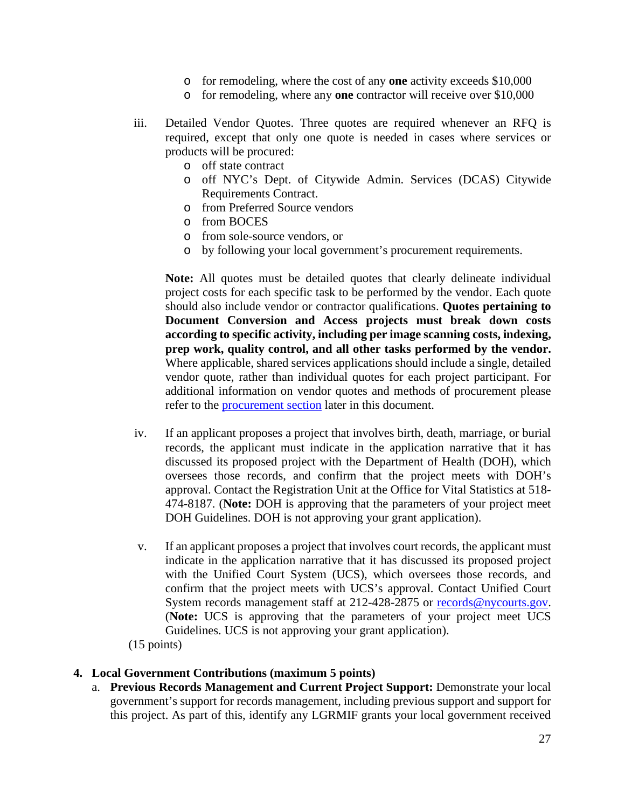- o for remodeling, where the cost of any **one** activity exceeds \$10,000
- o for remodeling, where any **one** contractor will receive over \$10,000
- iii. Detailed Vendor Quotes. Three quotes are required whenever an RFQ is required, except that only one quote is needed in cases where services or products will be procured:
	- o off state contract
	- o off NYC's Dept. of Citywide Admin. Services (DCAS) Citywide Requirements Contract.
	- o from Preferred Source vendors
	- o from BOCES
	- o from sole-source vendors, or
	- o by following your local government's procurement requirements.

**Note:** All quotes must be detailed quotes that clearly delineate individual project costs for each specific task to be performed by the vendor. Each quote should also include vendor or contractor qualifications. **Quotes pertaining to Document Conversion and Access projects must break down costs according to specific activity, including per image scanning costs, indexing, prep work, quality control, and all other tasks performed by the vendor.** Where applicable, shared services applications should include a single, detailed vendor quote, rather than individual quotes for each project participant. For additional information on vendor quotes and methods of procurement please refer to the [procurement section](#page-42-0) later in this document.

- iv. If an applicant proposes a project that involves birth, death, marriage, or burial records, the applicant must indicate in the application narrative that it has discussed its proposed project with the Department of Health (DOH), which oversees those records, and confirm that the project meets with DOH's approval. Contact the Registration Unit at the Office for Vital Statistics at 518- 474-8187. (**Note:** DOH is approving that the parameters of your project meet DOH Guidelines. DOH is not approving your grant application).
- v. If an applicant proposes a project that involves court records, the applicant must indicate in the application narrative that it has discussed its proposed project with the Unified Court System (UCS), which oversees those records, and confirm that the project meets with UCS's approval. Contact Unified Court System records management staff at 212-428-2875 or [records@nycourts.gov.](mailto:records@nycourts.gov) (**Note:** UCS is approving that the parameters of your project meet UCS Guidelines. UCS is not approving your grant application).
- (15 points)

#### **4. Local Government Contributions (maximum 5 points)**

a. **Previous Records Management and Current Project Support:** Demonstrate your local government's support for records management, including previous support and support for this project. As part of this, identify any LGRMIF grants your local government received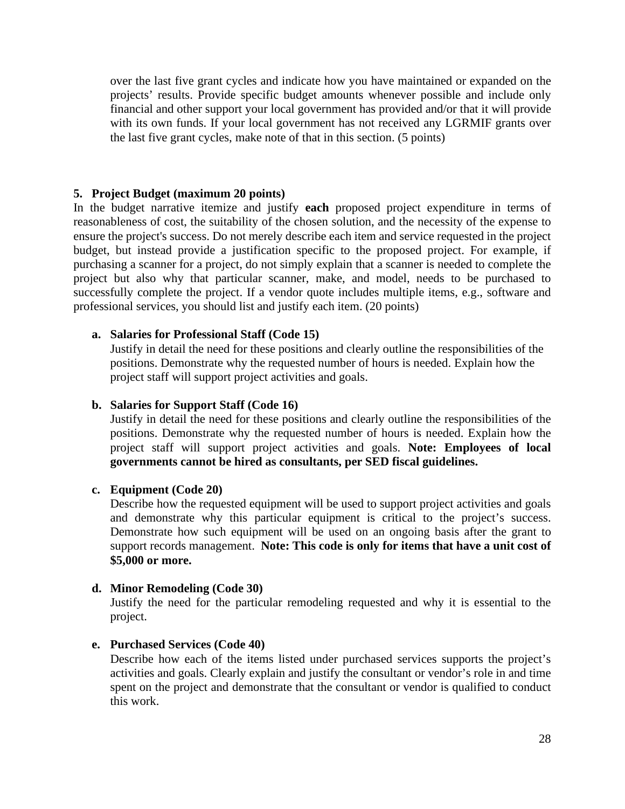over the last five grant cycles and indicate how you have maintained or expanded on the projects' results. Provide specific budget amounts whenever possible and include only financial and other support your local government has provided and/or that it will provide with its own funds. If your local government has not received any LGRMIF grants over the last five grant cycles, make note of that in this section. (5 points)

#### **5. Project Budget (maximum 20 points)**

In the budget narrative itemize and justify **each** proposed project expenditure in terms of reasonableness of cost, the suitability of the chosen solution, and the necessity of the expense to ensure the project's success. Do not merely describe each item and service requested in the project budget, but instead provide a justification specific to the proposed project. For example, if purchasing a scanner for a project, do not simply explain that a scanner is needed to complete the project but also why that particular scanner, make, and model, needs to be purchased to successfully complete the project. If a vendor quote includes multiple items, e.g., software and professional services, you should list and justify each item. (20 points)

#### **a. Salaries for Professional Staff (Code 15)**

Justify in detail the need for these positions and clearly outline the responsibilities of the positions. Demonstrate why the requested number of hours is needed. Explain how the project staff will support project activities and goals.

#### **b. Salaries for Support Staff (Code 16)**

Justify in detail the need for these positions and clearly outline the responsibilities of the positions. Demonstrate why the requested number of hours is needed. Explain how the project staff will support project activities and goals. **Note: Employees of local governments cannot be hired as consultants, per SED fiscal guidelines.**

#### **c. Equipment (Code 20)**

Describe how the requested equipment will be used to support project activities and goals and demonstrate why this particular equipment is critical to the project's success. Demonstrate how such equipment will be used on an ongoing basis after the grant to support records management. **Note: This code is only for items that have a unit cost of \$5,000 or more.**

#### **d. Minor Remodeling (Code 30)**

Justify the need for the particular remodeling requested and why it is essential to the project.

#### **e. Purchased Services (Code 40)**

Describe how each of the items listed under purchased services supports the project's activities and goals. Clearly explain and justify the consultant or vendor's role in and time spent on the project and demonstrate that the consultant or vendor is qualified to conduct this work.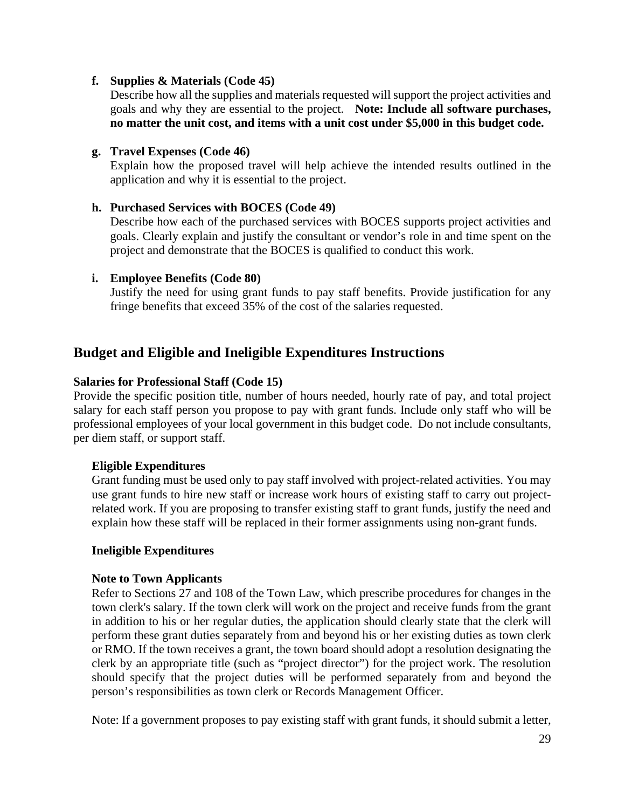#### **f. Supplies & Materials (Code 45)**

Describe how all the supplies and materials requested will support the project activities and goals and why they are essential to the project. **Note: Include all software purchases, no matter the unit cost, and items with a unit cost under \$5,000 in this budget code.**

#### **g. Travel Expenses (Code 46)**

Explain how the proposed travel will help achieve the intended results outlined in the application and why it is essential to the project.

#### **h. Purchased Services with BOCES (Code 49)**

Describe how each of the purchased services with BOCES supports project activities and goals. Clearly explain and justify the consultant or vendor's role in and time spent on the project and demonstrate that the BOCES is qualified to conduct this work.

#### **i. Employee Benefits (Code 80)**

Justify the need for using grant funds to pay staff benefits. Provide justification for any fringe benefits that exceed 35% of the cost of the salaries requested.

#### <span id="page-28-0"></span>**Budget and Eligible and Ineligible Expenditures Instructions**

#### **Salaries for Professional Staff (Code 15)**

Provide the specific position title, number of hours needed, hourly rate of pay, and total project salary for each staff person you propose to pay with grant funds. Include only staff who will be professional employees of your local government in this budget code. Do not include consultants, per diem staff, or support staff.

#### **Eligible Expenditures**

Grant funding must be used only to pay staff involved with project-related activities. You may use grant funds to hire new staff or increase work hours of existing staff to carry out projectrelated work. If you are proposing to transfer existing staff to grant funds, justify the need and explain how these staff will be replaced in their former assignments using non-grant funds.

#### **Ineligible Expenditures**

#### **Note to Town Applicants**

Refer to Sections 27 and 108 of the Town Law, which prescribe procedures for changes in the town clerk's salary. If the town clerk will work on the project and receive funds from the grant in addition to his or her regular duties, the application should clearly state that the clerk will perform these grant duties separately from and beyond his or her existing duties as town clerk or RMO. If the town receives a grant, the town board should adopt a resolution designating the clerk by an appropriate title (such as "project director") for the project work. The resolution should specify that the project duties will be performed separately from and beyond the person's responsibilities as town clerk or Records Management Officer.

Note: If a government proposes to pay existing staff with grant funds, it should submit a letter,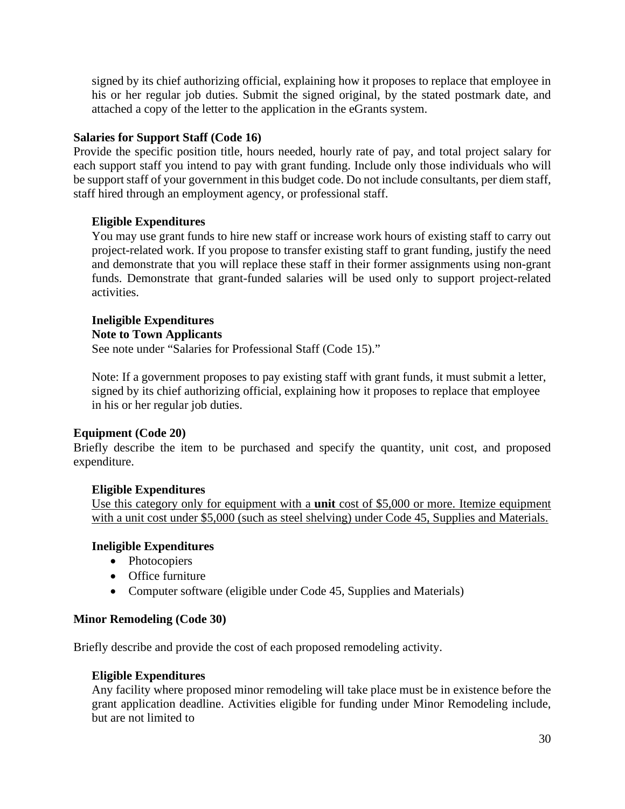signed by its chief authorizing official, explaining how it proposes to replace that employee in his or her regular job duties. Submit the signed original, by the stated postmark date, and attached a copy of the letter to the application in the eGrants system.

#### **Salaries for Support Staff (Code 16)**

Provide the specific position title, hours needed, hourly rate of pay, and total project salary for each support staff you intend to pay with grant funding. Include only those individuals who will be support staff of your government in this budget code. Do not include consultants, per diem staff, staff hired through an employment agency, or professional staff.

#### **Eligible Expenditures**

You may use grant funds to hire new staff or increase work hours of existing staff to carry out project-related work. If you propose to transfer existing staff to grant funding, justify the need and demonstrate that you will replace these staff in their former assignments using non-grant funds. Demonstrate that grant-funded salaries will be used only to support project-related activities.

#### **Ineligible Expenditures Note to Town Applicants**

See note under "Salaries for Professional Staff (Code 15)."

Note: If a government proposes to pay existing staff with grant funds, it must submit a letter, signed by its chief authorizing official, explaining how it proposes to replace that employee in his or her regular job duties.

#### **Equipment (Code 20)**

Briefly describe the item to be purchased and specify the quantity, unit cost, and proposed expenditure.

#### **Eligible Expenditures**

Use this category only for equipment with a **unit** cost of \$5,000 or more. Itemize equipment with a unit cost under \$5,000 (such as steel shelving) under Code 45, Supplies and Materials.

#### **Ineligible Expenditures**

- Photocopiers
- Office furniture
- Computer software (eligible under Code 45, Supplies and Materials)

#### **Minor Remodeling (Code 30)**

Briefly describe and provide the cost of each proposed remodeling activity.

#### **Eligible Expenditures**

Any facility where proposed minor remodeling will take place must be in existence before the grant application deadline. Activities eligible for funding under Minor Remodeling include, but are not limited to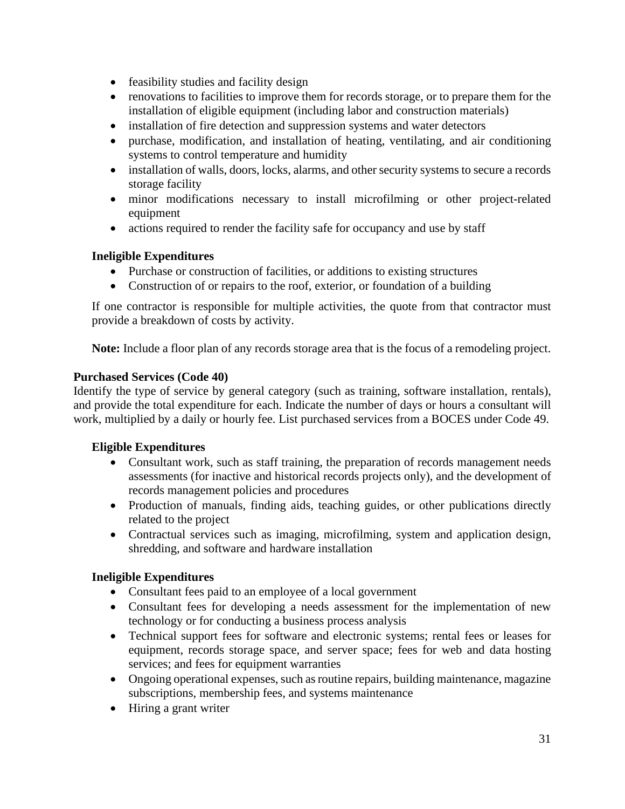- feasibility studies and facility design
- renovations to facilities to improve them for records storage, or to prepare them for the installation of eligible equipment (including labor and construction materials)
- installation of fire detection and suppression systems and water detectors
- purchase, modification, and installation of heating, ventilating, and air conditioning systems to control temperature and humidity
- installation of walls, doors, locks, alarms, and other security systems to secure a records storage facility
- minor modifications necessary to install microfilming or other project-related equipment
- actions required to render the facility safe for occupancy and use by staff

#### **Ineligible Expenditures**

- Purchase or construction of facilities, or additions to existing structures
- Construction of or repairs to the roof, exterior, or foundation of a building

If one contractor is responsible for multiple activities, the quote from that contractor must provide a breakdown of costs by activity.

**Note:** Include a floor plan of any records storage area that is the focus of a remodeling project.

#### **Purchased Services (Code 40)**

Identify the type of service by general category (such as training, software installation, rentals), and provide the total expenditure for each. Indicate the number of days or hours a consultant will work, multiplied by a daily or hourly fee. List purchased services from a BOCES under Code 49.

#### **Eligible Expenditures**

- Consultant work, such as staff training, the preparation of records management needs assessments (for inactive and historical records projects only), and the development of records management policies and procedures
- Production of manuals, finding aids, teaching guides, or other publications directly related to the project
- Contractual services such as imaging, microfilming, system and application design, shredding, and software and hardware installation

#### **Ineligible Expenditures**

- Consultant fees paid to an employee of a local government
- Consultant fees for developing a needs assessment for the implementation of new technology or for conducting a business process analysis
- Technical support fees for software and electronic systems; rental fees or leases for equipment, records storage space, and server space; fees for web and data hosting services; and fees for equipment warranties
- Ongoing operational expenses, such as routine repairs, building maintenance, magazine subscriptions, membership fees, and systems maintenance
- Hiring a grant writer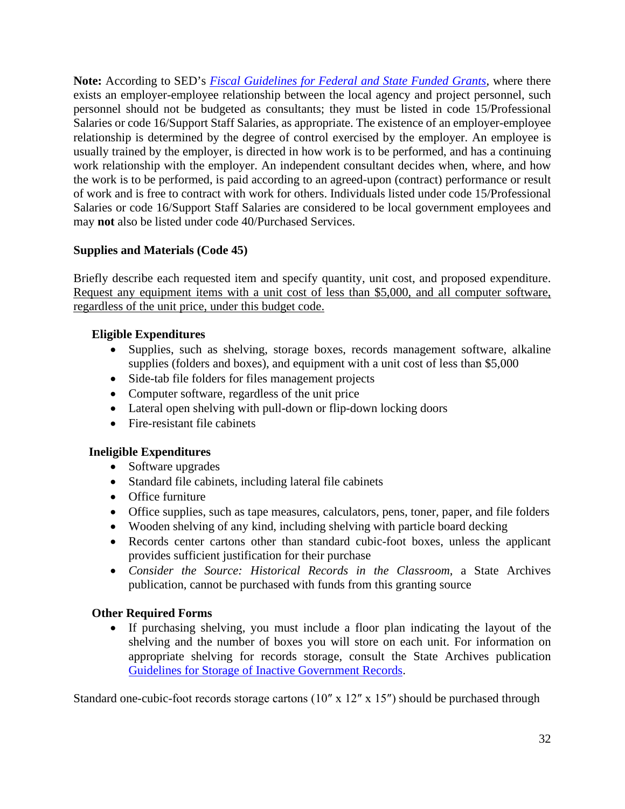**Note:** According to SED's *[Fiscal Guidelines for Federal and State Funded Grants](http://www.oms.nysed.gov/cafe/guidance/documents/FiscalGuidelinesforFederalandStateFundedGrants_UGG_Updates_062218_Bronze.pdf)*, where there exists an employer-employee relationship between the local agency and project personnel, such personnel should not be budgeted as consultants; they must be listed in code 15/Professional Salaries or code 16/Support Staff Salaries, as appropriate. The existence of an employer-employee relationship is determined by the degree of control exercised by the employer. An employee is usually trained by the employer, is directed in how work is to be performed, and has a continuing work relationship with the employer. An independent consultant decides when, where, and how the work is to be performed, is paid according to an agreed-upon (contract) performance or result of work and is free to contract with work for others. Individuals listed under code 15/Professional Salaries or code 16/Support Staff Salaries are considered to be local government employees and may **not** also be listed under code 40/Purchased Services.

#### **Supplies and Materials (Code 45)**

Briefly describe each requested item and specify quantity, unit cost, and proposed expenditure. Request any equipment items with a unit cost of less than \$5,000, and all computer software, regardless of the unit price, under this budget code.

#### **Eligible Expenditures**

- Supplies, such as shelving, storage boxes, records management software, alkaline supplies (folders and boxes), and equipment with a unit cost of less than \$5,000
- Side-tab file folders for files management projects
- Computer software, regardless of the unit price
- Lateral open shelving with pull-down or flip-down locking doors
- Fire-resistant file cabinets

#### **Ineligible Expenditures**

- Software upgrades
- Standard file cabinets, including lateral file cabinets
- Office furniture
- Office supplies, such as tape measures, calculators, pens, toner, paper, and file folders
- Wooden shelving of any kind, including shelving with particle board decking
- Records center cartons other than standard cubic-foot boxes, unless the applicant provides sufficient justification for their purchase
- *Consider the Source: Historical Records in the Classroom*, a State Archives publication, cannot be purchased with funds from this granting source

#### **Other Required Forms**

• If purchasing shelving, you must include a floor plan indicating the layout of the shelving and the number of boxes you will store on each unit. For information on appropriate shelving for records storage, consult the State Archives publication [Guidelines for Storage of Inactive Government Records.](http://www.archives.nysed.gov/common/archives/files/guidelines_storage_inactive_records_nov-2021.pdf)

Standard one-cubic-foot records storage cartons (10″ x 12″ x 15″) should be purchased through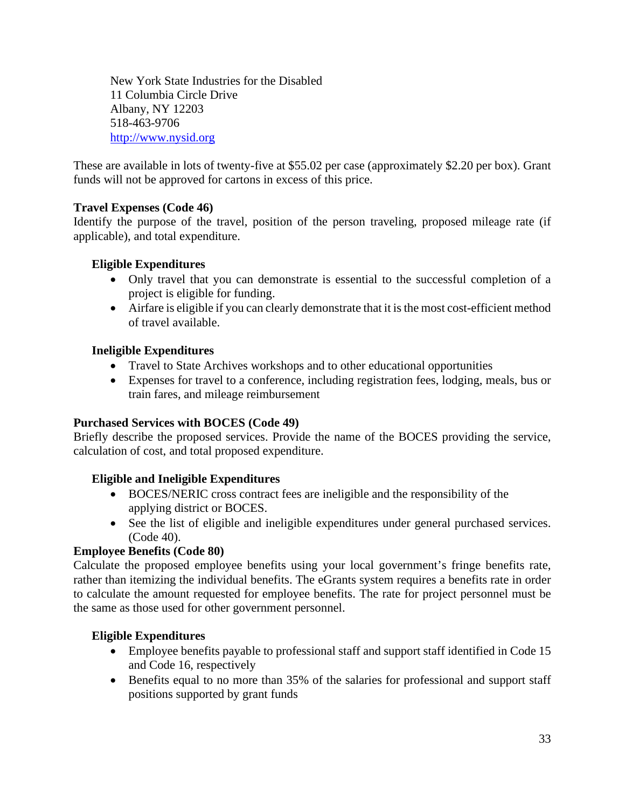New York State Industries for the Disabled 11 Columbia Circle Drive Albany, NY 12203 518-463-9706 [http://www.nysid.org](http://www.nysid.org/)

These are available in lots of twenty-five at \$55.02 per case (approximately \$2.20 per box). Grant funds will not be approved for cartons in excess of this price.

#### **Travel Expenses (Code 46)**

Identify the purpose of the travel, position of the person traveling, proposed mileage rate (if applicable), and total expenditure.

#### **Eligible Expenditures**

- Only travel that you can demonstrate is essential to the successful completion of a project is eligible for funding.
- Airfare is eligible if you can clearly demonstrate that it is the most cost-efficient method of travel available.

#### **Ineligible Expenditures**

- Travel to State Archives workshops and to other educational opportunities
- Expenses for travel to a conference, including registration fees, lodging, meals, bus or train fares, and mileage reimbursement

#### **Purchased Services with BOCES (Code 49)**

Briefly describe the proposed services. Provide the name of the BOCES providing the service, calculation of cost, and total proposed expenditure.

#### **Eligible and Ineligible Expenditures**

- BOCES/NERIC cross contract fees are ineligible and the responsibility of the applying district or BOCES.
- See the list of eligible and ineligible expenditures under general purchased services. (Code 40).

#### **Employee Benefits (Code 80)**

Calculate the proposed employee benefits using your local government's fringe benefits rate, rather than itemizing the individual benefits. The eGrants system requires a benefits rate in order to calculate the amount requested for employee benefits. The rate for project personnel must be the same as those used for other government personnel.

#### **Eligible Expenditures**

- Employee benefits payable to professional staff and support staff identified in Code 15 and Code 16, respectively
- Benefits equal to no more than 35% of the salaries for professional and support staff positions supported by grant funds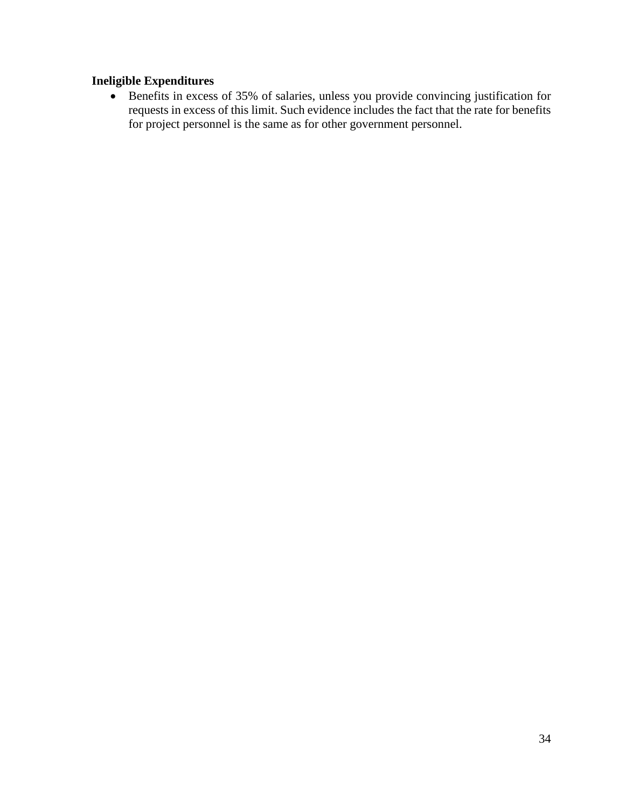#### **Ineligible Expenditures**

• Benefits in excess of 35% of salaries, unless you provide convincing justification for requests in excess of this limit. Such evidence includes the fact that the rate for benefits for project personnel is the same as for other government personnel.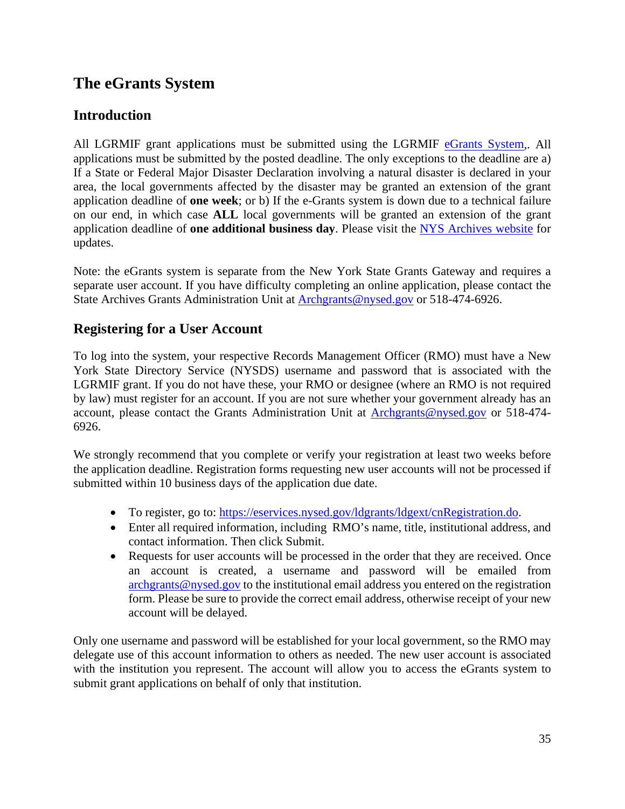### <span id="page-34-0"></span>**The eGrants System**

### <span id="page-34-1"></span>**Introduction**

All LGRMIF grant applications must be submitted using the LGRMIF [eGrants System,](https://eservices.nysed.gov/ldgrants). All applications must be submitted by the posted deadline. The only exceptions to the deadline are a) If a State or Federal Major Disaster Declaration involving a natural disaster is declared in your area, the local governments affected by the disaster may be granted an extension of the grant application deadline of **one week**; or b) If the e-Grants system is down due to a technical failure on our end, in which case **ALL** local governments will be granted an extension of the grant application deadline of **one additional business day**. Please visit the [NYS Archives website](http://www.archives.nysed.gov/grants/lgrmif-grants) for updates.

Note: the eGrants system is separate from the New York State Grants Gateway and requires a separate user account. If you have difficulty completing an online application, please contact the State Archives Grants Administration Unit at [Archgrants@nysed.gov](mailto:archgrants@mail.nysed.gov) or 518-474-6926.

### <span id="page-34-2"></span>**Registering for a User Account**

To log into the system, your respective Records Management Officer (RMO) must have a New York State Directory Service (NYSDS) username and password that is associated with the LGRMIF grant. If you do not have these, your RMO or designee (where an RMO is not required by law) must register for an account. If you are not sure whether your government already has an account, please contact the Grants Administration Unit at [Archgrants@nysed.gov](mailto:archgrants@mail.nysed.gov) or 518-474- 6926.

We strongly recommend that you complete or verify your registration at least two weeks before the application deadline. Registration forms requesting new user accounts will not be processed if submitted within 10 business days of the application due date.

- To register, go to: [https://eservices.nysed.gov/ldgrants/ldgext/cnRegistration.do.](https://eservices.nysed.gov/ldgrants/ldgext/cnRegistration.do)
- Enter all required information, including RMO's name, title, institutional address, and contact information. Then click Submit.
- Requests for user accounts will be processed in the order that they are received. Once an account is created, a username and password will be emailed from [archgrants@nysed.gov](mailto:archgrants@nysed.gov) to the institutional email address you entered on the registration form. Please be sure to provide the correct email address, otherwise receipt of your new account will be delayed.

Only one username and password will be established for your local government, so the RMO may delegate use of this account information to others as needed. The new user account is associated with the institution you represent. The account will allow you to access the eGrants system to submit grant applications on behalf of only that institution.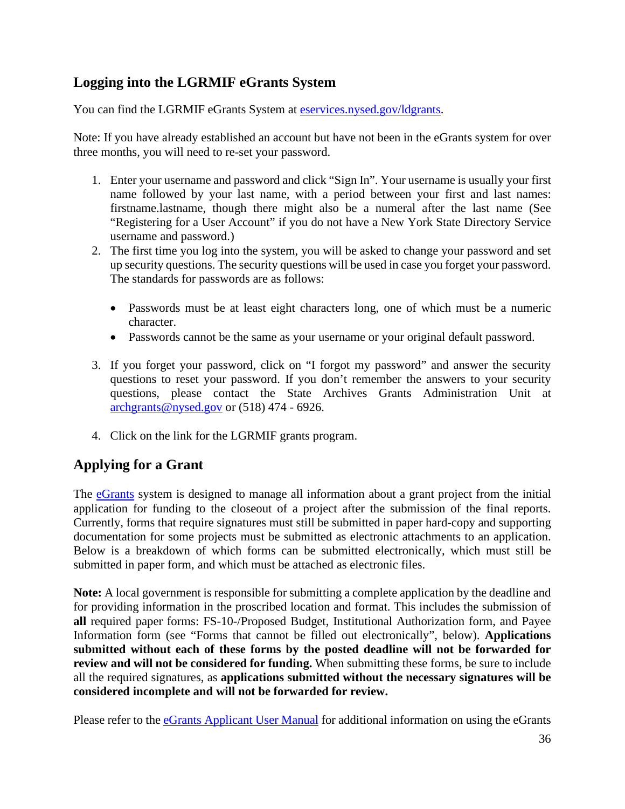### <span id="page-35-0"></span>**Logging into the LGRMIF eGrants System**

You can find the LGRMIF eGrants System at [eservices.nysed.gov/ldgrants.](http://eservices.nysed.gov/ldgrants)

Note: If you have already established an account but have not been in the eGrants system for over three months, you will need to re-set your password.

- 1. Enter your username and password and click "Sign In". Your username is usually your first name followed by your last name, with a period between your first and last names: firstname.lastname, though there might also be a numeral after the last name (See "Registering for a User Account" if you do not have a New York State Directory Service username and password.)
- 2. The first time you log into the system, you will be asked to change your password and set up security questions. The security questions will be used in case you forget your password. The standards for passwords are as follows:
	- Passwords must be at least eight characters long, one of which must be a numeric character.
	- Passwords cannot be the same as your username or your original default password.
- 3. If you forget your password, click on "I forgot my password" and answer the security questions to reset your password. If you don't remember the answers to your security questions, please contact the State Archives Grants Administration Unit at [archgrants@nysed.gov](mailto:archgrants@nysed.gov) or (518) 474 - 6926.
- 4. Click on the link for the LGRMIF grants program.

### <span id="page-35-1"></span>**Applying for a Grant**

The [eGrants](https://eservices.nysed.gov/ldgrants,) system is designed to manage all information about a grant project from the initial application for funding to the closeout of a project after the submission of the final reports. Currently, forms that require signatures must still be submitted in paper hard-copy and supporting documentation for some projects must be submitted as electronic attachments to an application. Below is a breakdown of which forms can be submitted electronically, which must still be submitted in paper form, and which must be attached as electronic files.

**Note:** A local government is responsible for submitting a complete application by the deadline and for providing information in the proscribed location and format. This includes the submission of **all** required paper forms: FS-10-/Proposed Budget, Institutional Authorization form, and Payee Information form (see "Forms that cannot be filled out electronically", below). **Applications submitted without each of these forms by the posted deadline will not be forwarded for review and will not be considered for funding.** When submitting these forms, be sure to include all the required signatures, as **applications submitted without the necessary signatures will be considered incomplete and will not be forwarded for review.**

Please refer to the [eGrants Applicant User Manual](http://www.archives.nysed.gov/common/archives/files/grants_lgrmif_egrant_user_manual.pdf) for additional information on using the eGrants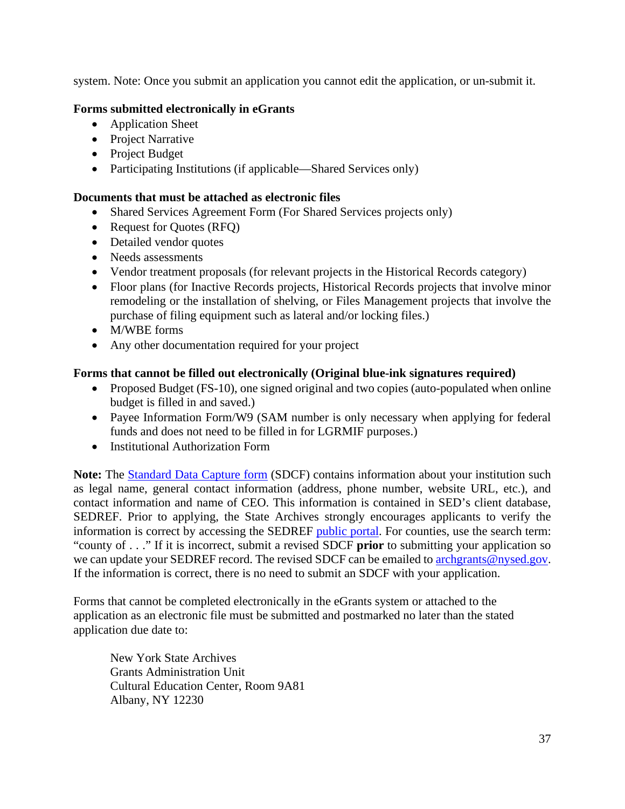system. Note: Once you submit an application you cannot edit the application, or un-submit it.

#### **Forms submitted electronically in eGrants**

- Application Sheet
- Project Narrative
- Project Budget
- Participating Institutions (if applicable—Shared Services only)

#### **Documents that must be attached as electronic files**

- Shared Services Agreement Form (For Shared Services projects only)
- Request for Quotes (RFQ)
- Detailed vendor quotes
- Needs assessments
- Vendor treatment proposals (for relevant projects in the Historical Records category)
- Floor plans (for Inactive Records projects, Historical Records projects that involve minor remodeling or the installation of shelving, or Files Management projects that involve the purchase of filing equipment such as lateral and/or locking files.)
- M/WBE forms
- Any other documentation required for your project

#### **Forms that cannot be filled out electronically (Original blue-ink signatures required)**

- Proposed Budget (FS-10), one signed original and two copies (auto-populated when online budget is filled in and saved.)
- Payee Information Form/W9 (SAM number is only necessary when applying for federal funds and does not need to be filled in for LGRMIF purposes.)
- Institutional Authorization Form

Note: The **Standard Data Capture form** (SDCF) contains information about your institution such as legal name, general contact information (address, phone number, website URL, etc.), and contact information and name of CEO. This information is contained in SED's client database, SEDREF. Prior to applying, the State Archives strongly encourages applicants to verify the information is correct by accessing the SEDREF [public portal.](https://portal.nysed.gov/pls/sedrefpublic/SED.sed_inst_qry_vw$.startup) For counties, use the search term: "county of . . ." If it is incorrect, submit a revised SDCF **prior** to submitting your application so we can update your SEDREF record. The revised SDCF can be emailed to [archgrants@nysed.gov.](mailto:archgrants@nysed.gov) If the information is correct, there is no need to submit an SDCF with your application.

Forms that cannot be completed electronically in the eGrants system or attached to the application as an electronic file must be submitted and postmarked no later than the stated application due date to:

New York State Archives Grants Administration Unit Cultural Education Center, Room 9A81 Albany, NY 12230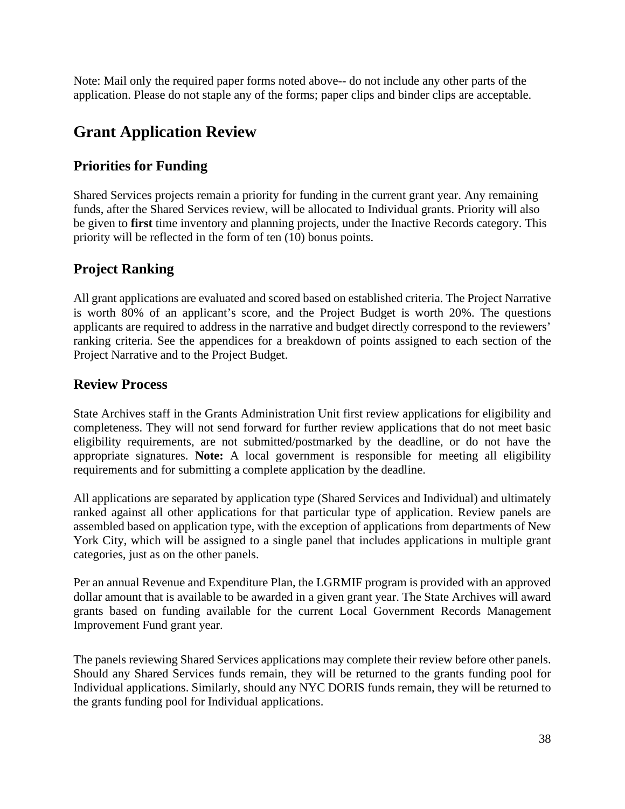Note: Mail only the required paper forms noted above-- do not include any other parts of the application. Please do not staple any of the forms; paper clips and binder clips are acceptable.

### <span id="page-37-0"></span>**Grant Application Review**

### <span id="page-37-1"></span>**Priorities for Funding**

Shared Services projects remain a priority for funding in the current grant year. Any remaining funds, after the Shared Services review, will be allocated to Individual grants. Priority will also be given to **first** time inventory and planning projects, under the Inactive Records category. This priority will be reflected in the form of ten (10) bonus points.

### <span id="page-37-2"></span>**Project Ranking**

All grant applications are evaluated and scored based on established criteria. The Project Narrative is worth 80% of an applicant's score, and the Project Budget is worth 20%. The questions applicants are required to address in the narrative and budget directly correspond to the reviewers' ranking criteria. See the appendices for a breakdown of points assigned to each section of the Project Narrative and to the Project Budget.

### <span id="page-37-3"></span>**Review Process**

State Archives staff in the Grants Administration Unit first review applications for eligibility and completeness. They will not send forward for further review applications that do not meet basic eligibility requirements, are not submitted/postmarked by the deadline, or do not have the appropriate signatures. **Note:** A local government is responsible for meeting all eligibility requirements and for submitting a complete application by the deadline.

All applications are separated by application type (Shared Services and Individual) and ultimately ranked against all other applications for that particular type of application. Review panels are assembled based on application type, with the exception of applications from departments of New York City, which will be assigned to a single panel that includes applications in multiple grant categories, just as on the other panels.

Per an annual Revenue and Expenditure Plan, the LGRMIF program is provided with an approved dollar amount that is available to be awarded in a given grant year. The State Archives will award grants based on funding available for the current Local Government Records Management Improvement Fund grant year.

The panels reviewing Shared Services applications may complete their review before other panels. Should any Shared Services funds remain, they will be returned to the grants funding pool for Individual applications. Similarly, should any NYC DORIS funds remain, they will be returned to the grants funding pool for Individual applications.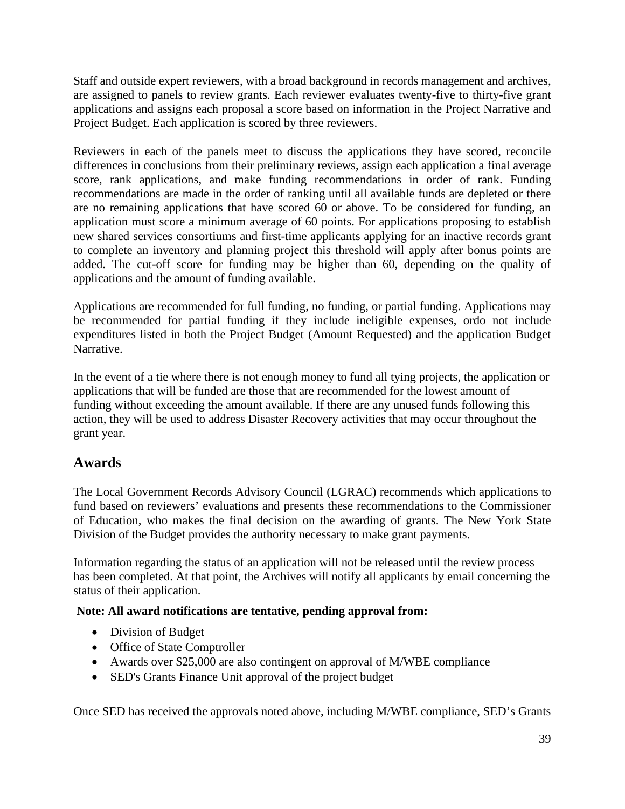Staff and outside expert reviewers, with a broad background in records management and archives, are assigned to panels to review grants. Each reviewer evaluates twenty-five to thirty-five grant applications and assigns each proposal a score based on information in the Project Narrative and Project Budget. Each application is scored by three reviewers.

Reviewers in each of the panels meet to discuss the applications they have scored, reconcile differences in conclusions from their preliminary reviews, assign each application a final average score, rank applications, and make funding recommendations in order of rank. Funding recommendations are made in the order of ranking until all available funds are depleted or there are no remaining applications that have scored 60 or above. To be considered for funding, an application must score a minimum average of 60 points. For applications proposing to establish new shared services consortiums and first-time applicants applying for an inactive records grant to complete an inventory and planning project this threshold will apply after bonus points are added. The cut-off score for funding may be higher than 60, depending on the quality of applications and the amount of funding available.

Applications are recommended for full funding, no funding, or partial funding. Applications may be recommended for partial funding if they include ineligible expenses, ordo not include expenditures listed in both the Project Budget (Amount Requested) and the application Budget Narrative.

In the event of a tie where there is not enough money to fund all tying projects, the application or applications that will be funded are those that are recommended for the lowest amount of funding without exceeding the amount available. If there are any unused funds following this action, they will be used to address Disaster Recovery activities that may occur throughout the grant year.

### <span id="page-38-0"></span>**Awards**

The Local Government Records Advisory Council (LGRAC) recommends which applications to fund based on reviewers' evaluations and presents these recommendations to the Commissioner of Education, who makes the final decision on the awarding of grants. The New York State Division of the Budget provides the authority necessary to make grant payments.

Information regarding the status of an application will not be released until the review process has been completed. At that point, the Archives will notify all applicants by email concerning the status of their application.

#### **Note: All award notifications are tentative, pending approval from:**

- Division of Budget
- Office of State Comptroller
- Awards over \$25,000 are also contingent on approval of M/WBE compliance
- SED's Grants Finance Unit approval of the project budget

Once SED has received the approvals noted above, including M/WBE compliance, SED's Grants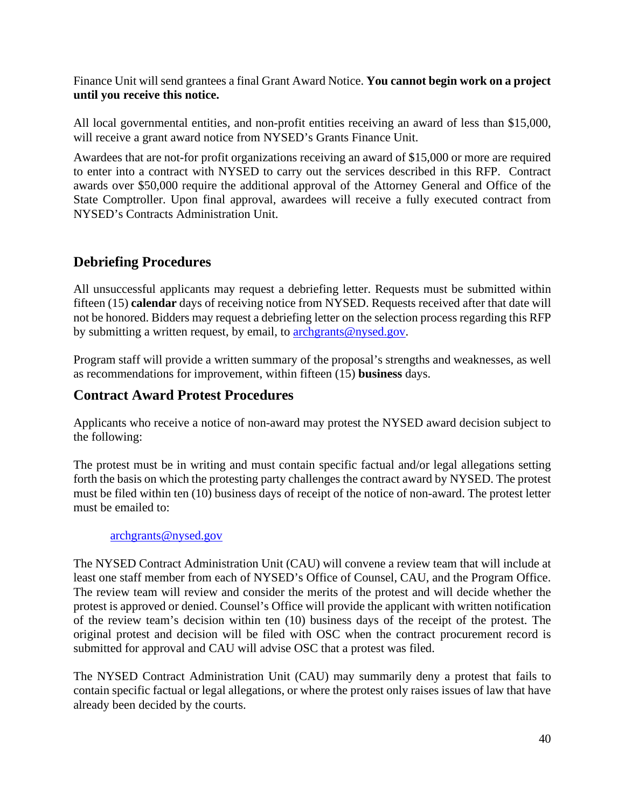Finance Unit will send grantees a final Grant Award Notice. **You cannot begin work on a project until you receive this notice.**

All local governmental entities, and non-profit entities receiving an award of less than \$15,000, will receive a grant award notice from NYSED's Grants Finance Unit.

Awardees that are not-for profit organizations receiving an award of \$15,000 or more are required to enter into a contract with NYSED to carry out the services described in this RFP. Contract awards over \$50,000 require the additional approval of the Attorney General and Office of the State Comptroller. Upon final approval, awardees will receive a fully executed contract from NYSED's Contracts Administration Unit.

#### <span id="page-39-0"></span>**Debriefing Procedures**

All unsuccessful applicants may request a debriefing letter. Requests must be submitted within fifteen (15) **calendar** days of receiving notice from NYSED. Requests received after that date will not be honored. Bidders may request a debriefing letter on the selection process regarding this RFP by submitting a written request, by email, to **archgrants@nysed.gov.** 

Program staff will provide a written summary of the proposal's strengths and weaknesses, as well as recommendations for improvement, within fifteen (15) **business** days.

#### <span id="page-39-1"></span>**Contract Award Protest Procedures**

Applicants who receive a notice of non-award may protest the NYSED award decision subject to the following:

The protest must be in writing and must contain specific factual and/or legal allegations setting forth the basis on which the protesting party challenges the contract award by NYSED. The protest must be filed within ten (10) business days of receipt of the notice of non-award. The protest letter must be emailed to:

#### [archgrants@nysed.gov](mailto:archgrants@nysed.gov)

The NYSED Contract Administration Unit (CAU) will convene a review team that will include at least one staff member from each of NYSED's Office of Counsel, CAU, and the Program Office. The review team will review and consider the merits of the protest and will decide whether the protest is approved or denied. Counsel's Office will provide the applicant with written notification of the review team's decision within ten (10) business days of the receipt of the protest. The original protest and decision will be filed with OSC when the contract procurement record is submitted for approval and CAU will advise OSC that a protest was filed.

The NYSED Contract Administration Unit (CAU) may summarily deny a protest that fails to contain specific factual or legal allegations, or where the protest only raises issues of law that have already been decided by the courts.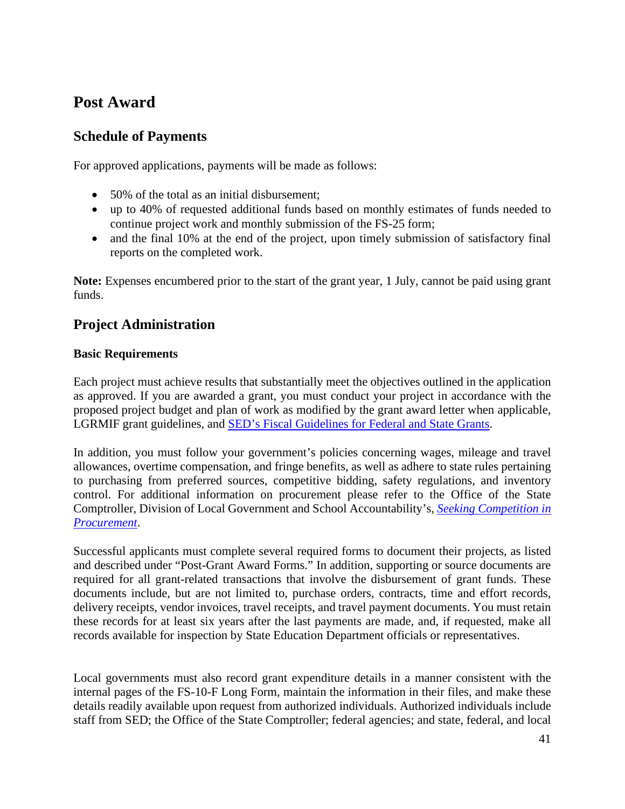### <span id="page-40-0"></span>**Post Award**

### <span id="page-40-1"></span>**Schedule of Payments**

For approved applications, payments will be made as follows:

- 50% of the total as an initial disbursement;
- up to 40% of requested additional funds based on monthly estimates of funds needed to continue project work and monthly submission of the FS-25 form;
- and the final 10% at the end of the project, upon timely submission of satisfactory final reports on the completed work.

**Note:** Expenses encumbered prior to the start of the grant year, 1 July, cannot be paid using grant funds.

### <span id="page-40-2"></span>**Project Administration**

#### **Basic Requirements**

Each project must achieve results that substantially meet the objectives outlined in the application as approved. If you are awarded a grant, you must conduct your project in accordance with the proposed project budget and plan of work as modified by the grant award letter when applicable, LGRMIF grant guidelines, and [SED's Fiscal Guidelines for Federal and State Grants.](http://www.oms.nysed.gov/cafe/guidance/guidelines.html)

In addition, you must follow your government's policies concerning wages, mileage and travel allowances, overtime compensation, and fringe benefits, as well as adhere to state rules pertaining to purchasing from preferred sources, competitive bidding, safety regulations, and inventory control. For additional information on procurement please refer to the Office of the State Comptroller, Division of Local Government and School Accountability's, *[Seeking Competition in](http://www.osc.state.ny.us/localgov/pubs/lgmg/seekingcompetition.pdf)  [Procurement](http://www.osc.state.ny.us/localgov/pubs/lgmg/seekingcompetition.pdf)*.

Successful applicants must complete several required forms to document their projects, as listed and described under "Post-Grant Award Forms." In addition, supporting or source documents are required for all grant-related transactions that involve the disbursement of grant funds. These documents include, but are not limited to, purchase orders, contracts, time and effort records, delivery receipts, vendor invoices, travel receipts, and travel payment documents. You must retain these records for at least six years after the last payments are made, and, if requested, make all records available for inspection by State Education Department officials or representatives.

Local governments must also record grant expenditure details in a manner consistent with the internal pages of the FS-10-F Long Form, maintain the information in their files, and make these details readily available upon request from authorized individuals. Authorized individuals include staff from SED; the Office of the State Comptroller; federal agencies; and state, federal, and local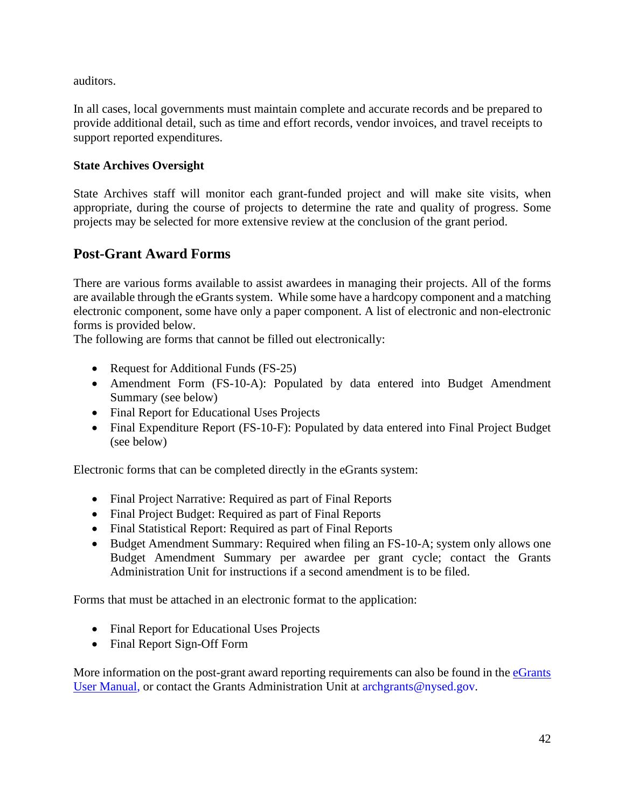auditors.

In all cases, local governments must maintain complete and accurate records and be prepared to provide additional detail, such as time and effort records, vendor invoices, and travel receipts to support reported expenditures.

#### **State Archives Oversight**

State Archives staff will monitor each grant-funded project and will make site visits, when appropriate, during the course of projects to determine the rate and quality of progress. Some projects may be selected for more extensive review at the conclusion of the grant period.

### <span id="page-41-0"></span>**Post-Grant Award Forms**

There are various forms available to assist awardees in managing their projects. All of the forms are available through the eGrants system. While some have a hardcopy component and a matching electronic component, some have only a paper component. A list of electronic and non-electronic forms is provided below.

The following are forms that cannot be filled out electronically:

- Request for Additional Funds (FS-25)
- Amendment Form (FS-10-A): Populated by data entered into Budget Amendment Summary (see below)
- Final Report for Educational Uses Projects
- Final Expenditure Report (FS-10-F): Populated by data entered into Final Project Budget (see below)

Electronic forms that can be completed directly in the eGrants system:

- Final Project Narrative: Required as part of Final Reports
- Final Project Budget: Required as part of Final Reports
- Final Statistical Report: Required as part of Final Reports
- Budget Amendment Summary: Required when filing an FS-10-A; system only allows one Budget Amendment Summary per awardee per grant cycle; contact the Grants Administration Unit for instructions if a second amendment is to be filed.

Forms that must be attached in an electronic format to the application:

- Final Report for Educational Uses Projects
- Final Report Sign-Off Form

More information on the post-grant award reporting requirements can also be found in the eGrants [User Manual,](http://www.archives.nysed.gov/common/archives/files/grants_lgrmif_egrant_user_manual.pdf) or contact the Grants Administration Unit at [archgrants@nysed.gov.](mailto:archgrants@nysed.gov)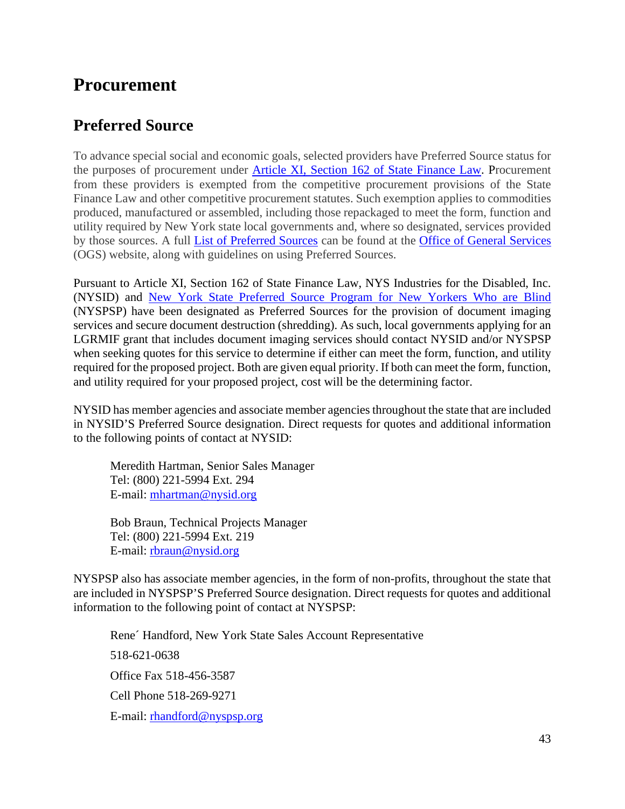# <span id="page-42-0"></span>**Procurement**

### <span id="page-42-1"></span>**Preferred Source**

To advance special social and economic goals, selected providers have Preferred Source status for the purposes of procurement under [Article XI, Section 162 of State Finance Law.](https://www.nysenate.gov/legislation/laws/STF/162) Procurement from these providers is exempted from the competitive procurement provisions of the State Finance Law and other competitive procurement statutes. Such exemption applies to commodities produced, manufactured or assembled, including those repackaged to meet the form, function and utility required by New York state local governments and, where so designated, services provided by those sources. A full [List of Preferred Sources](https://ogs.ny.gov/procurement/preferred-sources) can be found at the [Office of General Services](https://ogs.ny.gov/) (OGS) website, along with guidelines on using Preferred Sources.

Pursuant to Article XI, Section 162 of State Finance Law, NYS Industries for the Disabled, Inc. (NYSID) and [New York State Preferred Source Program for New Yorkers Who are Blind](https://www.nyspspabilityone.com/OA_HTML/xxnib_nyspsp_Services.jsp?sitex=10102:22372:US§ion=10922) (NYSPSP) have been designated as Preferred Sources for the provision of document imaging services and secure document destruction (shredding). As such, local governments applying for an LGRMIF grant that includes document imaging services should contact NYSID and/or NYSPSP when seeking quotes for this service to determine if either can meet the form, function, and utility required for the proposed project. Both are given equal priority. If both can meet the form, function, and utility required for your proposed project, cost will be the determining factor.

NYSID has member agencies and associate member agencies throughout the state that are included in NYSID'S Preferred Source designation. Direct requests for quotes and additional information to the following points of contact at NYSID:

Meredith Hartman, Senior Sales Manager Tel: (800) 221-5994 Ext. 294 E-mail: [mhartman@nysid.org](mailto:mhartman@nysid.org)

Bob Braun, Technical Projects Manager Tel: (800) 221-5994 Ext. 219 E-mail: [rbraun@nysid.org](mailto:rbraun@nysid.org)

NYSPSP also has associate member agencies, in the form of non-profits, throughout the state that are included in NYSPSP'S Preferred Source designation. Direct requests for quotes and additional information to the following point of contact at NYSPSP:

Rene´ Handford, New York State Sales Account Representative 518-621-0638 Office Fax 518-456-3587 Cell Phone 518-269-9271 E-mail: [rhandford@nyspsp.org](mailto:rhandford@nyspsp.org)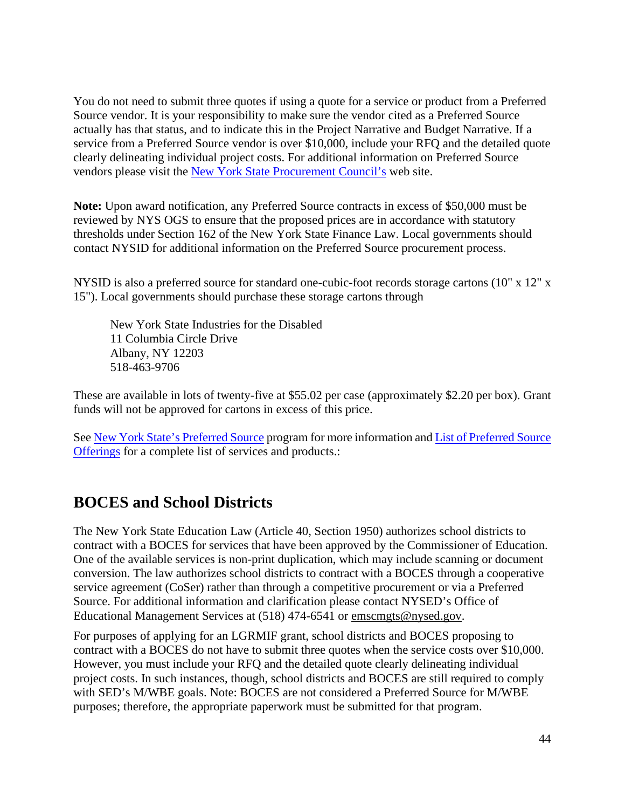You do not need to submit three quotes if using a quote for a service or product from a Preferred Source vendor. It is your responsibility to make sure the vendor cited as a Preferred Source actually has that status, and to indicate this in the Project Narrative and Budget Narrative. If a service from a Preferred Source vendor is over \$10,000, include your RFQ and the detailed quote clearly delineating individual project costs. For additional information on Preferred Source vendors please visit the [New York State Procurement Council's](https://ogs.ny.gov/procurement/nys-procurement-council) web site.

**Note:** Upon award notification, any Preferred Source contracts in excess of \$50,000 must be reviewed by NYS OGS to ensure that the proposed prices are in accordance with statutory thresholds under Section 162 of the New York State Finance Law. Local governments should contact NYSID for additional information on the Preferred Source procurement process.

NYSID is also a preferred source for standard one-cubic-foot records storage cartons (10" x 12" x 15"). Local governments should purchase these storage cartons through

New York State Industries for the Disabled 11 Columbia Circle Drive Albany, NY 12203 518-463-9706

These are available in lots of twenty-five at \$55.02 per case (approximately \$2.20 per box). Grant funds will not be approved for cartons in excess of this price.

See [New York State's Preferred Source](http://nyspro.ogs.ny.gov/content/buying-preferred-source-0) program for more information and [List of Preferred Source](https://ogs.ny.gov/procurement/preferred-sources)  [Offerings](https://ogs.ny.gov/procurement/preferred-sources) for a complete list of services and products.:

### <span id="page-43-0"></span>**BOCES and School Districts**

The New York State Education Law (Article 40, Section 1950) authorizes school districts to contract with a BOCES for services that have been approved by the Commissioner of Education. One of the available services is non-print duplication, which may include scanning or document conversion. The law authorizes school districts to contract with a BOCES through a cooperative service agreement (CoSer) rather than through a competitive procurement or via a Preferred Source. For additional information and clarification please contact NYSED's Office of Educational Management Services at (518) 474-6541 or [emscmgts@nysed.gov.](mailto:emscmgts@nysed.gov)

For purposes of applying for an LGRMIF grant, school districts and BOCES proposing to contract with a BOCES do not have to submit three quotes when the service costs over \$10,000. However, you must include your RFQ and the detailed quote clearly delineating individual project costs. In such instances, though, school districts and BOCES are still required to comply with SED's M/WBE goals. Note: BOCES are not considered a Preferred Source for M/WBE purposes; therefore, the appropriate paperwork must be submitted for that program.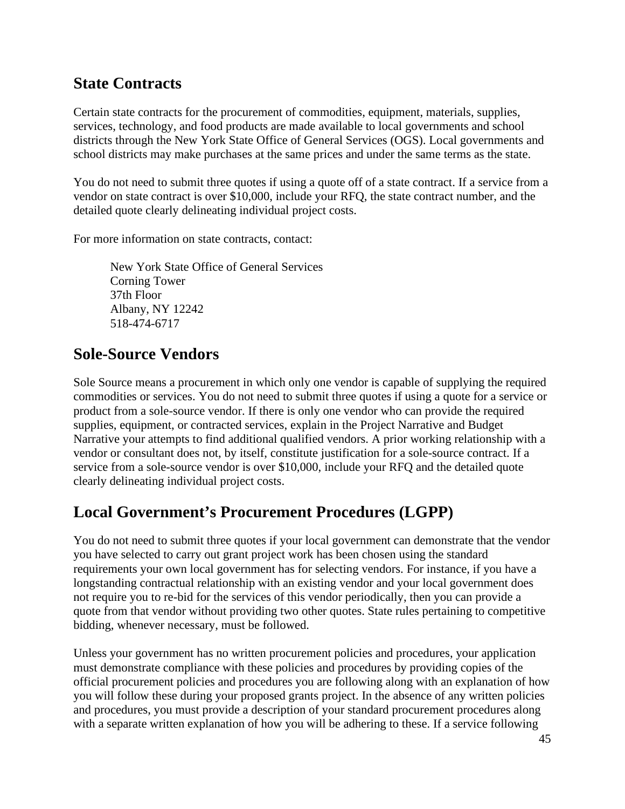### <span id="page-44-0"></span>**State Contracts**

Certain state contracts for the procurement of commodities, equipment, materials, supplies, services, technology, and food products are made available to local governments and school districts through the New York State Office of General Services (OGS). Local governments and school districts may make purchases at the same prices and under the same terms as the state.

You do not need to submit three quotes if using a quote off of a state contract. If a service from a vendor on state contract is over \$10,000, include your RFQ, the state contract number, and the detailed quote clearly delineating individual project costs.

For more information on state contracts, contact:

New York State Office of General Services Corning Tower 37th Floor Albany, NY 12242 518-474-6717

### <span id="page-44-1"></span>**Sole-Source Vendors**

Sole Source means a procurement in which only one vendor is capable of supplying the required commodities or services. You do not need to submit three quotes if using a quote for a service or product from a sole-source vendor. If there is only one vendor who can provide the required supplies, equipment, or contracted services, explain in the Project Narrative and Budget Narrative your attempts to find additional qualified vendors. A prior working relationship with a vendor or consultant does not, by itself, constitute justification for a sole-source contract. If a service from a sole-source vendor is over \$10,000, include your RFQ and the detailed quote clearly delineating individual project costs.

### <span id="page-44-2"></span>**Local Government's Procurement Procedures (LGPP)**

You do not need to submit three quotes if your local government can demonstrate that the vendor you have selected to carry out grant project work has been chosen using the standard requirements your own local government has for selecting vendors. For instance, if you have a longstanding contractual relationship with an existing vendor and your local government does not require you to re-bid for the services of this vendor periodically, then you can provide a quote from that vendor without providing two other quotes. State rules pertaining to competitive bidding, whenever necessary, must be followed.

Unless your government has no written procurement policies and procedures, your application must demonstrate compliance with these policies and procedures by providing copies of the official procurement policies and procedures you are following along with an explanation of how you will follow these during your proposed grants project. In the absence of any written policies and procedures, you must provide a description of your standard procurement procedures along with a separate written explanation of how you will be adhering to these. If a service following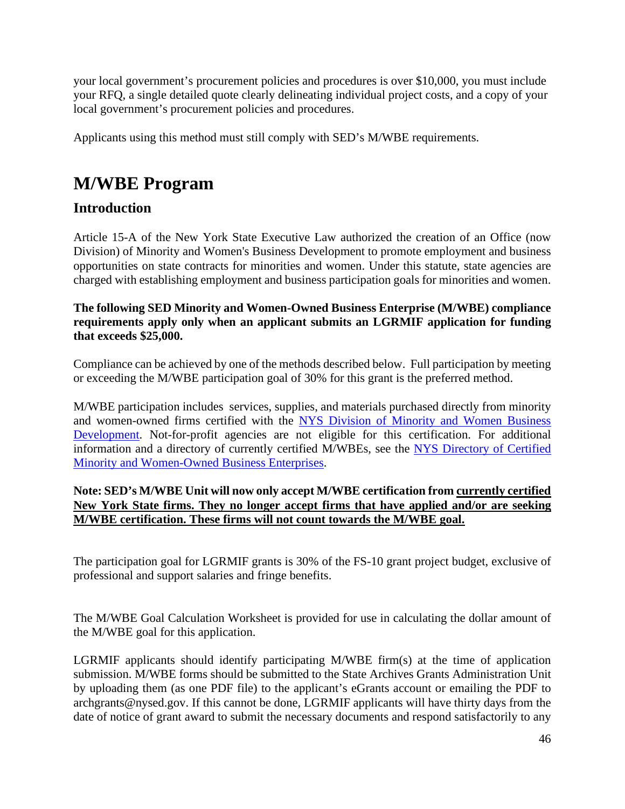your local government's procurement policies and procedures is over \$10,000, you must include your RFQ, a single detailed quote clearly delineating individual project costs, and a copy of your local government's procurement policies and procedures.

Applicants using this method must still comply with SED's M/WBE requirements.

# <span id="page-45-0"></span>**M/WBE Program**

### **Introduction**

Article 15-A of the New York State Executive Law authorized the creation of an Office (now Division) of Minority and Women's Business Development to promote employment and business opportunities on state contracts for minorities and women. Under this statute, state agencies are charged with establishing employment and business participation goals for minorities and women.

#### **The following SED Minority and Women-Owned Business Enterprise (M/WBE) compliance requirements apply only when an applicant submits an LGRMIF application for funding that exceeds \$25,000.**

Compliance can be achieved by one of the methods described below. Full participation by meeting or exceeding the M/WBE participation goal of 30% for this grant is the preferred method.

M/WBE participation includes services, supplies, and materials purchased directly from minority and women-owned firms certified with the [NYS Division of Minority and Women Business](https://esd.ny.gov/doing-business-ny/mwbe)  [Development.](https://esd.ny.gov/doing-business-ny/mwbe) Not-for-profit agencies are not eligible for this certification. For additional information and a directory of currently certified M/WBEs, see the [NYS Directory of Certified](https://ny.newnycontracts.com/FrontEnd/VendorSearchPublic.asp?TN=ny&XID=4687)  Minority [and Women-Owned Business Enterprises.](https://ny.newnycontracts.com/FrontEnd/VendorSearchPublic.asp?TN=ny&XID=4687)

#### **Note: SED's M/WBE Unit will now only accept M/WBE certification from currently certified New York State firms. They no longer accept firms that have applied and/or are seeking M/WBE certification. These firms will not count towards the M/WBE goal.**

The participation goal for LGRMIF grants is 30% of the FS-10 grant project budget, exclusive of professional and support salaries and fringe benefits.

The M/WBE Goal Calculation Worksheet is provided for use in calculating the dollar amount of the M/WBE goal for this application.

LGRMIF applicants should identify participating M/WBE firm(s) at the time of application submission. M/WBE forms should be submitted to the State Archives Grants Administration Unit by uploading them (as one PDF file) to the applicant's eGrants account or emailing the PDF to archgrants@nysed.gov. If this cannot be done, LGRMIF applicants will have thirty days from the date of notice of grant award to submit the necessary documents and respond satisfactorily to any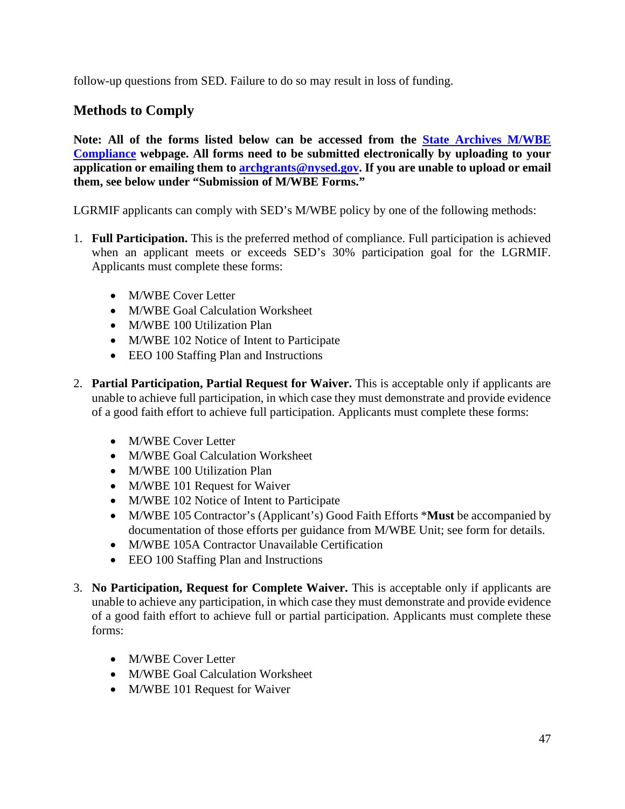follow-up questions from SED. Failure to do so may result in loss of funding.

### **Methods to Comply**

**Note: All of the forms listed below can be accessed from the [State Archives M/WBE](http://www.archives.nysed.gov/grants/grants_lgrmif_mwbe_compliance.shtml)  [Compliance](http://www.archives.nysed.gov/grants/grants_lgrmif_mwbe_compliance.shtml) webpage. All forms need to be submitted electronically by uploading to your application or emailing them to [archgrants@nysed.gov.](mailto:archgrants@nysed.gov) If you are unable to upload or email them, see below under "Submission of M/WBE Forms."**

LGRMIF applicants can comply with SED's M/WBE policy by one of the following methods:

- 1. **Full Participation.** This is the preferred method of compliance. Full participation is achieved when an applicant meets or exceeds SED's 30% participation goal for the LGRMIF. Applicants must complete these forms:
	- M/WBE Cover Letter
	- M/WBE Goal Calculation Worksheet
	- M/WBE 100 Utilization Plan
	- M/WBE 102 Notice of Intent to Participate
	- EEO 100 Staffing Plan and Instructions
- 2. **Partial Participation, Partial Request for Waiver.** This is acceptable only if applicants are unable to achieve full participation, in which case they must demonstrate and provide evidence of a good faith effort to achieve full participation. Applicants must complete these forms:
	- M/WBE Cover Letter
	- M/WBE Goal Calculation Worksheet
	- M/WBE 100 Utilization Plan
	- M/WBE 101 Request for Waiver
	- M/WBE 102 Notice of Intent to Participate
	- M/WBE 105 Contractor's (Applicant's) Good Faith Efforts \***Must** be accompanied by documentation of those efforts per guidance from M/WBE Unit; see form for details.
	- M/WBE 105A Contractor Unavailable Certification
	- EEO 100 Staffing Plan and Instructions
- 3. **No Participation, Request for Complete Waiver.** This is acceptable only if applicants are unable to achieve any participation, in which case they must demonstrate and provide evidence of a good faith effort to achieve full or partial participation. Applicants must complete these forms:
	- M/WBE Cover Letter
	- M/WBE Goal Calculation Worksheet
	- M/WBE 101 Request for Waiver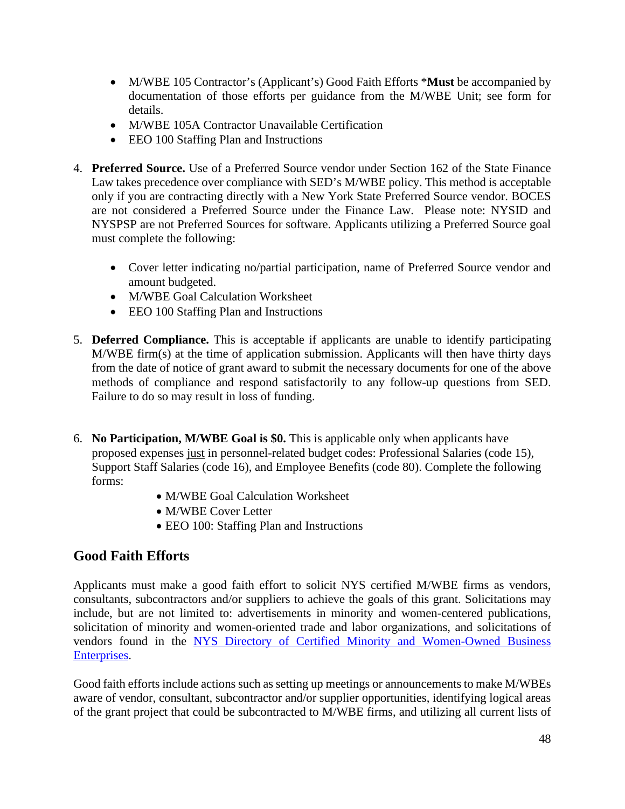- M/WBE 105 Contractor's (Applicant's) Good Faith Efforts \***Must** be accompanied by documentation of those efforts per guidance from the M/WBE Unit; see form for details.
- M/WBE 105A Contractor Unavailable Certification
- EEO 100 Staffing Plan and Instructions
- 4. **Preferred Source.** Use of a Preferred Source vendor under Section 162 of the State Finance Law takes precedence over compliance with SED's M/WBE policy. This method is acceptable only if you are contracting directly with a New York State Preferred Source vendor. BOCES are not considered a Preferred Source under the Finance Law. Please note: NYSID and NYSPSP are not Preferred Sources for software. Applicants utilizing a Preferred Source goal must complete the following:
	- Cover letter indicating no/partial participation, name of Preferred Source vendor and amount budgeted.
	- M/WBE Goal Calculation Worksheet
	- EEO 100 Staffing Plan and Instructions
- 5. **Deferred Compliance.** This is acceptable if applicants are unable to identify participating M/WBE firm(s) at the time of application submission. Applicants will then have thirty days from the date of notice of grant award to submit the necessary documents for one of the above methods of compliance and respond satisfactorily to any follow-up questions from SED. Failure to do so may result in loss of funding.
- 6. **No Participation, M/WBE Goal is \$0.** This is applicable only when applicants have proposed expenses just in personnel-related budget codes: Professional Salaries (code 15), Support Staff Salaries (code 16), and Employee Benefits (code 80). Complete the following forms:
	- M/WBE Goal Calculation Worksheet
	- M/WBE Cover Letter
	- EEO 100: Staffing Plan and Instructions

#### **Good Faith Efforts**

Applicants must make a good faith effort to solicit NYS certified M/WBE firms as vendors, consultants, subcontractors and/or suppliers to achieve the goals of this grant. Solicitations may include, but are not limited to: advertisements in minority and women-centered publications, solicitation of minority and women-oriented trade and labor organizations, and solicitations of vendors found in the [NYS Directory of Certified Minority and Women-Owned Business](https://ny.newnycontracts.com/FrontEnd/VendorSearchPublic.asp?TN=ny&XID=4687)  [Enterprises.](https://ny.newnycontracts.com/FrontEnd/VendorSearchPublic.asp?TN=ny&XID=4687)

Good faith efforts include actions such as setting up meetings or announcements to make M/WBEs aware of vendor, consultant, subcontractor and/or supplier opportunities, identifying logical areas of the grant project that could be subcontracted to M/WBE firms, and utilizing all current lists of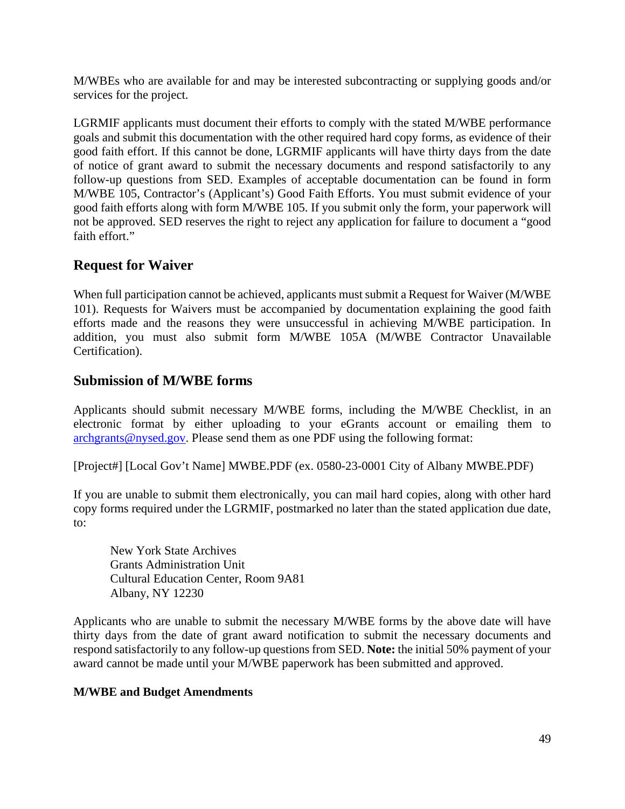M/WBEs who are available for and may be interested subcontracting or supplying goods and/or services for the project.

LGRMIF applicants must document their efforts to comply with the stated M/WBE performance goals and submit this documentation with the other required hard copy forms, as evidence of their good faith effort. If this cannot be done, LGRMIF applicants will have thirty days from the date of notice of grant award to submit the necessary documents and respond satisfactorily to any follow-up questions from SED. Examples of acceptable documentation can be found in form M/WBE 105, Contractor's (Applicant's) Good Faith Efforts. You must submit evidence of your good faith efforts along with form M/WBE 105. If you submit only the form, your paperwork will not be approved. SED reserves the right to reject any application for failure to document a "good faith effort."

### **Request for Waiver**

When full participation cannot be achieved, applicants must submit a Request for Waiver (M/WBE) 101). Requests for Waivers must be accompanied by documentation explaining the good faith efforts made and the reasons they were unsuccessful in achieving M/WBE participation. In addition, you must also submit form M/WBE 105A (M/WBE Contractor Unavailable Certification).

#### **Submission of M/WBE forms**

Applicants should submit necessary M/WBE forms, including the M/WBE Checklist, in an electronic format by either uploading to your eGrants account or emailing them to [archgrants@nysed.gov.](mailto:archgrants@nysed.gov) Please send them as one PDF using the following format:

[Project#] [Local Gov't Name] MWBE.PDF (ex. 0580-23-0001 City of Albany MWBE.PDF)

If you are unable to submit them electronically, you can mail hard copies, along with other hard copy forms required under the LGRMIF, postmarked no later than the stated application due date, to:

New York State Archives Grants Administration Unit Cultural Education Center, Room 9A81 Albany, NY 12230

Applicants who are unable to submit the necessary M/WBE forms by the above date will have thirty days from the date of grant award notification to submit the necessary documents and respond satisfactorily to any follow-up questions from SED. **Note:** the initial 50% payment of your award cannot be made until your M/WBE paperwork has been submitted and approved.

#### **M/WBE and Budget Amendments**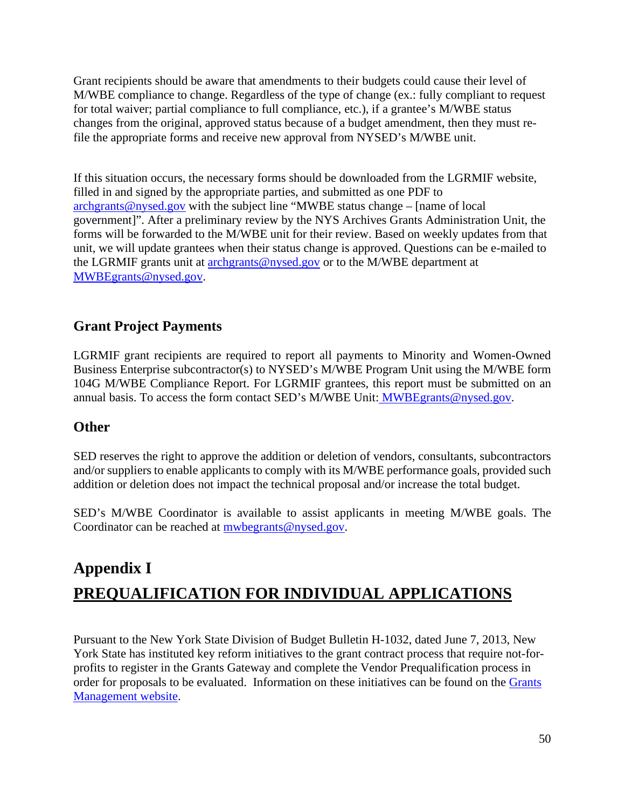Grant recipients should be aware that amendments to their budgets could cause their level of M/WBE compliance to change. Regardless of the type of change (ex.: fully compliant to request for total waiver; partial compliance to full compliance, etc.), if a grantee's M/WBE status changes from the original, approved status because of a budget amendment, then they must refile the appropriate forms and receive new approval from NYSED's M/WBE unit.

If this situation occurs, the necessary forms should be downloaded from the LGRMIF website, filled in and signed by the appropriate parties, and submitted as one PDF to  $archgrants  $\textcircled{e}$  nysed.gov with the subject line "MWBE status change – [name of local$ government]". After a preliminary review by the NYS Archives Grants Administration Unit, the forms will be forwarded to the M/WBE unit for their review. Based on weekly updates from that unit, we will update grantees when their status change is approved. Questions can be e-mailed to the LGRMIF grants unit at [archgrants@nysed.gov](mailto:archgrants@nysed.gov) or to the M/WBE department at [MWBEgrants@nysed.gov.](mailto:MWBEgrants@nysed.gov)

### **Grant Project Payments**

LGRMIF grant recipients are required to report all payments to Minority and Women-Owned Business Enterprise subcontractor(s) to NYSED's M/WBE Program Unit using the M/WBE form 104G M/WBE Compliance Report. For LGRMIF grantees, this report must be submitted on an annual basis. To access the form contact SED's M/WBE Unit: [MWBEgrants@nysed.gov.](mailto:MWBEgrants@nysed.gov)

#### **Other**

SED reserves the right to approve the addition or deletion of vendors, consultants, subcontractors and/or suppliers to enable applicants to comply with its M/WBE performance goals, provided such addition or deletion does not impact the technical proposal and/or increase the total budget.

SED's M/WBE Coordinator is available to assist applicants in meeting M/WBE goals. The Coordinator can be reached at [mwbegrants@nysed.gov.](mailto:mwbegrants@nysed.gov)

# <span id="page-49-1"></span><span id="page-49-0"></span>**Appendix I PREQUALIFICATION FOR INDIVIDUAL APPLICATIONS**

Pursuant to the New York State Division of Budget Bulletin H-1032, dated June 7, 2013, New York State has instituted key reform initiatives to the grant contract process that require not-forprofits to register in the Grants Gateway and complete the Vendor Prequalification process in order for proposals to be evaluated. Information on these initiatives can be found on the [Grants](http://www.grantsmanagement.ny.gov/)  [Management website.](http://www.grantsmanagement.ny.gov/)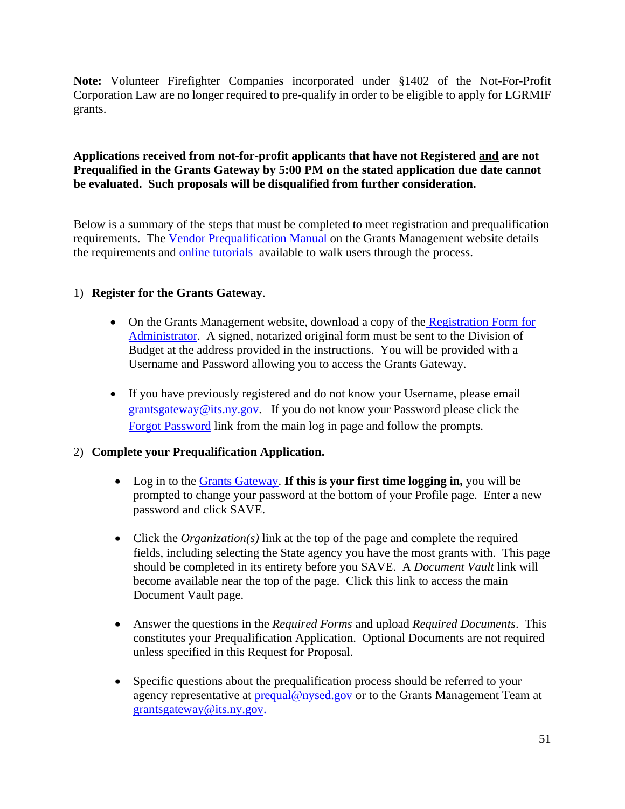**Note:** Volunteer Firefighter Companies incorporated under §1402 of the Not-For-Profit Corporation Law are no longer required to pre-qualify in order to be eligible to apply for LGRMIF grants.

#### **Applications received from not-for-profit applicants that have not Registered and are not Prequalified in the Grants Gateway by 5:00 PM on the stated application due date cannot be evaluated. Such proposals will be disqualified from further consideration.**

Below is a summary of the steps that must be completed to meet registration and prequalification requirements. The [Vendor Prequalification Manual](https://grantsmanagement.ny.gov/system/files/documents/2020/03/vendor-prequalification-manual-june-2019.pdf) on the Grants Management website details the requirements and [online tutorials](https://grantsmanagement.ny.gov/videos-grant-applicants) available to walk users through the process.

#### 1) **Register for the Grants Gateway**.

- On the Grants Management website, download a copy of the Registration Form for [Administrator.](https://grantsmanagement.ny.gov/system/files/documents/2021/09/grants_gateway_registration_form_09-03-2021.pdf) A signed, notarized original form must be sent to the Division of Budget at the address provided in the instructions. You will be provided with a Username and Password allowing you to access the Grants Gateway.
- If you have previously registered and do not know your Username, please email [grantsgateway@its.ny.gov.](mailto:grantsgateway@its.ny.gov) If you do not know your Password please click the [Forgot Password](https://grantsgateway.ny.gov/IntelliGrants_NYSGG/PersonPassword2.aspx?Mode=Forgot) link from the main log in page and follow the prompts.

#### 2) **Complete your Prequalification Application.**

- Log in to the [Grants Gateway.](https://grantsmanagement.ny.gov/?utm_medium=301&utm_source=grantsreform.ny.gov) **If this is your first time logging in,** you will be prompted to change your password at the bottom of your Profile page. Enter a new password and click SAVE.
- Click the *Organization(s)* link at the top of the page and complete the required fields, including selecting the State agency you have the most grants with. This page should be completed in its entirety before you SAVE. A *Document Vault* link will become available near the top of the page. Click this link to access the main Document Vault page.
- Answer the questions in the *Required Forms* and upload *Required Documents*. This constitutes your Prequalification Application. Optional Documents are not required unless specified in this Request for Proposal.
- Specific questions about the prequalification process should be referred to your agency representative at **prequal@nysed.gov** or to the Grants Management Team at [grantsgateway@its.ny.gov.](mailto:grantsgateway@its.ny.gov)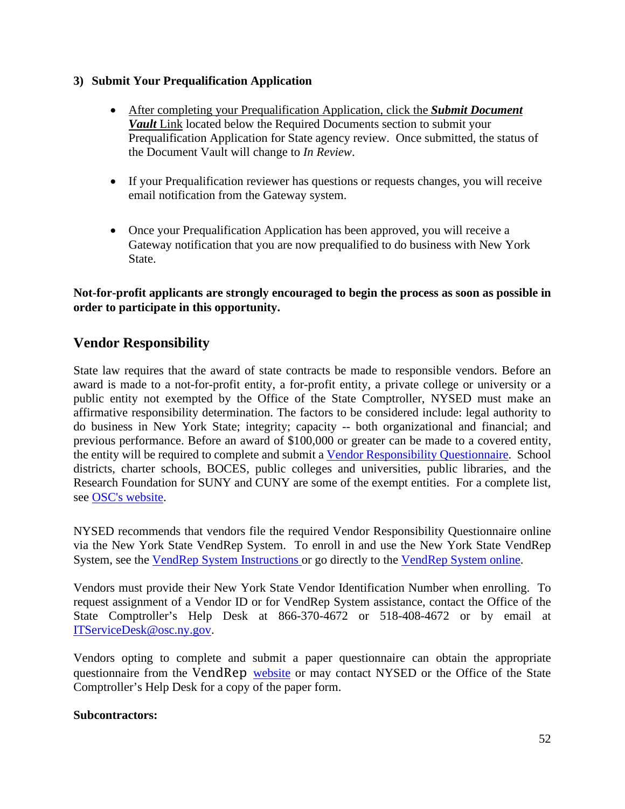#### **3) Submit Your Prequalification Application**

- After completing your Prequalification Application, click the *Submit Document Vault* Link located below the Required Documents section to submit your Prequalification Application for State agency review. Once submitted, the status of the Document Vault will change to *In Review*.
- If your Prequalification reviewer has questions or requests changes, you will receive email notification from the Gateway system.
- Once your Prequalification Application has been approved, you will receive a Gateway notification that you are now prequalified to do business with New York State.

**Not-for-profit applicants are strongly encouraged to begin the process as soon as possible in order to participate in this opportunity.**

#### <span id="page-51-0"></span>**Vendor Responsibility**

State law requires that the award of state contracts be made to responsible vendors. Before an award is made to a not-for-profit entity, a for-profit entity, a private college or university or a public entity not exempted by the Office of the State Comptroller, NYSED must make an affirmative responsibility determination. The factors to be considered include: legal authority to do business in New York State; integrity; capacity -- both organizational and financial; and previous performance. Before an award of \$100,000 or greater can be made to a covered entity, the entity will be required to complete and submit a [Vendor Responsibility Questionnaire.](https://www.osc.state.ny.us/state-vendors/vendrep/file-your-vendor-responsibility-questionnaire) School districts, charter schools, BOCES, public colleges and universities, public libraries, and the Research Foundation for SUNY and CUNY are some of the exempt entities. For a complete list, see [OSC's website.](http://www.osc.state.ny.us/vendrep/resources_docreq_agency.htm)

NYSED recommends that vendors file the required Vendor Responsibility Questionnaire online via the New York State VendRep System. To enroll in and use the New York State VendRep System, see the [VendRep System Instructions](https://www.osc.state.ny.us/vendrep/info_vrsystem.htm) or go directly to the [VendRep System online.](https://onlineservices.osc.state.ny.us/)

Vendors must provide their New York State Vendor Identification Number when enrolling. To request assignment of a Vendor ID or for VendRep System assistance, contact the Office of the State Comptroller's Help Desk at 866-370-4672 or 518-408-4672 or by email at [ITServiceDesk@osc.ny.gov.](mailto:ITServiceDesk@osc.ny.gov)

Vendors opting to complete and submit a paper questionnaire can obtain the appropriate questionnaire from the VendRep [website](https://www.osc.state.ny.us/state-vendors/vendrep/vendrep-system) or may contact NYSED or the Office of the State Comptroller's Help Desk for a copy of the paper form.

#### **Subcontractors:**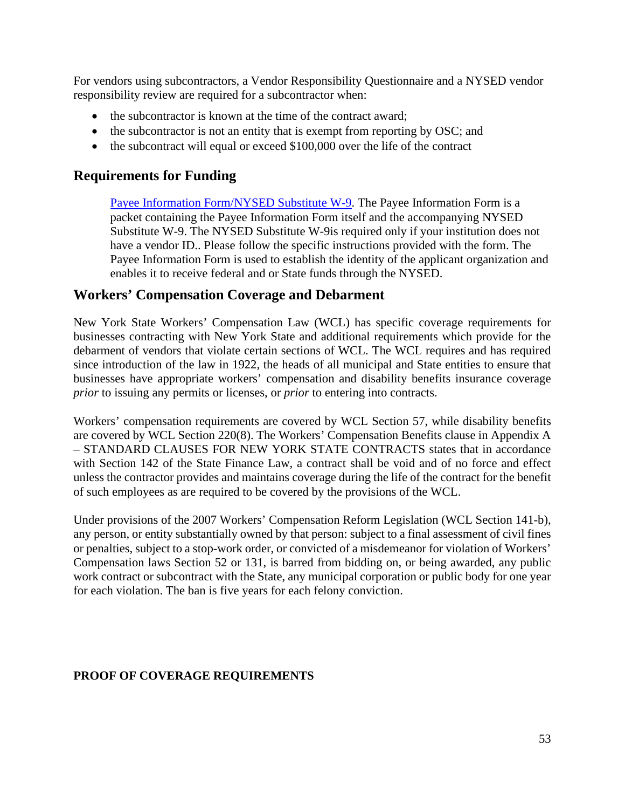For vendors using subcontractors, a Vendor Responsibility Questionnaire and a NYSED vendor responsibility review are required for a subcontractor when:

- the subcontractor is known at the time of the contract award;
- the subcontractor is not an entity that is exempt from reporting by OSC; and
- the subcontract will equal or exceed \$100,000 over the life of the contract

#### <span id="page-52-0"></span>**Requirements for Funding**

[Payee Information Form/NYSED Substitute W-9.](http://www.oms.nysed.gov/cafe/forms/) The Payee Information Form is a packet containing the Payee Information Form itself and the accompanying NYSED Substitute W-9. The NYSED Substitute W-9is required only if your institution does not have a vendor ID.. Please follow the specific instructions provided with the form. The Payee Information Form is used to establish the identity of the applicant organization and enables it to receive federal and or State funds through the NYSED.

#### <span id="page-52-1"></span>**Workers' Compensation Coverage and Debarment**

New York State Workers' Compensation Law (WCL) has specific coverage requirements for businesses contracting with New York State and additional requirements which provide for the debarment of vendors that violate certain sections of WCL. The WCL requires and has required since introduction of the law in 1922, the heads of all municipal and State entities to ensure that businesses have appropriate workers' compensation and disability benefits insurance coverage *prior* to issuing any permits or licenses, or *prior* to entering into contracts.

Workers' compensation requirements are covered by WCL Section 57, while disability benefits are covered by WCL Section 220(8). The Workers' Compensation Benefits clause in Appendix A – STANDARD CLAUSES FOR NEW YORK STATE CONTRACTS states that in accordance with Section 142 of the State Finance Law, a contract shall be void and of no force and effect unless the contractor provides and maintains coverage during the life of the contract for the benefit of such employees as are required to be covered by the provisions of the WCL.

Under provisions of the 2007 Workers' Compensation Reform Legislation (WCL Section 141-b), any person, or entity substantially owned by that person: subject to a final assessment of civil fines or penalties, subject to a stop-work order, or convicted of a misdemeanor for violation of Workers' Compensation laws Section 52 or 131, is barred from bidding on, or being awarded, any public work contract or subcontract with the State, any municipal corporation or public body for one year for each violation. The ban is five years for each felony conviction.

#### **PROOF OF COVERAGE REQUIREMENTS**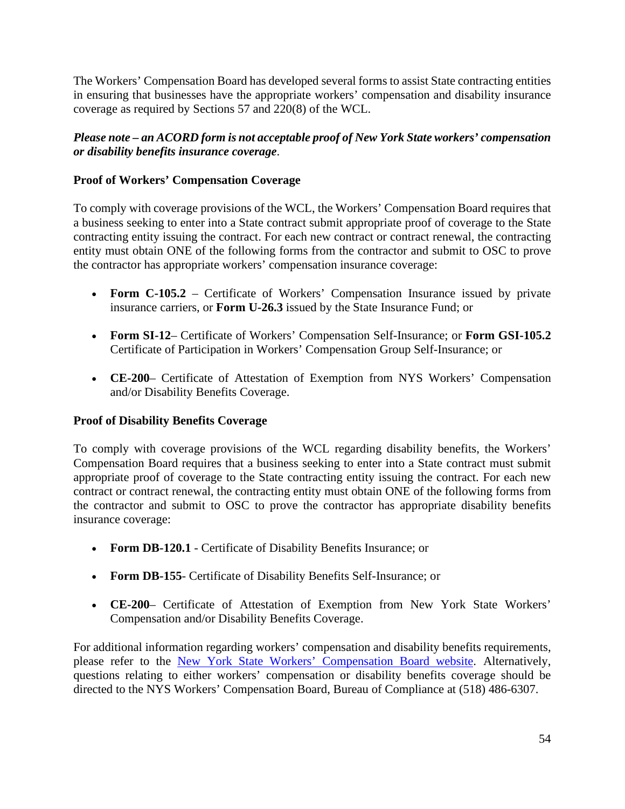The Workers' Compensation Board has developed several forms to assist State contracting entities in ensuring that businesses have the appropriate workers' compensation and disability insurance coverage as required by Sections 57 and 220(8) of the WCL.

#### *Please note – an ACORD form is not acceptable proof of New York State workers' compensation or disability benefits insurance coverage*.

#### **Proof of Workers' Compensation Coverage**

To comply with coverage provisions of the WCL, the Workers' Compensation Board requires that a business seeking to enter into a State contract submit appropriate proof of coverage to the State contracting entity issuing the contract. For each new contract or contract renewal, the contracting entity must obtain ONE of the following forms from the contractor and submit to OSC to prove the contractor has appropriate workers' compensation insurance coverage:

- **Form C-105.2** Certificate of Workers' Compensation Insurance issued by private insurance carriers, or **Form U-26.3** issued by the State Insurance Fund; or
- **Form SI-12** Certificate of Workers' Compensation Self-Insurance; or **Form GSI-105.2** Certificate of Participation in Workers' Compensation Group Self-Insurance; or
- **CE-200** Certificate of Attestation of Exemption from NYS Workers' Compensation and/or Disability Benefits Coverage.

#### **Proof of Disability Benefits Coverage**

To comply with coverage provisions of the WCL regarding disability benefits, the Workers' Compensation Board requires that a business seeking to enter into a State contract must submit appropriate proof of coverage to the State contracting entity issuing the contract. For each new contract or contract renewal, the contracting entity must obtain ONE of the following forms from the contractor and submit to OSC to prove the contractor has appropriate disability benefits insurance coverage:

- **Form DB-120.1** Certificate of Disability Benefits Insurance; or
- **Form DB-155** Certificate of Disability Benefits Self-Insurance; or
- **CE-200** Certificate of Attestation of Exemption from New York State Workers' Compensation and/or Disability Benefits Coverage.

For additional information regarding workers' compensation and disability benefits requirements, please refer to the [New York State Workers' Compensation Board website.](http://www.wcb.ny.gov/content/main/Employers/Employers.jsp) Alternatively, questions relating to either workers' compensation or disability benefits coverage should be directed to the NYS Workers' Compensation Board, Bureau of Compliance at (518) 486-6307.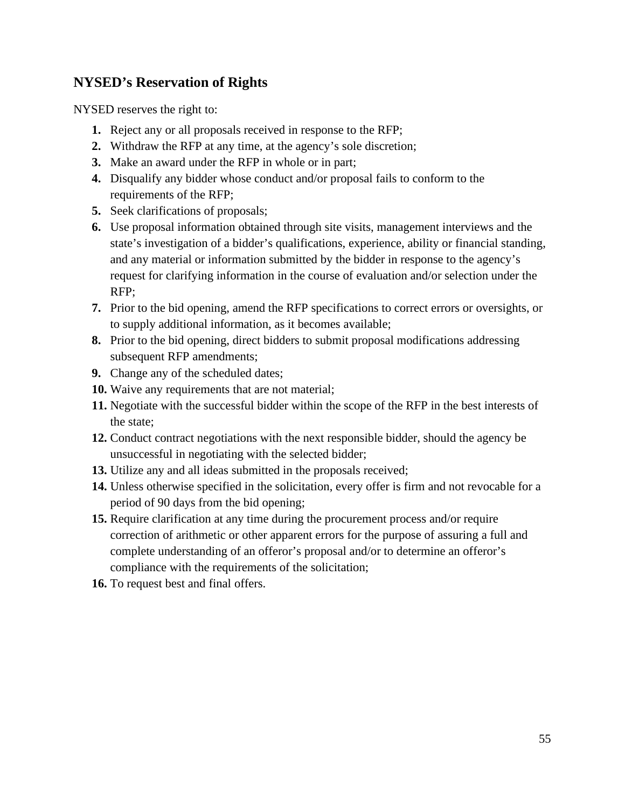### <span id="page-54-0"></span>**NYSED's Reservation of Rights**

NYSED reserves the right to:

- **1.** Reject any or all proposals received in response to the RFP;
- **2.** Withdraw the RFP at any time, at the agency's sole discretion;
- **3.** Make an award under the RFP in whole or in part;
- **4.** Disqualify any bidder whose conduct and/or proposal fails to conform to the requirements of the RFP;
- **5.** Seek clarifications of proposals;
- **6.** Use proposal information obtained through site visits, management interviews and the state's investigation of a bidder's qualifications, experience, ability or financial standing, and any material or information submitted by the bidder in response to the agency's request for clarifying information in the course of evaluation and/or selection under the RFP;
- **7.** Prior to the bid opening, amend the RFP specifications to correct errors or oversights, or to supply additional information, as it becomes available;
- **8.** Prior to the bid opening, direct bidders to submit proposal modifications addressing subsequent RFP amendments;
- **9.** Change any of the scheduled dates;
- **10.** Waive any requirements that are not material;
- **11.** Negotiate with the successful bidder within the scope of the RFP in the best interests of the state;
- **12.** Conduct contract negotiations with the next responsible bidder, should the agency be unsuccessful in negotiating with the selected bidder;
- **13.** Utilize any and all ideas submitted in the proposals received;
- **14.** Unless otherwise specified in the solicitation, every offer is firm and not revocable for a period of 90 days from the bid opening;
- **15.** Require clarification at any time during the procurement process and/or require correction of arithmetic or other apparent errors for the purpose of assuring a full and complete understanding of an offeror's proposal and/or to determine an offeror's compliance with the requirements of the solicitation;
- **16.** To request best and final offers.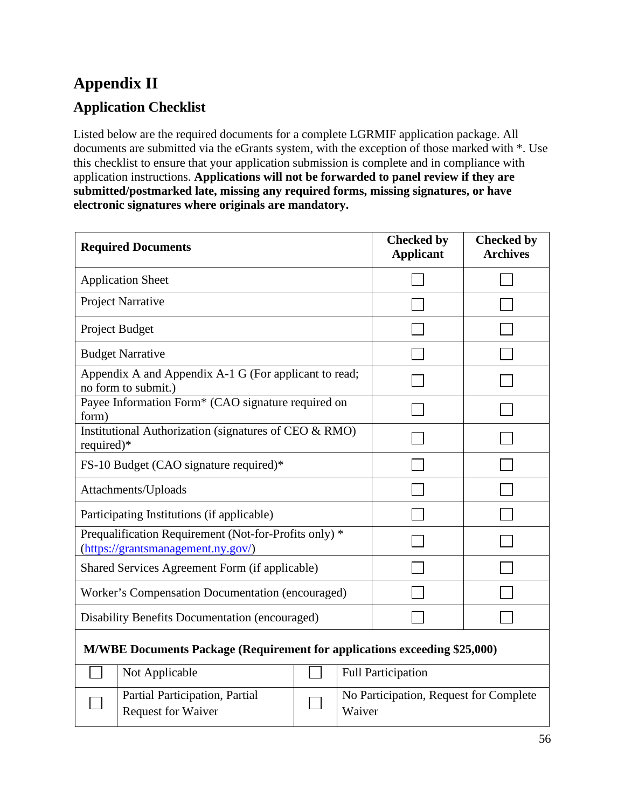# <span id="page-55-1"></span><span id="page-55-0"></span>**Appendix II Application Checklist**

Listed below are the required documents for a complete LGRMIF application package. All documents are submitted via the eGrants system, with the exception of those marked with \*. Use this checklist to ensure that your application submission is complete and in compliance with application instructions. **Applications will not be forwarded to panel review if they are submitted/postmarked late, missing any required forms, missing signatures, or have electronic signatures where originals are mandatory.**

| <b>Required Documents</b>                                                                   |                                                                              |  | <b>Checked by</b><br><b>Applicant</b>  | <b>Checked by</b><br><b>Archives</b> |  |
|---------------------------------------------------------------------------------------------|------------------------------------------------------------------------------|--|----------------------------------------|--------------------------------------|--|
|                                                                                             | <b>Application Sheet</b>                                                     |  |                                        |                                      |  |
|                                                                                             | Project Narrative                                                            |  |                                        |                                      |  |
| Project Budget                                                                              |                                                                              |  |                                        |                                      |  |
|                                                                                             | <b>Budget Narrative</b>                                                      |  |                                        |                                      |  |
|                                                                                             | Appendix A and Appendix A-1 G (For applicant to read;<br>no form to submit.) |  |                                        |                                      |  |
| form)                                                                                       | Payee Information Form* (CAO signature required on                           |  |                                        |                                      |  |
| required)*                                                                                  | Institutional Authorization (signatures of CEO & RMO)                        |  |                                        |                                      |  |
| FS-10 Budget (CAO signature required)*                                                      |                                                                              |  |                                        |                                      |  |
| Attachments/Uploads                                                                         |                                                                              |  |                                        |                                      |  |
| Participating Institutions (if applicable)                                                  |                                                                              |  |                                        |                                      |  |
| Prequalification Requirement (Not-for-Profits only) *<br>(https://grantsmanagement.ny.gov/) |                                                                              |  |                                        |                                      |  |
| Shared Services Agreement Form (if applicable)                                              |                                                                              |  |                                        |                                      |  |
| Worker's Compensation Documentation (encouraged)                                            |                                                                              |  |                                        |                                      |  |
| Disability Benefits Documentation (encouraged)                                              |                                                                              |  |                                        |                                      |  |
| <b>M/WBE Documents Package (Requirement for applications exceeding \$25,000)</b>            |                                                                              |  |                                        |                                      |  |
|                                                                                             | Not Applicable                                                               |  |                                        | <b>Full Participation</b>            |  |
| Partial Participation, Partial<br>Waiver<br><b>Request for Waiver</b>                       |                                                                              |  | No Participation, Request for Complete |                                      |  |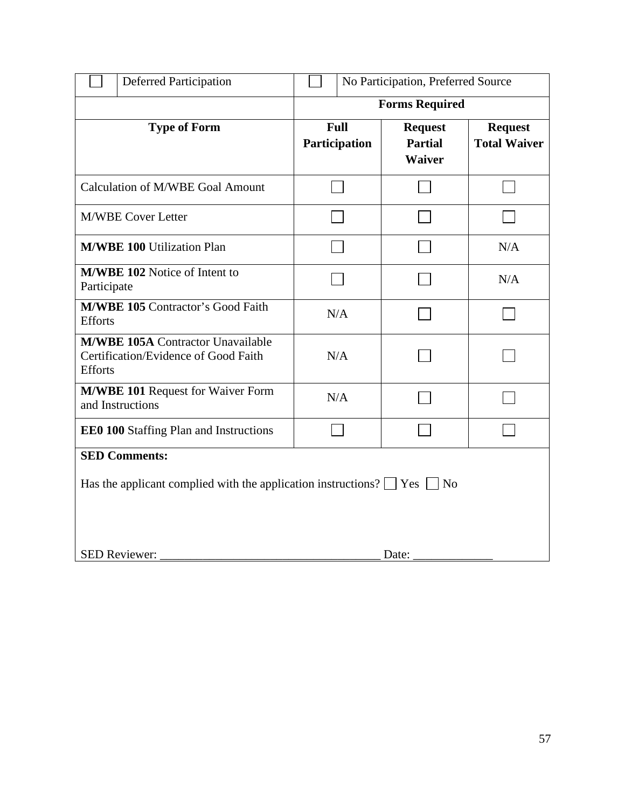|                                                                                                            | <b>Deferred Participation</b>                                                    |                       |                              | No Participation, Preferred Source                |                                       |
|------------------------------------------------------------------------------------------------------------|----------------------------------------------------------------------------------|-----------------------|------------------------------|---------------------------------------------------|---------------------------------------|
|                                                                                                            |                                                                                  | <b>Forms Required</b> |                              |                                                   |                                       |
|                                                                                                            | <b>Type of Form</b>                                                              |                       | <b>Full</b><br>Participation | <b>Request</b><br><b>Partial</b><br><b>Waiver</b> | <b>Request</b><br><b>Total Waiver</b> |
|                                                                                                            | <b>Calculation of M/WBE Goal Amount</b>                                          |                       |                              |                                                   |                                       |
|                                                                                                            | <b>M/WBE Cover Letter</b>                                                        |                       |                              |                                                   |                                       |
|                                                                                                            | <b>M/WBE 100 Utilization Plan</b>                                                |                       |                              |                                                   | N/A                                   |
| Participate                                                                                                | <b>M/WBE 102 Notice of Intent to</b>                                             |                       |                              |                                                   | N/A                                   |
| <b>Efforts</b>                                                                                             | <b>M/WBE 105 Contractor's Good Faith</b>                                         |                       | N/A                          |                                                   |                                       |
| <b>Efforts</b>                                                                                             | <b>M/WBE 105A Contractor Unavailable</b><br>Certification/Evidence of Good Faith |                       | N/A                          |                                                   |                                       |
| and Instructions                                                                                           | <b>M/WBE 101 Request for Waiver Form</b>                                         |                       | N/A                          |                                                   |                                       |
|                                                                                                            | <b>EE0 100 Staffing Plan and Instructions</b>                                    |                       |                              |                                                   |                                       |
| <b>SED Comments:</b><br>Has the applicant complied with the application instructions? $\Box$ Yes $\Box$ No |                                                                                  |                       |                              |                                                   |                                       |
| <b>SED Reviewer:</b>                                                                                       |                                                                                  |                       |                              | Date:                                             |                                       |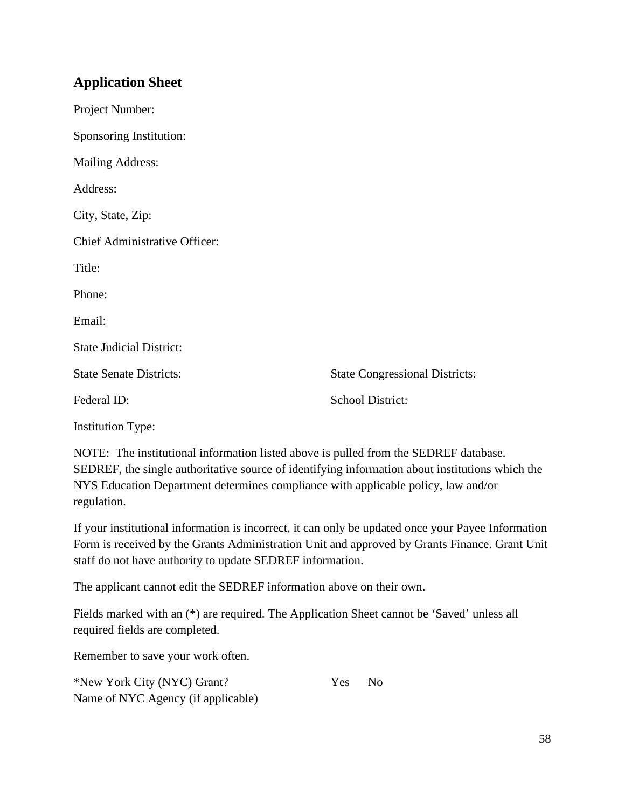### <span id="page-57-0"></span>**Application Sheet**

| Project Number:                 |                                       |
|---------------------------------|---------------------------------------|
| Sponsoring Institution:         |                                       |
| <b>Mailing Address:</b>         |                                       |
| Address:                        |                                       |
| City, State, Zip:               |                                       |
| Chief Administrative Officer:   |                                       |
| Title:                          |                                       |
| Phone:                          |                                       |
| Email:                          |                                       |
| <b>State Judicial District:</b> |                                       |
| <b>State Senate Districts:</b>  | <b>State Congressional Districts:</b> |
| Federal ID:                     | <b>School District:</b>               |
| <b>Institution Type:</b>        |                                       |

NOTE: The institutional information listed above is pulled from the SEDREF database. SEDREF, the single authoritative source of identifying information about institutions which the NYS Education Department determines compliance with applicable policy, law and/or regulation.

If your institutional information is incorrect, it can only be updated once your Payee Information Form is received by the Grants Administration Unit and approved by Grants Finance. Grant Unit staff do not have authority to update SEDREF information.

The applicant cannot edit the SEDREF information above on their own.

Fields marked with an (\*) are required. The Application Sheet cannot be 'Saved' unless all required fields are completed.

Remember to save your work often.

| *New York City (NYC) Grant?        | Yes No |  |
|------------------------------------|--------|--|
| Name of NYC Agency (if applicable) |        |  |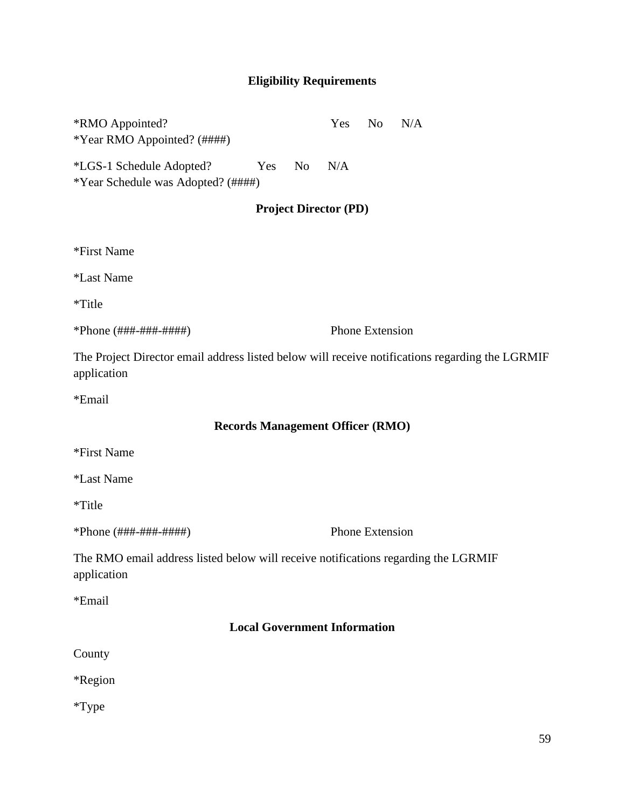### **Eligibility Requirements**

| *RMO Appointed?<br>*Year RMO Appointed? (####)                                                                 | Yes                          | N <sub>o</sub> | N/A |
|----------------------------------------------------------------------------------------------------------------|------------------------------|----------------|-----|
| *LGS-1 Schedule Adopted?<br>N <sub>0</sub><br>Yes<br>*Year Schedule was Adopted? (####)                        | N/A                          |                |     |
|                                                                                                                | <b>Project Director (PD)</b> |                |     |
| *First Name                                                                                                    |                              |                |     |
| *Last Name                                                                                                     |                              |                |     |
| *Title                                                                                                         |                              |                |     |
| *Phone (###-###-####)                                                                                          | Phone Extension              |                |     |
| The Project Director email address listed below will receive notifications regarding the LGRMIF<br>application |                              |                |     |
| *Email                                                                                                         |                              |                |     |
| <b>Records Management Officer (RMO)</b>                                                                        |                              |                |     |
| *First Name                                                                                                    |                              |                |     |
| *Last Name                                                                                                     |                              |                |     |
| *Title                                                                                                         |                              |                |     |
| *Phone (###-###-####)                                                                                          | <b>Phone Extension</b>       |                |     |
| The RMO email address listed below will receive notifications regarding the LGRMIF<br>application              |                              |                |     |
| *Email                                                                                                         |                              |                |     |
| <b>Local Government Information</b>                                                                            |                              |                |     |
| County                                                                                                         |                              |                |     |
| *Region                                                                                                        |                              |                |     |

\*Type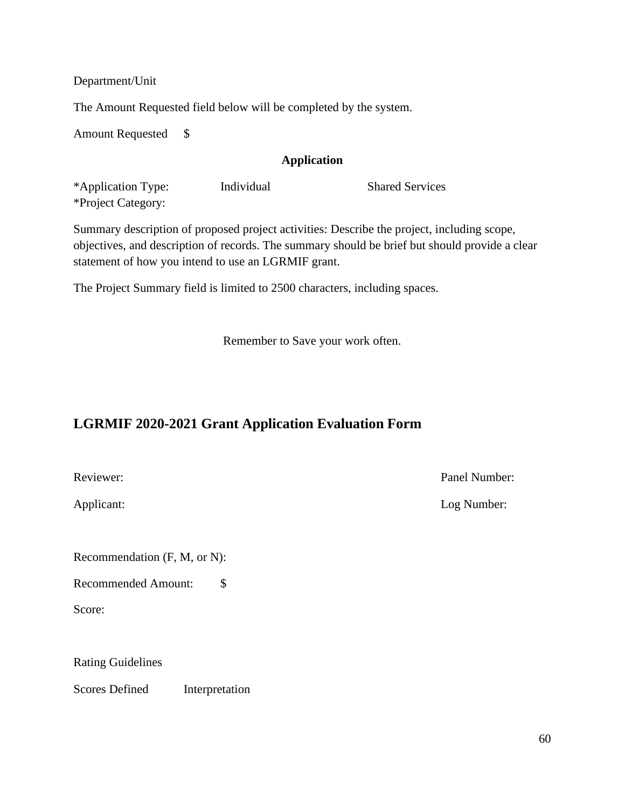Department/Unit

The Amount Requested field below will be completed by the system.

Amount Requested \\$

#### **Application**

| *Application Type: | Individual | <b>Shared Services</b> |
|--------------------|------------|------------------------|
| *Project Category: |            |                        |

Summary description of proposed project activities: Describe the project, including scope, objectives, and description of records. The summary should be brief but should provide a clear statement of how you intend to use an LGRMIF grant.

The Project Summary field is limited to 2500 characters, including spaces.

Remember to Save your work often.

### <span id="page-59-0"></span>**LGRMIF 2020-2021 Grant Application Evaluation Form**

Recommendation (F, M, or N):

Recommended Amount: \$

Score:

Rating Guidelines

Scores Defined Interpretation

Reviewer: Panel Number:

Applicant: Log Number: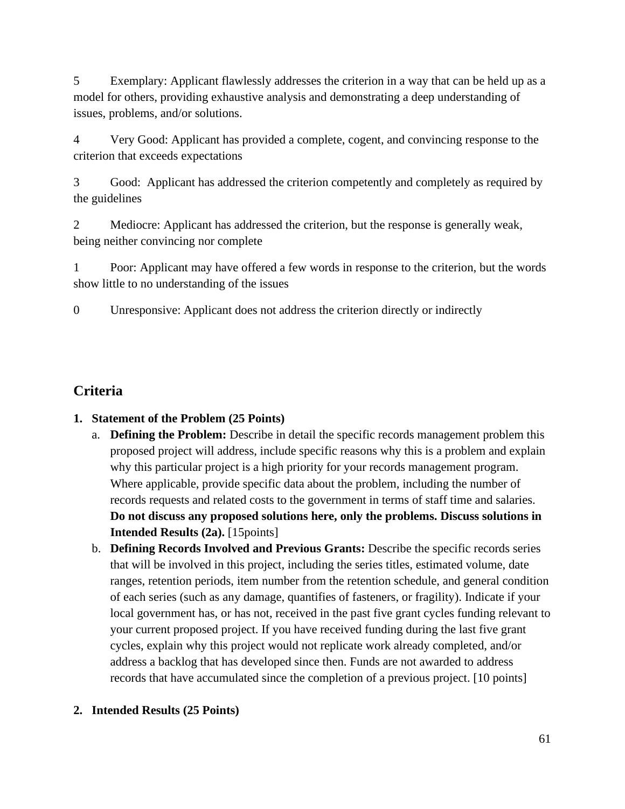5 Exemplary: Applicant flawlessly addresses the criterion in a way that can be held up as a model for others, providing exhaustive analysis and demonstrating a deep understanding of issues, problems, and/or solutions.

4 Very Good: Applicant has provided a complete, cogent, and convincing response to the criterion that exceeds expectations

3 Good: Applicant has addressed the criterion competently and completely as required by the guidelines

2 Mediocre: Applicant has addressed the criterion, but the response is generally weak, being neither convincing nor complete

1 Poor: Applicant may have offered a few words in response to the criterion, but the words show little to no understanding of the issues

0 Unresponsive: Applicant does not address the criterion directly or indirectly

### **Criteria**

#### **1. Statement of the Problem (25 Points)**

- a. **Defining the Problem:** Describe in detail the specific records management problem this proposed project will address, include specific reasons why this is a problem and explain why this particular project is a high priority for your records management program. Where applicable, provide specific data about the problem, including the number of records requests and related costs to the government in terms of staff time and salaries. **Do not discuss any proposed solutions here, only the problems. Discuss solutions in Intended Results (2a).** [15points]
- b. **Defining Records Involved and Previous Grants:** Describe the specific records series that will be involved in this project, including the series titles, estimated volume, date ranges, retention periods, item number from the retention schedule, and general condition of each series (such as any damage, quantifies of fasteners, or fragility). Indicate if your local government has, or has not, received in the past five grant cycles funding relevant to your current proposed project. If you have received funding during the last five grant cycles, explain why this project would not replicate work already completed, and/or address a backlog that has developed since then. Funds are not awarded to address records that have accumulated since the completion of a previous project. [10 points]

#### **2. Intended Results (25 Points)**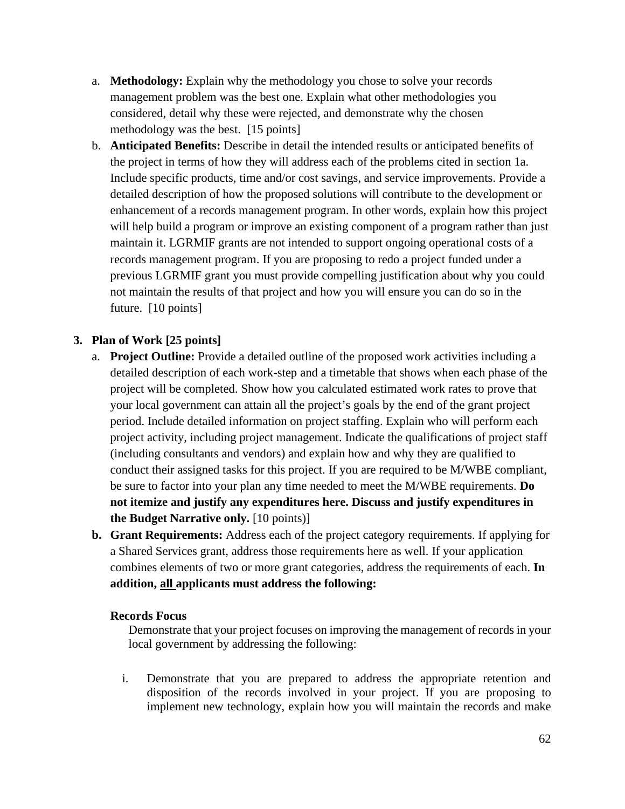- a. **Methodology:** Explain why the methodology you chose to solve your records management problem was the best one. Explain what other methodologies you considered, detail why these were rejected, and demonstrate why the chosen methodology was the best. [15 points]
- b. **Anticipated Benefits:** Describe in detail the intended results or anticipated benefits of the project in terms of how they will address each of the problems cited in section 1a. Include specific products, time and/or cost savings, and service improvements. Provide a detailed description of how the proposed solutions will contribute to the development or enhancement of a records management program. In other words, explain how this project will help build a program or improve an existing component of a program rather than just maintain it. LGRMIF grants are not intended to support ongoing operational costs of a records management program. If you are proposing to redo a project funded under a previous LGRMIF grant you must provide compelling justification about why you could not maintain the results of that project and how you will ensure you can do so in the future. [10 points]

#### **3. Plan of Work [25 points]**

- a. **Project Outline:** Provide a detailed outline of the proposed work activities including a detailed description of each work-step and a timetable that shows when each phase of the project will be completed. Show how you calculated estimated work rates to prove that your local government can attain all the project's goals by the end of the grant project period. Include detailed information on project staffing. Explain who will perform each project activity, including project management. Indicate the qualifications of project staff (including consultants and vendors) and explain how and why they are qualified to conduct their assigned tasks for this project. If you are required to be M/WBE compliant, be sure to factor into your plan any time needed to meet the M/WBE requirements. **Do not itemize and justify any expenditures here. Discuss and justify expenditures in the Budget Narrative only.** [10 points)]
- **b. Grant Requirements:** Address each of the project category requirements. If applying for a Shared Services grant, address those requirements here as well. If your application combines elements of two or more grant categories, address the requirements of each. **In addition, all applicants must address the following:**

#### **Records Focus**

Demonstrate that your project focuses on improving the management of records in your local government by addressing the following:

i. Demonstrate that you are prepared to address the appropriate retention and disposition of the records involved in your project. If you are proposing to implement new technology, explain how you will maintain the records and make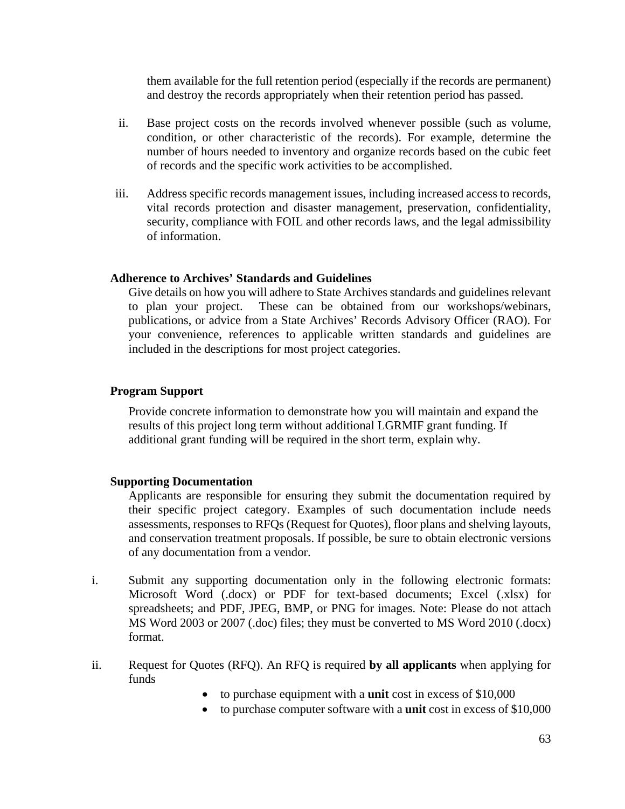them available for the full retention period (especially if the records are permanent) and destroy the records appropriately when their retention period has passed.

- ii. Base project costs on the records involved whenever possible (such as volume, condition, or other characteristic of the records). For example, determine the number of hours needed to inventory and organize records based on the cubic feet of records and the specific work activities to be accomplished.
- iii. Address specific records management issues, including increased access to records, vital records protection and disaster management, preservation, confidentiality, security, compliance with FOIL and other records laws, and the legal admissibility of information.

#### **Adherence to Archives' Standards and Guidelines**

Give details on how you will adhere to State Archives standards and guidelines relevant to plan your project. These can be obtained from our workshops/webinars, publications, or advice from a State Archives' Records Advisory Officer (RAO). For your convenience, references to applicable written standards and guidelines are included in the descriptions for most project categories.

#### **Program Support**

Provide concrete information to demonstrate how you will maintain and expand the results of this project long term without additional LGRMIF grant funding. If additional grant funding will be required in the short term, explain why.

#### **Supporting Documentation**

Applicants are responsible for ensuring they submit the documentation required by their specific project category. Examples of such documentation include needs assessments, responses to RFQs (Request for Quotes), floor plans and shelving layouts, and conservation treatment proposals. If possible, be sure to obtain electronic versions of any documentation from a vendor.

- i. Submit any supporting documentation only in the following electronic formats: Microsoft Word (.docx) or PDF for text-based documents; Excel (.xlsx) for spreadsheets; and PDF, JPEG, BMP, or PNG for images. Note: Please do not attach MS Word 2003 or 2007 (.doc) files; they must be converted to MS Word 2010 (.docx) format.
- ii. Request for Quotes (RFQ). An RFQ is required **by all applicants** when applying for funds
	- to purchase equipment with a **unit** cost in excess of \$10,000
	- to purchase computer software with a **unit** cost in excess of \$10,000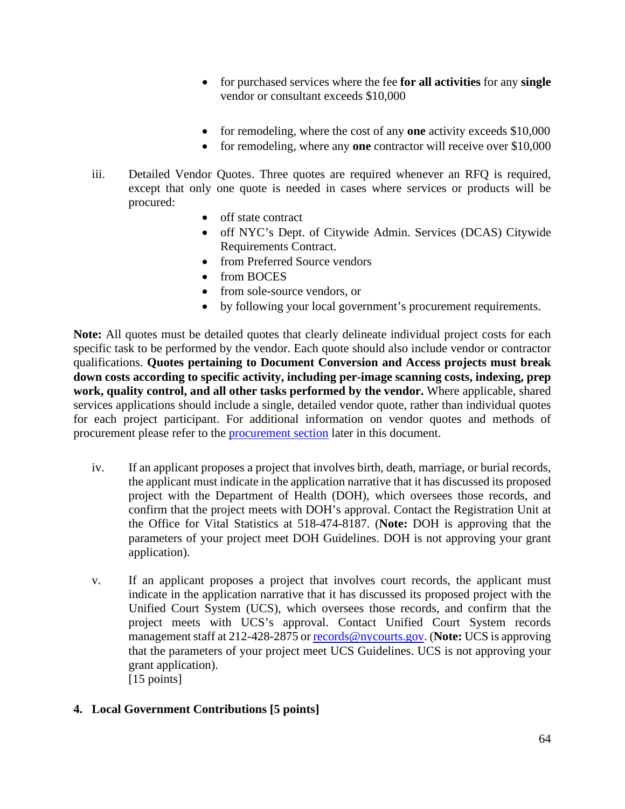- for purchased services where the fee **for all activities** for any **single** vendor or consultant exceeds \$10,000
- for remodeling, where the cost of any **one** activity exceeds \$10,000
- for remodeling, where any **one** contractor will receive over \$10,000
- iii. Detailed Vendor Quotes. Three quotes are required whenever an RFQ is required, except that only one quote is needed in cases where services or products will be procured:
	- off state contract
	- off NYC's Dept. of Citywide Admin. Services (DCAS) Citywide Requirements Contract.
	- from Preferred Source vendors
	- from BOCES
	- from sole-source vendors, or
	- by following your local government's procurement requirements.

**Note:** All quotes must be detailed quotes that clearly delineate individual project costs for each specific task to be performed by the vendor. Each quote should also include vendor or contractor qualifications. **Quotes pertaining to Document Conversion and Access projects must break down costs according to specific activity, including per-image scanning costs, indexing, prep work, quality control, and all other tasks performed by the vendor.** Where applicable, shared services applications should include a single, detailed vendor quote, rather than individual quotes for each project participant. For additional information on vendor quotes and methods of procurement please refer to the [procurement section](#page-42-0) later in this document.

- iv. If an applicant proposes a project that involves birth, death, marriage, or burial records, the applicant must indicate in the application narrative that it has discussed its proposed project with the Department of Health (DOH), which oversees those records, and confirm that the project meets with DOH's approval. Contact the Registration Unit at the Office for Vital Statistics at 518-474-8187. (**Note:** DOH is approving that the parameters of your project meet DOH Guidelines. DOH is not approving your grant application).
- v. If an applicant proposes a project that involves court records, the applicant must indicate in the application narrative that it has discussed its proposed project with the Unified Court System (UCS), which oversees those records, and confirm that the project meets with UCS's approval. Contact Unified Court System records management staff at 212-428-2875 or [records@nycourts.gov.](mailto:records@nycourts.gov) (**Note:** UCS is approving that the parameters of your project meet UCS Guidelines. UCS is not approving your grant application). [15 points]

#### **4. Local Government Contributions [5 points]**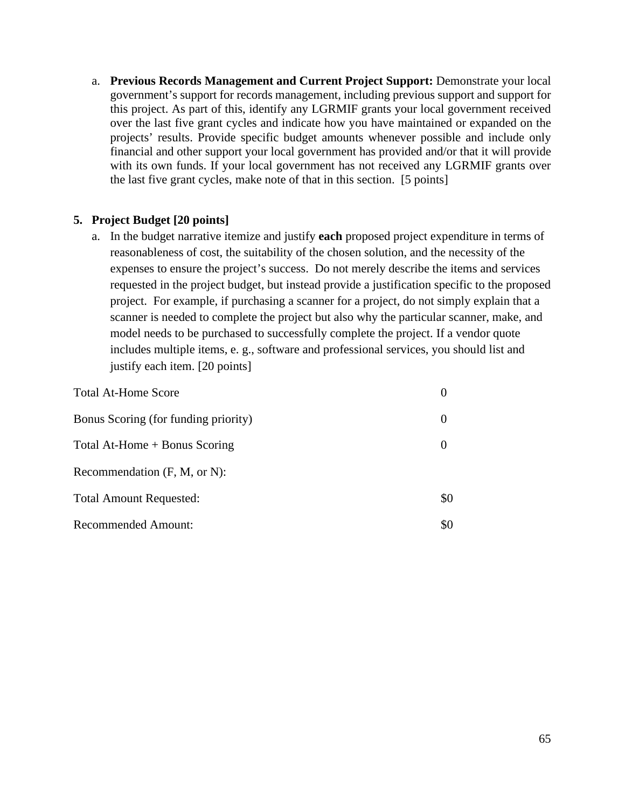a. **Previous Records Management and Current Project Support:** Demonstrate your local government's support for records management, including previous support and support for this project. As part of this, identify any LGRMIF grants your local government received over the last five grant cycles and indicate how you have maintained or expanded on the projects' results. Provide specific budget amounts whenever possible and include only financial and other support your local government has provided and/or that it will provide with its own funds. If your local government has not received any LGRMIF grants over the last five grant cycles, make note of that in this section. [5 points]

#### **5. Project Budget [20 points]**

a. In the budget narrative itemize and justify **each** proposed project expenditure in terms of reasonableness of cost, the suitability of the chosen solution, and the necessity of the expenses to ensure the project's success. Do not merely describe the items and services requested in the project budget, but instead provide a justification specific to the proposed project. For example, if purchasing a scanner for a project, do not simply explain that a scanner is needed to complete the project but also why the particular scanner, make, and model needs to be purchased to successfully complete the project. If a vendor quote includes multiple items, e. g., software and professional services, you should list and justify each item. [20 points]

| <b>Total At-Home Score</b>              |          |
|-----------------------------------------|----------|
| Bonus Scoring (for funding priority)    | $\theta$ |
| Total At-Home + Bonus Scoring           |          |
| Recommendation $(F, M, \text{or } N)$ : |          |
| <b>Total Amount Requested:</b>          | \$0      |
| Recommended Amount:                     | 80       |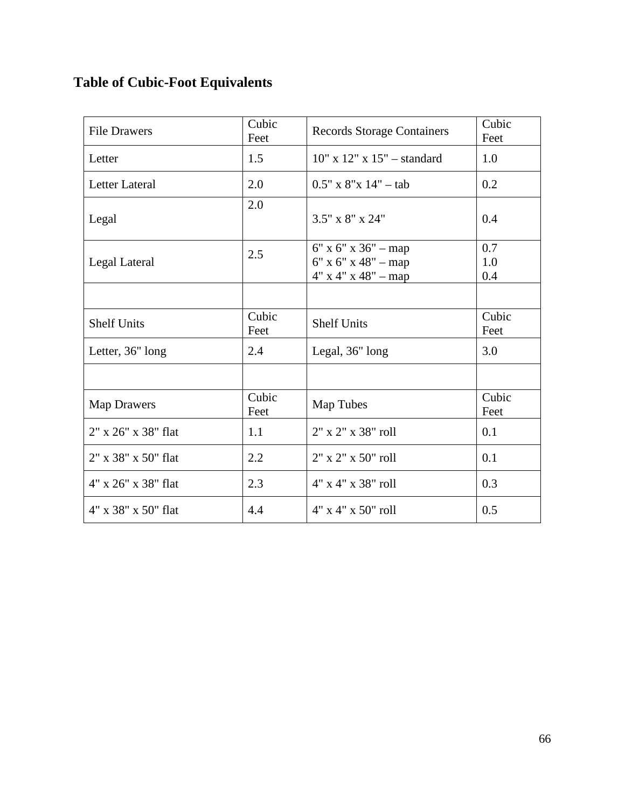# <span id="page-65-0"></span>**Table of Cubic-Foot Equivalents**

| <b>File Drawers</b>             | Cubic<br>Feet | <b>Records Storage Containers</b>                                           | Cubic<br>Feet     |
|---------------------------------|---------------|-----------------------------------------------------------------------------|-------------------|
| Letter                          | 1.5           | $10"$ x $12"$ x $15"$ - standard                                            | 1.0               |
| Letter Lateral                  | 2.0           | $0.5"$ x $8"$ x $14"$ - tab                                                 | 0.2               |
| Legal                           | 2.0           | 3.5" x 8" x 24"                                                             | 0.4               |
| Legal Lateral                   | 2.5           | $6"$ x $6"$ x $36"$ - map<br>$6" x 6" x 48" - map$<br>$4" x 4" x 48" - map$ | 0.7<br>1.0<br>0.4 |
|                                 |               |                                                                             |                   |
| <b>Shelf Units</b>              | Cubic<br>Feet | <b>Shelf Units</b>                                                          | Cubic<br>Feet     |
| Letter, 36" long                | 2.4           | Legal, 36" long                                                             | 3.0               |
|                                 |               |                                                                             |                   |
| Map Drawers                     | Cubic<br>Feet | Map Tubes                                                                   | Cubic<br>Feet     |
| 2" x 26" x 38" flat             | 1.1           | 2" x 2" x 38" roll                                                          | 0.1               |
| $2" \times 38" \times 50"$ flat | 2.2           | $2'' \times 2'' \times 50''$ roll                                           | 0.1               |
| 4" x 26" x 38" flat             | 2.3           | 4" x 4" x 38" roll                                                          | 0.3               |
| $4"$ x 38" x 50" flat           | 4.4           | $4" \times 4" \times 50"$ roll                                              | 0.5               |